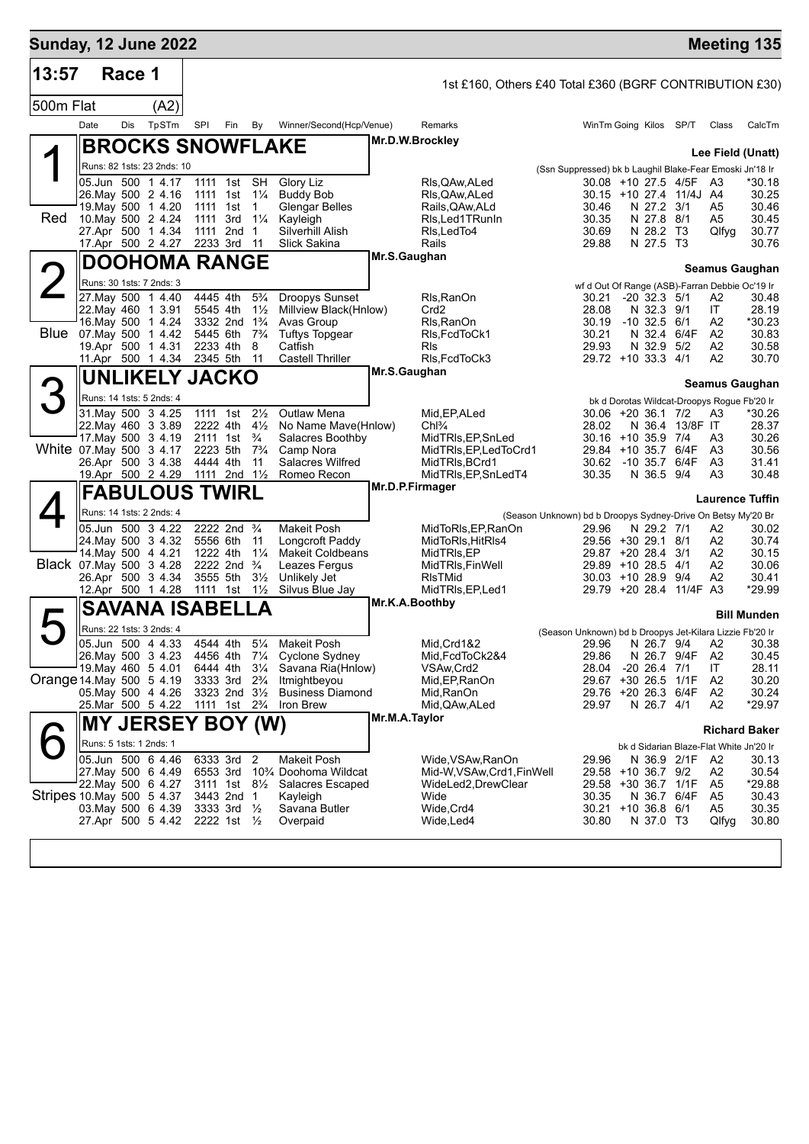| <b>Sunday, 12 June 2022</b> |                         |        |                                          |                      |                                                       |                                  |                                                           |               |                                                              |                                                          |                                |                         |                                                   | <b>Meeting 135</b>        |
|-----------------------------|-------------------------|--------|------------------------------------------|----------------------|-------------------------------------------------------|----------------------------------|-----------------------------------------------------------|---------------|--------------------------------------------------------------|----------------------------------------------------------|--------------------------------|-------------------------|---------------------------------------------------|---------------------------|
| 13:57                       |                         | Race 1 |                                          |                      |                                                       |                                  |                                                           |               | 1st £160, Others £40 Total £360 (BGRF CONTRIBUTION £30)      |                                                          |                                |                         |                                                   |                           |
| 500m Flat                   |                         |        | (A2)                                     |                      |                                                       |                                  |                                                           |               |                                                              |                                                          |                                |                         |                                                   |                           |
|                             | Date                    | Dis    | TpSTm                                    | SPI                  | Fin                                                   | By                               | Winner/Second(Hcp/Venue)                                  |               | Remarks                                                      | WinTm Going Kilos SP/T                                   |                                |                         | Class                                             | CalcTm                    |
|                             |                         |        | <b>BROCKS SNOWFLAKE</b>                  |                      |                                                       |                                  |                                                           |               | Mr.D.W.Brockley                                              |                                                          |                                |                         |                                                   |                           |
|                             |                         |        | Runs: 82 1sts: 23 2nds: 10               |                      |                                                       |                                  |                                                           |               |                                                              | (Ssn Suppressed) bk b Laughil Blake-Fear Emoski Jn'18 Ir |                                |                         |                                                   | Lee Field (Unatt)         |
|                             |                         |        | 05.Jun 500 1 4.17                        |                      | 1111 1st                                              | <b>SH</b>                        | <b>Glory Liz</b>                                          |               | Rls,QAw,ALed                                                 | 30.08 +10 27.5 4/5F                                      |                                |                         | A3                                                | *30.18                    |
|                             |                         |        | 26. May 500 2 4.16<br>19. May 500 1 4.20 | 1111 1st<br>1111 1st |                                                       | $1\frac{1}{4}$<br>$\mathbf 1$    | <b>Buddy Bob</b><br><b>Glengar Belles</b>                 |               | Rls,QAw,ALed<br>Rails,QAw,ALd                                | 30.46                                                    | N 27.2 3/1                     | 30.15 +10 27.4 11/4J A4 | A5                                                | 30.25<br>30.46            |
| Red                         |                         |        | 10. May 500 2 4.24                       |                      | 1111 3rd                                              | $1\frac{1}{4}$                   | Kayleigh                                                  |               | Rls,Led1TRunIn                                               | 30.35                                                    | N 27.8 8/1                     |                         | A5                                                | 30.45                     |
|                             |                         |        | 27.Apr 500 1 4.34                        |                      | 1111 2nd                                              | $\mathbf{1}$                     | Silverhill Alish                                          |               | RIs, LedTo4                                                  | 30.69                                                    | N 28.2 T3                      |                         | Qlfyg                                             | 30.77                     |
|                             |                         |        | 17.Apr 500 2 4.27                        | 2233 3rd             |                                                       | -11                              | Slick Sakina                                              | Mr.S.Gaughan  | Rails                                                        | 29.88                                                    | N 27.5 T3                      |                         |                                                   | 30.76                     |
|                             |                         |        | <b>DOOHOMA RANGE</b>                     |                      |                                                       |                                  |                                                           |               |                                                              |                                                          |                                |                         |                                                   | <b>Seamus Gaughan</b>     |
|                             |                         |        | Runs: 30 1sts: 7 2nds: 3                 |                      |                                                       |                                  |                                                           |               |                                                              | wf d Out Of Range (ASB)-Farran Debbie Oc'19 Ir           |                                |                         |                                                   |                           |
|                             |                         |        | 27 May 500 1 4.40<br>22. May 460 1 3.91  | 4445 4th<br>5545 4th |                                                       | $5\frac{3}{4}$<br>$1\frac{1}{2}$ | <b>Droopys Sunset</b><br>Millview Black(Hnlow)            |               | Rls, RanOn<br>Crd <sub>2</sub>                               | 30.21<br>28.08                                           | $-20$ 32.3 $5/1$<br>N 32.3 9/1 |                         | A2<br>IT.                                         | 30.48<br>28.19            |
|                             |                         |        | 16. May 500 1 4.24                       |                      | 3332 2nd                                              | $1\frac{3}{4}$                   | Avas Group                                                |               | Rls, RanOn                                                   | 30.19                                                    | $-10$ 32.5 $6/1$               |                         | A2                                                | *30.23                    |
| Blue                        |                         |        | 07. May 500 1 4.42                       | 5445 6th             |                                                       | $7\frac{3}{4}$                   | <b>Tuftys Topgear</b><br>Catfish                          |               | RIs, FcdToCk1                                                | 30.21<br>29.93                                           | N 32.4                         | 6/4F                    | A <sub>2</sub>                                    | 30.83                     |
|                             |                         |        | 19.Apr 500 1 4.31<br>11.Apr 500 1 4.34   | 2233 4th<br>2345 5th |                                                       | 8<br>11                          | <b>Castell Thriller</b>                                   |               | <b>R</b> ls<br>RIs, FcdToCk3                                 | 29.72 +10 33.3 4/1                                       | N 32.9                         | 5/2                     | A2<br>A2                                          | 30.58<br>30.70            |
|                             |                         |        | <b>UNLIKELY JACKO</b>                    |                      |                                                       |                                  |                                                           | Mr.S.Gaughan  |                                                              |                                                          |                                |                         |                                                   |                           |
|                             |                         |        | Runs: 14 1sts: 5 2nds: 4                 |                      |                                                       |                                  |                                                           |               |                                                              |                                                          |                                |                         |                                                   | <b>Seamus Gaughan</b>     |
|                             |                         |        | 31. May 500 3 4.25                       | 1111 1st             |                                                       | $2\frac{1}{2}$                   | <b>Outlaw Mena</b>                                        |               | Mid, EP, ALed                                                | 30.06 +20 36.1 7/2                                       |                                |                         | bk d Dorotas Wildcat-Droopys Rogue Fb'20 Ir<br>A3 | *30.26                    |
|                             |                         |        | 22. May 460 3 3.89                       | 2222 4th             |                                                       | $4\frac{1}{2}$                   | No Name Mave(Hnlow)                                       |               | $Chl\frac{3}{4}$                                             | 28.02                                                    |                                | N 36.4 13/8F IT         |                                                   | 28.37                     |
|                             |                         |        | 17. May 500 3 4.19                       |                      | 2111 1st                                              | $\frac{3}{4}$                    | Salacres Boothby                                          |               | MidTRIs, EP, SnLed                                           | 30.16 +10 35.9 7/4                                       |                                |                         | A3                                                | 30.26                     |
| White 07 May 500 3 4.17     |                         |        | 26.Apr 500 3 4.38                        | 2223 5th<br>4444 4th |                                                       | $7\frac{3}{4}$<br>11             | Camp Nora<br>Salacres Wilfred                             |               | MidTRIs, EP, LedToCrd1<br>MidTRIs, BCrd1                     | 29.84 +10 35.7<br>30.62                                  | -10 35.7                       | 6/4F<br>6/4F            | A <sub>3</sub><br>A <sub>3</sub>                  | 30.56<br>31.41            |
|                             |                         |        | 19.Apr 500 2 4.29                        |                      | 1111 2nd 11/2                                         |                                  | Romeo Recon                                               |               | MidTRIs, EP, SnLedT4                                         | 30.35                                                    | N 36.5 9/4                     |                         | A3                                                | 30.48                     |
|                             |                         |        | <b>FABULOUS TWIRL</b>                    |                      |                                                       |                                  |                                                           |               | Mr.D.P.Firmager                                              |                                                          |                                |                         |                                                   | <b>Laurence Tuffin</b>    |
|                             |                         |        | Runs: 14 1sts: 2 2nds: 4                 |                      |                                                       |                                  |                                                           |               | (Season Unknown) bd b Droopys Sydney-Drive On Betsy My'20 Br |                                                          |                                |                         |                                                   |                           |
|                             |                         |        | 05.Jun 500 3 4.22                        |                      | 2222 2nd                                              | $\frac{3}{4}$                    | <b>Makeit Posh</b>                                        |               | MidToRIs, EP, RanOn                                          | 29.96                                                    | N 29.2 7/1                     |                         | A2                                                | 30.02                     |
|                             |                         |        | 24 May 500 3 4.32                        | 5556 6th             |                                                       | 11                               | Longcroft Paddy                                           |               | MidToRIs, HitRIs4                                            | 29.56 +30 29.1 8/1                                       |                                |                         | A2                                                | 30.74                     |
| Black 07. May 500 3 4.28    |                         |        | 14. May 500 4 4.21                       | 1222 4th             | 2222 2nd                                              | $1\frac{1}{4}$<br>$\frac{3}{4}$  | <b>Makeit Coldbeans</b><br>Leazes Fergus                  |               | MidTRIs,EP<br>MidTRIs, FinWell                               | 29.87 +20 28.4<br>29.89 +10 28.5 4/1                     |                                | 3/1                     | A2<br>A2                                          | 30.15<br>30.06            |
|                             |                         |        | 26.Apr 500 3 4.34                        | 3555 5th             |                                                       | $3\frac{1}{2}$                   | Unlikely Jet                                              |               | <b>RIsTMid</b>                                               | 30.03 +10 28.9 9/4                                       |                                |                         | A2                                                | 30.41                     |
|                             |                         |        | 12.Apr 500 1 4.28                        | 1111 1st             |                                                       | $1\frac{1}{2}$                   | Silvus Blue Jay                                           |               | MidTRIs, EP, Led1<br>Mr.K.A.Boothby                          |                                                          |                                | 29.79 +20 28.4 11/4F A3 |                                                   | *29.99                    |
|                             |                         |        | <b>SAVANA ISABELLA</b>                   |                      |                                                       |                                  |                                                           |               |                                                              |                                                          |                                |                         |                                                   | <b>Bill Munden</b>        |
|                             |                         |        | Runs: 22 1sts: 3 2nds: 4                 |                      |                                                       |                                  |                                                           |               |                                                              | (Season Unknown) bd b Droopys Jet-Kilara Lizzie Fb'20 Ir |                                |                         |                                                   |                           |
|                             |                         |        | 05.Jun 500 4 4.33                        |                      |                                                       |                                  | 4544 4th 51/4 Makeit Posh<br>4456 4th 71/4 Cyclone Sydney |               | Mid, Crd1&2                                                  |                                                          |                                |                         |                                                   | 29.96 N 26.7 9/4 A2 30.38 |
|                             |                         |        | 26. May 500 3 4.23<br>19. May 460 5 4.01 |                      | 6444 4th                                              | $3\frac{1}{4}$                   | Savana Ria(Hnlow)                                         |               | Mid.FcdToCk2&4<br>VSAw, Crd2                                 | 29.86<br>28.04                                           | N 26.7 9/4F<br>-20 26.4 7/1    |                         | A2<br>IT                                          | 30.45<br>28.11            |
| Orange 14 May 500 5 4.19    |                         |        |                                          |                      | 3333 3rd                                              | $2\frac{3}{4}$                   | Itmightbeyou                                              |               | Mid, EP, RanOn                                               | 29.67 +30 26.5 1/1F                                      |                                |                         | A2                                                | 30.20                     |
|                             |                         |        | 05. May 500 4 4.26<br>25.Mar 500 5 4.22  |                      | 3323 2nd 3½<br>1111 1st 2 <sup>3</sup> / <sub>4</sub> |                                  | <b>Business Diamond</b><br>Iron Brew                      |               | Mid,RanOn<br>Mid, QAw, ALed                                  | 29.76 +20 26.3 6/4F<br>29.97                             | N 26.7 4/1                     |                         | A2<br>A2                                          | 30.24<br>*29.97           |
|                             |                         |        |                                          |                      |                                                       |                                  |                                                           | Mr.M.A.Taylor |                                                              |                                                          |                                |                         |                                                   |                           |
|                             |                         |        | <b>MY JERSEY BOY (W)</b>                 |                      |                                                       |                                  |                                                           |               |                                                              |                                                          |                                |                         |                                                   | <b>Richard Baker</b>      |
|                             | Runs: 5 1sts: 1 2nds: 1 |        |                                          |                      |                                                       |                                  |                                                           |               |                                                              |                                                          |                                |                         | bk d Sidarian Blaze-Flat White Jn'20 Ir           |                           |
|                             |                         |        | 05.Jun 500 6 4.46<br>27.May 500 6 4.49   |                      | 6333 3rd 2<br>6553 3rd                                |                                  | Makeit Posh<br>10% Doohoma Wildcat                        |               | Wide, VSAw, RanOn<br>Mid-W,VSAw,Crd1,FinWell                 | 29.96<br>29.58 +10 36.7 9/2                              |                                | N 36.9 2/1F             | - A2<br>A2                                        | 30.13<br>30.54            |
|                             |                         |        | 22. May 500 6 4.27                       |                      | 3111 1st                                              |                                  | 8 <sup>1</sup> / <sub>2</sub> Salacres Escaped            |               | WideLed2,DrewClear                                           | 29.58 +30 36.7 1/1F                                      |                                |                         | A5                                                | *29.88                    |
| Stripes 10 May 500 5 4.37   |                         |        | 03. May 500 6 4.39                       |                      | 3443 2nd 1<br>3333 3rd                                |                                  | Kayleigh                                                  |               | Wide<br>Wide, Crd4                                           | 30.35<br>30.21 +10 36.8 6/1                              | N 36.7 6/4F                    |                         | A5                                                | 30.43<br>30.35            |
|                             |                         |        | 27.Apr 500 5 4.42                        |                      | 2222 1st $\frac{1}{2}$                                | $\frac{1}{2}$                    | Savana Butler<br>Overpaid                                 |               | Wide, Led4                                                   | 30.80                                                    | N 37.0 T3                      |                         | A5<br>Qlfyg                                       | 30.80                     |
|                             |                         |        |                                          |                      |                                                       |                                  |                                                           |               |                                                              |                                                          |                                |                         |                                                   |                           |
|                             |                         |        |                                          |                      |                                                       |                                  |                                                           |               |                                                              |                                                          |                                |                         |                                                   |                           |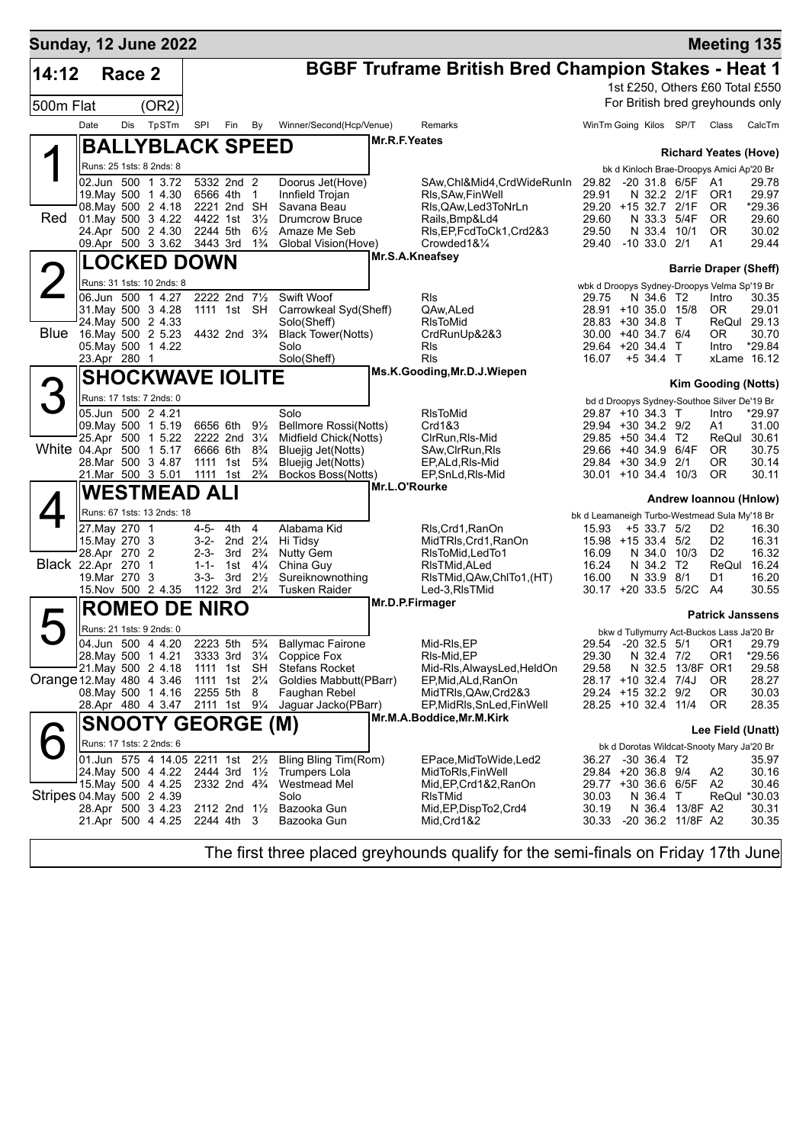| <b>Sunday, 12 June 2022</b> |      |                               |                                                              |                       |                                        |                                  |                                                                                      |               |                                                            |                                              |                  |                         | <b>Meeting 135</b>                                   |                       |
|-----------------------------|------|-------------------------------|--------------------------------------------------------------|-----------------------|----------------------------------------|----------------------------------|--------------------------------------------------------------------------------------|---------------|------------------------------------------------------------|----------------------------------------------|------------------|-------------------------|------------------------------------------------------|-----------------------|
| 14:12                       |      | Race 2                        |                                                              |                       |                                        |                                  |                                                                                      |               | <b>BGBF Truframe British Bred Champion Stakes - Heat 1</b> |                                              |                  |                         |                                                      |                       |
|                             |      |                               |                                                              |                       |                                        |                                  |                                                                                      |               |                                                            |                                              |                  |                         | 1st £250, Others £60 Total £550                      |                       |
| 500m Flat                   |      |                               | (OR2)                                                        |                       |                                        |                                  |                                                                                      |               |                                                            |                                              |                  |                         | For British bred greyhounds only                     |                       |
|                             | Date | Dis                           | TpSTm                                                        | SPI                   | Fin                                    | By                               | Winner/Second(Hcp/Venue)                                                             |               | Remarks                                                    | WinTm Going Kilos SP/T                       |                  |                         | Class                                                | CalcTm                |
|                             |      |                               | <b>BALLYBLACK SPEED</b>                                      |                       |                                        |                                  |                                                                                      | Mr.R.F.Yeates |                                                            |                                              |                  |                         |                                                      |                       |
|                             |      |                               |                                                              |                       |                                        |                                  |                                                                                      |               |                                                            |                                              |                  |                         | <b>Richard Yeates (Hove)</b>                         |                       |
|                             |      |                               | Runs: 25 1sts: 8 2nds: 8<br>02.Jun 500 1 3.72                |                       | 5332 2nd 2                             |                                  |                                                                                      |               |                                                            |                                              |                  |                         | bk d Kinloch Brae-Droopys Amici Ap'20 Br             | 29.78                 |
|                             |      |                               | 19. May 500 1 4.30                                           | 6566 4th              |                                        | 1                                | Doorus Jet(Hove)<br>Innfield Trojan                                                  |               | SAw, Chl&Mid4, CrdWideRunIn<br>RIs, SAw, Fin Well          | 29.82 -20 31.8 6/5F<br>29.91                 |                  | N 32.2 2/1F             | A1<br>OR <sub>1</sub>                                | 29.97                 |
|                             |      |                               | 08. May 500 2 4.18                                           |                       | 2221 2nd                               | <b>SH</b>                        | Savana Beau                                                                          |               | RIs, QAw, Led 3 To NrLn                                    | 29.20 +15 32.7                               |                  | 2/1F                    | 0R                                                   | *29.36                |
| <b>Red</b>                  |      |                               | 01. May 500 3 4.22<br>24.Apr 500 2 4.30                      | 4422 1st<br>2244 5th  |                                        | $3\frac{1}{2}$<br>$6\frac{1}{2}$ | <b>Drumcrow Bruce</b><br>Amaze Me Seb                                                |               | Rails, Bmp&Ld4<br>RIs, EP, FcdToCk1, Crd2&3                | 29.60<br>29.50                               | N 33.4           | N 33.3 5/4F<br>10/1     | 0R<br>0R                                             | 29.60<br>30.02        |
|                             |      |                               | 09.Apr 500 3 3.62 3443 3rd                                   |                       |                                        | $1\frac{3}{4}$                   | Global Vision(Hove)                                                                  |               | Crowded1&1/4                                               | 29.40                                        | $-10$ 33.0 $2/1$ |                         | A1                                                   | 29.44                 |
|                             |      |                               | <b>LOCKED DOWN</b>                                           |                       |                                        |                                  |                                                                                      |               | Mr.S.A.Kneafsey                                            |                                              |                  |                         |                                                      |                       |
|                             |      |                               | Runs: 31 1sts: 10 2nds: 8                                    |                       |                                        |                                  |                                                                                      |               |                                                            |                                              |                  |                         | <b>Barrie Draper (Sheff)</b>                         |                       |
|                             |      |                               | 06.Jun 500 1 4.27                                            |                       | 2222 2nd 71/2                          |                                  | Swift Woof                                                                           |               | Rls                                                        | 29.75                                        | N 34.6 T2        |                         | wbk d Droopys Sydney-Droopys Velma Sp'19 Br<br>Intro | 30.35                 |
|                             |      |                               | 31. May 500 3 4.28                                           |                       | 1111 1st SH                            |                                  | Carrowkeal Syd(Sheff)                                                                |               | QAw, ALed                                                  | 28.91 +10 35.0 15/8                          |                  |                         | OR.                                                  | 29.01                 |
| <b>Blue</b>                 |      |                               | 24. May 500 2 4.33<br>16.May 500 2 5.23                      |                       | 4432 2nd 3 <sup>3</sup> / <sub>4</sub> |                                  | Solo(Sheff)<br><b>Black Tower(Notts)</b>                                             |               | <b>RIsToMid</b>                                            | 28.83 +30 34.8<br>30.00 +40 34.7 6/4         |                  | $\top$                  | ReQul 29.13<br>OR.                                   | 30.70                 |
|                             |      |                               | 05. May 500 1 4.22                                           |                       |                                        |                                  | Solo                                                                                 |               | CrdRunUp&2&3<br>Rls                                        | 29.64 +20 34.4                               |                  | $\top$                  | Intro                                                | *29.84                |
|                             |      | 23.Apr 280 1                  |                                                              |                       |                                        |                                  | Solo(Sheff)                                                                          |               | <b>RIs</b>                                                 | 16.07                                        | $+5$ 34.4 T      |                         | xLame 16.12                                          |                       |
|                             |      |                               | <b>SHOCKWAVE IOLITE</b>                                      |                       |                                        |                                  |                                                                                      |               | Ms.K.Gooding, Mr.D.J.Wiepen                                |                                              |                  |                         | <b>Kim Gooding (Notts)</b>                           |                       |
|                             |      |                               | Runs: 17 1sts: 7 2nds: 0                                     |                       |                                        |                                  |                                                                                      |               |                                                            |                                              |                  |                         | bd d Droopys Sydney-Southoe Silver De'19 Br          |                       |
|                             |      |                               | 05.Jun 500 2 4.21                                            |                       |                                        |                                  | Solo                                                                                 |               | <b>RIsToMid</b>                                            | 29.87 +10 34.3 T                             |                  |                         | Intro                                                | *29.97                |
|                             |      |                               | 09. May 500 1 5.19                                           | 6656 6th              |                                        | $9\frac{1}{2}$                   | <b>Bellmore Rossi(Notts)</b>                                                         |               | Crd1&3                                                     | 29.94 +30 34.2 9/2                           |                  |                         | Α1                                                   | 31.00                 |
| White 04.Apr 500 1 5.17     |      |                               | 25.Apr 500 1 5.22                                            | 6666 6th              | 2222 2nd 31/4                          | $8\frac{3}{4}$                   | Midfield Chick(Notts)<br>Bluejig Jet(Notts)                                          |               | CIrRun, RIs-Mid<br>SAw, ClrRun, RIs                        | 29.85 +50 34.4 T2<br>29.66 +40 34.9          |                  | 6/4F                    | ReQul 30.61<br>0R                                    | 30.75                 |
|                             |      |                               | 28. Mar 500 3 4.87                                           | 1111 1st              |                                        | $5\frac{3}{4}$                   | Bluejig Jet(Notts)                                                                   |               | EP, ALd, RIs-Mid                                           | 29.84 +30 34.9 2/1                           |                  |                         | 0R                                                   | 30.14                 |
|                             |      |                               | 21.Mar 500 3 5.01                                            | 1111 1st              |                                        | $2\frac{3}{4}$                   | Bockos Boss(Notts)                                                                   |               | EP, SnLd, RIs-Mid<br>Mr.L.O'Rourke                         | 30.01 +10 34.4 10/3                          |                  |                         | 0R                                                   | 30.11                 |
|                             |      |                               | <b>WESTMEAD ALI</b>                                          |                       |                                        |                                  |                                                                                      |               |                                                            |                                              |                  |                         | Andrew Ioannou (Hnlow)                               |                       |
|                             |      |                               | Runs: 67 1sts: 13 2nds: 18                                   |                       |                                        |                                  |                                                                                      |               |                                                            | bk d Leamaneigh Turbo-Westmead Sula My'18 Br |                  |                         |                                                      |                       |
|                             |      | 27. May 270 1                 |                                                              | $4 - 5 -$             | 4th                                    | 4                                | Alabama Kid                                                                          |               | Rls, Crd1, RanOn                                           | 15.93                                        | +5 33.7 5/2      |                         | D <sub>2</sub>                                       | 16.30                 |
|                             |      | 15. May 270 3<br>28.Apr 270 2 |                                                              | $3-2-$<br>$2 - 3 -$   | 2nd $2\frac{1}{4}$<br>3rd              | $2\frac{3}{4}$                   | Hi Tidsy<br><b>Nutty Gem</b>                                                         |               | MidTRIs, Crd1, RanOn<br>RIsToMid, LedTo1                   | 15.98 +15 33.4<br>16.09                      | N 34.0           | 5/2<br>10/3             | D <sub>2</sub><br>D <sub>2</sub>                     | 16.31<br>16.32        |
| <b>Black 22.Apr 270 1</b>   |      |                               |                                                              | $1 - 1 -$             | 1st                                    | $4\frac{1}{4}$                   | China Guy                                                                            |               | RIsTMid, ALed                                              | 16.24                                        | N 34.2           | T2                      | ReQul 16.24                                          |                       |
|                             |      | 19. Mar 270 3                 | 15. Nov 500 2 4.35                                           | $3 - 3 -$<br>1122 3rd | 3rd                                    | $2\frac{1}{2}$<br>$2\frac{1}{4}$ | Sureiknownothing                                                                     |               | RIsTMid, QAw, ChITo1, (HT)                                 | 16.00                                        | N 33.9 8/1       | 30.17 +20 33.5 5/2C A4  | D1                                                   | 16.20<br>30.55        |
|                             |      |                               |                                                              |                       |                                        |                                  | <b>Tusken Raider</b>                                                                 |               | Led-3, RIsTMid<br>Mr.D.P.Firmager                          |                                              |                  |                         |                                                      |                       |
|                             |      |                               | <b>ROMEO DE NIRO</b>                                         |                       |                                        |                                  |                                                                                      |               |                                                            |                                              |                  |                         | <b>Patrick Janssens</b>                              |                       |
|                             |      |                               | Runs: 21 1sts: 9 2nds: 0                                     |                       |                                        |                                  |                                                                                      |               |                                                            |                                              |                  |                         | bkw d Tullymurry Act-Buckos Lass Ja'20 Br            |                       |
|                             |      |                               | 04.Jun 500 4 4.20<br>28. May 500 1 4.21                      |                       |                                        |                                  | 2223 5th 5 <sup>3</sup> / <sub>4</sub> Ballymac Fairone<br>3333 3rd 31/4 Coppice Fox |               | Mid-RIs, EP<br>RIs-Mid, EP                                 | 29.30                                        | N 32.4 7/2       |                         | 29.54 -20 32.5 5/1 OR1 29.79<br>OR1                  | *29.56                |
|                             |      |                               | 21.May 500 2 4.18                                            |                       | 1111 1st SH                            |                                  | Stefans Rocket                                                                       |               | Mid-Rls, AlwaysLed, HeldOn                                 | 29.58                                        |                  | N 32.5 13/8F OR1        |                                                      | 29.58                 |
| Orange 12. May 480 4 3.46   |      |                               |                                                              | 1111 1st              |                                        | $2\frac{1}{4}$                   | Goldies Mabbutt(PBarr)                                                               |               | EP, Mid, ALd, RanOn                                        | 28.17 +10 32.4 7/4J                          |                  |                         | OR.                                                  | 28.27                 |
|                             |      |                               | 08. May 500 1 4.16<br>28.Apr 480 4 3.47 2111 1st 91/4        |                       | 2255 5th                               | 8                                | Faughan Rebel<br>Jaguar Jacko(PBarr)                                                 |               | MidTRIs, QAw, Crd2&3<br>EP,MidRIs,SnLed,FinWell            | 29.24 +15 32.2 9/2<br>28.25 +10 32.4 11/4    |                  |                         | ΟR<br>0R                                             | 30.03<br>28.35        |
|                             |      |                               | <b>SNOOTY GEORGE (M)</b>                                     |                       |                                        |                                  |                                                                                      |               | Mr.M.A.Boddice, Mr.M.Kirk                                  |                                              |                  |                         |                                                      |                       |
|                             |      |                               |                                                              |                       |                                        |                                  |                                                                                      |               |                                                            |                                              |                  |                         | Lee Field (Unatt)                                    |                       |
|                             |      |                               | Runs: 17 1sts: 2 2nds: 6<br>01.Jun 575 4 14.05 2211 1st 21/2 |                       |                                        |                                  | Bling Bling Tim(Rom)                                                                 |               | EPace,MidToWide,Led2                                       | 36.27 -30 36.4 T2                            |                  |                         | bk d Dorotas Wildcat-Snooty Mary Ja'20 Br            | 35.97                 |
|                             |      |                               | 24. May 500 4 4.22 2444 3rd 11/2                             |                       |                                        |                                  | Trumpers Lola                                                                        |               | MidToRIs,FinWell                                           | 29.84 +20 36.8 9/4                           |                  |                         | A2                                                   | 30.16                 |
|                             |      |                               | 15. May 500 4 4.25                                           |                       | 2332 2nd 4 <sup>3</sup> / <sub>4</sub> |                                  | Westmead Mel                                                                         |               | Mid, EP, Crd1&2, RanOn                                     |                                              |                  | 29.77 +30 36.6 6/5F     | A2                                                   | 30.46                 |
| Stripes 04 May 500 2 4.39   |      |                               | 28.Apr 500 3 4.23                                            |                       |                                        |                                  | Solo<br>2112 2nd 1½ Bazooka Gun                                                      |               | RIsTMid<br>Mid, EP, Disp To 2, Crd4                        | 30.03<br>30.19                               | N 36.4 T         | N 36.4 13/8F A2         |                                                      | ReQul *30.03<br>30.31 |
|                             |      |                               | 21.Apr 500 4 4.25 2244 4th 3                                 |                       |                                        |                                  | Bazooka Gun                                                                          |               | Mid, Crd 1&2                                               |                                              |                  | 30.33 -20 36.2 11/8F A2 |                                                      | 30.35                 |
|                             |      |                               |                                                              |                       |                                        |                                  |                                                                                      |               |                                                            |                                              |                  |                         |                                                      |                       |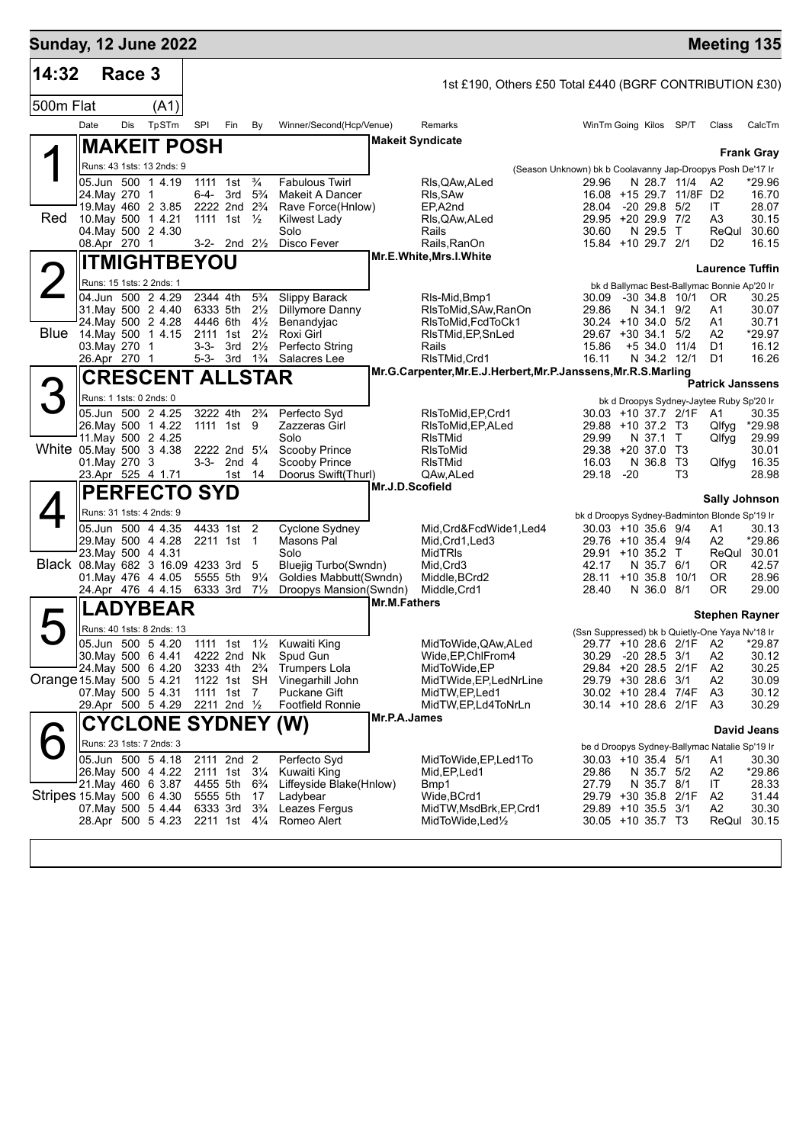| 14:32<br>Race 3<br>1st £190, Others £50 Total £440 (BGRF CONTRIBUTION £30)<br>500m Flat<br>(A1)<br>TpSTm<br>Date<br>Dis<br><b>SPI</b><br>Fin<br>Winner/Second(Hcp/Venue)<br>WinTm Going Kilos SP/T<br>CalcTm<br>By<br>Remarks<br>Class<br><b>Makeit Syndicate</b><br><b>MAKEIT POSH</b><br><b>Frank Gray</b><br>Runs: 43 1sts: 13 2nds: 9<br>(Season Unknown) bk b Coolavanny Jap-Droopys Posh De'17 Ir<br>$\frac{3}{4}$<br>05.Jun 500 1 4.19<br><b>Fabulous Twirl</b><br>1111<br>1st<br>RIs, QAw, ALed<br>29.96<br>N 28.7 11/4<br>*29.96<br>A2<br>3rd<br>$5\frac{3}{4}$<br>16.08 +15 29.7 11/8F D2<br>24. May 270 1<br>6-4-<br>Makeit A Dancer<br>RIs, SAw<br>16.70<br>2222 2nd 2 <sup>3</sup> / <sub>4</sub><br>19. May 460 2 3.85<br>Rave Force(Hnlow)<br>EP,A2nd<br>28.04<br>$-20$ 29.8 $5/2$<br>IT<br>28.07<br>Red<br>29.95 +20 29.9 7/2<br>10. May 500 1 4.21<br>1111 1st $\frac{1}{2}$<br>RIs, QAw, ALed<br>A3<br>30.15<br>Kilwest Lady<br>N 29.5<br>30.60<br>04 May 500 2 4.30<br>Solo<br>30.60<br>$\top$<br>ReQul<br>Rails<br>08.Apr 270 1<br>15.84 +10 29.7 2/1<br>3-2- 2nd $2\frac{1}{2}$<br>Disco Fever<br>Rails, RanOn<br>D <sub>2</sub><br>16.15<br>Mr.E.White, Mrs.I.White<br><b>ITMIGHTBEYOU</b><br><b>Laurence Tuffin</b><br>Runs: 15 1sts: 2 2nds: 1<br>bk d Ballymac Best-Ballymac Bonnie Ap'20 Ir<br>04.Jun 500 2 4.29<br>2344 4th<br>$5\frac{3}{4}$<br>Slippy Barack<br>$-30$ 34.8 10/1<br>RIs-Mid, Bmp1<br>30.09<br>OR.<br>30.25<br>31. May 500 2 4.40<br>6333 5th<br>$2\frac{1}{2}$<br>Dillymore Danny<br>29.86<br>N 34.1 9/2<br>30.07<br>RIsToMid, SAw, RanOn<br>A1<br>24. May 500 2 4.28<br>4446 6th<br>$4\frac{1}{2}$<br>Benandyjac<br>$30.24 + 10.34.0$ 5/2<br>30.71<br>RIsToMid, FcdToCk1<br>A1<br><b>Blue</b><br>$2\frac{1}{2}$<br>14. May 500 1 4.15<br>Roxi Girl<br>$29.67 + 30.34.1$<br>5/2<br>A2<br>*29.97<br>2111 1st<br>RIsTMid, EP, SnLed<br>3rd<br>$2\frac{1}{2}$<br>Perfecto String<br>Rails<br>$+5$ 34.0 11/4<br>D1<br>16.12<br>03.May 270 1<br>3-3-<br>15.86<br>26.Apr 270 1<br>5-3- 3rd $1\frac{3}{4}$<br>Salacres Lee<br>RIsTMid, Crd1<br>16.11<br>N 34.2 12/1<br>D1<br>16.26<br>Mr.G.Carpenter, Mr.E.J.Herbert, Mr.P.Janssens, Mr.R.S.Marling<br><b>CRESCENT ALLSTAR</b><br><b>Patrick Janssens</b><br>Runs: 1 1sts: 0 2nds: 0<br>bk d Droopys Sydney-Jaytee Ruby Sp'20 Ir<br>05.Jun 500 2 4.25<br>3222 4th<br>$2\frac{3}{4}$<br>Perfecto Svd<br>RIsToMid, EP, Crd1<br>30.03 +10 37.7 2/1F<br>A1<br>30.35<br>26. May 500 1 4.22<br>1111 1st 9<br>Zazzeras Girl<br>RIsToMid, EP, ALed<br>29.88 +10 37.2 T3<br>*29.98<br>Qlfyg<br>Solo<br>11. May 500 2 4.25<br><b>RIsTMid</b><br>29.99<br>N 37.1 T<br>29.99<br>Qlfyg<br>White 05 May 500 3 4.38<br>2222 2nd 51/4<br>Scooby Prince<br><b>RIsToMid</b><br>29.38<br>+20 37.0 T3<br>30.01<br>01. May 270 3<br>$3-3-2nd4$<br>Scooby Prince<br><b>RIsTMid</b><br>16.03<br>N 36.8<br>T3<br>16.35<br>Qlfyg<br>23.Apr 525 4 1.71<br>14<br>Doorus Swift(Thurl)<br>QAw, ALed<br>29.18<br>$-20$<br>T3<br>28.98<br>1st<br>Mr.J.D.Scofield<br><b>PERFECTO SYD</b><br><b>Sally Johnson</b><br>Runs: 31 1sts: 4 2nds: 9<br>bk d Droopys Sydney-Badminton Blonde Sp'19 Ir<br>05.Jun 500 4 4.35<br>4433 1st 2<br>Cyclone Sydney<br>Mid, Crd&FcdWide1, Led4<br>30.03 +10 35.6 9/4<br>A1<br>30.13<br>Masons Pal<br>29. May 500 4 4.28<br>2211 1st<br>Mid, Crd1, Led3<br>29.76 +10 35.4 9/4<br>A2<br>*29.86<br>$\overline{1}$<br>ReQul 30.01<br>23. May 500 4 4.31<br>Solo<br><b>MidTRIS</b><br>29.91<br>+10 35.2 T<br>Black 08. May 682 3 16.09 4233 3rd<br>Bluejig Turbo(Swndn)<br>Mid, Crd3<br>42.17<br>N 35.7<br>42.57<br>5<br>6/1<br>OR.<br>01. May 476 4 4.05<br>5555 5th<br>$9\frac{1}{4}$<br>Goldies Mabbutt(Swndn)<br>Middle, BCrd2<br>28.11<br>$+10.35.8$<br>10/1<br>0R<br>28.96<br>24.Apr 476 4 4.15<br>6333 3rd<br>$7\frac{1}{2}$<br>Droopys Mansion(Swndn)<br>Middle, Crd1<br>28.40<br>N 36.0 8/1<br>0R<br>29.00<br>Mr.M.Fathers<br><b>ADYBEAR</b><br><b>Stephen Rayner</b><br>Runs: 40 1sts: 8 2nds: 13<br>(Ssn Suppressed) bk b Quietly-One Yaya Nv'18 Ir<br>05.Jun 500 5 4.20<br>Kuwaiti King<br>MidToWide, QAw, ALed<br>A2<br>*29.87<br>1111 1st $1\frac{1}{2}$<br>29.77 +10 28.6 2/1F<br>30. May 500 6 4.41<br>A2<br>30.12<br>4222 2nd Nk<br>Spud Gun<br>Wide, EP, ChlFrom 4<br>30.29<br>$-20$ 28.5 $3/1$<br>24. May 500 6 4.20<br>$2\frac{3}{4}$<br><b>Trumpers Lola</b><br>29.84 +20 28.5 2/1F<br>A2<br>3233 4th<br>MidToWide, EP<br>30.25<br>Orange 15 May 500 5 4.21<br>1122 1st SH<br>Vinegarhill John<br>MidTWide, EP, LedNrLine<br>29.79 +30 28.6 3/1<br>A2<br>30.09<br>07 May 500 5 4.31<br>30.02 +10 28.4 7/4F<br>A3<br>1111 1st 7<br>Puckane Gift<br>MidTW,EP,Led1<br>30.12<br>29.Apr 500 5 4.29<br>2211 2nd 1/2<br><b>Footfield Ronnie</b><br>30.14 +10 28.6 2/1F<br>A3<br>30.29<br>MidTW,EP,Ld4ToNrLn<br>Mr.P.A.James<br><b>CYCLONE SYDNEY</b><br>(W)<br><b>David Jeans</b><br>Runs: 23 1sts: 7 2nds: 3<br>be d Droopys Sydney-Ballymac Natalie Sp'19 Ir<br>05.Jun 500 5 4.18<br>2111 2nd 2<br>Perfecto Syd<br>$30.03 + 10.35.4$ 5/1<br>MidToWide, EP, Led1To<br>A1<br>30.30<br>26. May 500 4 4.22<br>2111 1st 31/4<br>Kuwaiti King<br>29.86<br>A2<br>*29.86<br>Mid, EP, Led 1<br>N 35.7 5/2<br>21. May 460 6 3.87<br>4455 5th<br>Liffeyside Blake(Hnlow)<br>27.79<br>28.33<br>$6\frac{3}{4}$<br>N 35.7 8/1<br>IT<br>Bmp1<br>Stripes 15 May 500 6 4.30<br>Wide, BCrd1<br>29.79 +30 35.8 2/1F<br>A <sub>2</sub><br>31.44<br>5555 5th 17<br>Ladybear | <b>Sunday, 12 June 2022</b> |  |  |  |  |  |  | <b>Meeting 135</b> |  |
|-------------------------------------------------------------------------------------------------------------------------------------------------------------------------------------------------------------------------------------------------------------------------------------------------------------------------------------------------------------------------------------------------------------------------------------------------------------------------------------------------------------------------------------------------------------------------------------------------------------------------------------------------------------------------------------------------------------------------------------------------------------------------------------------------------------------------------------------------------------------------------------------------------------------------------------------------------------------------------------------------------------------------------------------------------------------------------------------------------------------------------------------------------------------------------------------------------------------------------------------------------------------------------------------------------------------------------------------------------------------------------------------------------------------------------------------------------------------------------------------------------------------------------------------------------------------------------------------------------------------------------------------------------------------------------------------------------------------------------------------------------------------------------------------------------------------------------------------------------------------------------------------------------------------------------------------------------------------------------------------------------------------------------------------------------------------------------------------------------------------------------------------------------------------------------------------------------------------------------------------------------------------------------------------------------------------------------------------------------------------------------------------------------------------------------------------------------------------------------------------------------------------------------------------------------------------------------------------------------------------------------------------------------------------------------------------------------------------------------------------------------------------------------------------------------------------------------------------------------------------------------------------------------------------------------------------------------------------------------------------------------------------------------------------------------------------------------------------------------------------------------------------------------------------------------------------------------------------------------------------------------------------------------------------------------------------------------------------------------------------------------------------------------------------------------------------------------------------------------------------------------------------------------------------------------------------------------------------------------------------------------------------------------------------------------------------------------------------------------------------------------------------------------------------------------------------------------------------------------------------------------------------------------------------------------------------------------------------------------------------------------------------------------------------------------------------------------------------------------------------------------------------------------------------------------------------------------------------------------------------------------------------------------------------------------------------------------------------------------------------------------------------------------------------------------------------------------------------------------------------------------------------------------------------------------------------------------------------------------------------------------------------------------------------------------------------------------------------------------------------------------------------------------------------------------------------------------------------------------------------------------------------------------------------------------------------------------------------------------------------------------------------------------------------------------------------------------------------------------------------------------------------------------------------------------------------------------------------------------------------------------------------------------------------------------------------------------------------------------------------------------------------------------------------------------------------------------|-----------------------------|--|--|--|--|--|--|--------------------|--|
|                                                                                                                                                                                                                                                                                                                                                                                                                                                                                                                                                                                                                                                                                                                                                                                                                                                                                                                                                                                                                                                                                                                                                                                                                                                                                                                                                                                                                                                                                                                                                                                                                                                                                                                                                                                                                                                                                                                                                                                                                                                                                                                                                                                                                                                                                                                                                                                                                                                                                                                                                                                                                                                                                                                                                                                                                                                                                                                                                                                                                                                                                                                                                                                                                                                                                                                                                                                                                                                                                                                                                                                                                                                                                                                                                                                                                                                                                                                                                                                                                                                                                                                                                                                                                                                                                                                                                                                                                                                                                                                                                                                                                                                                                                                                                                                                                                                                                                                                                                                                                                                                                                                                                                                                                                                                                                                                                                                                                                                       |                             |  |  |  |  |  |  |                    |  |
|                                                                                                                                                                                                                                                                                                                                                                                                                                                                                                                                                                                                                                                                                                                                                                                                                                                                                                                                                                                                                                                                                                                                                                                                                                                                                                                                                                                                                                                                                                                                                                                                                                                                                                                                                                                                                                                                                                                                                                                                                                                                                                                                                                                                                                                                                                                                                                                                                                                                                                                                                                                                                                                                                                                                                                                                                                                                                                                                                                                                                                                                                                                                                                                                                                                                                                                                                                                                                                                                                                                                                                                                                                                                                                                                                                                                                                                                                                                                                                                                                                                                                                                                                                                                                                                                                                                                                                                                                                                                                                                                                                                                                                                                                                                                                                                                                                                                                                                                                                                                                                                                                                                                                                                                                                                                                                                                                                                                                                                       |                             |  |  |  |  |  |  |                    |  |
|                                                                                                                                                                                                                                                                                                                                                                                                                                                                                                                                                                                                                                                                                                                                                                                                                                                                                                                                                                                                                                                                                                                                                                                                                                                                                                                                                                                                                                                                                                                                                                                                                                                                                                                                                                                                                                                                                                                                                                                                                                                                                                                                                                                                                                                                                                                                                                                                                                                                                                                                                                                                                                                                                                                                                                                                                                                                                                                                                                                                                                                                                                                                                                                                                                                                                                                                                                                                                                                                                                                                                                                                                                                                                                                                                                                                                                                                                                                                                                                                                                                                                                                                                                                                                                                                                                                                                                                                                                                                                                                                                                                                                                                                                                                                                                                                                                                                                                                                                                                                                                                                                                                                                                                                                                                                                                                                                                                                                                                       |                             |  |  |  |  |  |  |                    |  |
|                                                                                                                                                                                                                                                                                                                                                                                                                                                                                                                                                                                                                                                                                                                                                                                                                                                                                                                                                                                                                                                                                                                                                                                                                                                                                                                                                                                                                                                                                                                                                                                                                                                                                                                                                                                                                                                                                                                                                                                                                                                                                                                                                                                                                                                                                                                                                                                                                                                                                                                                                                                                                                                                                                                                                                                                                                                                                                                                                                                                                                                                                                                                                                                                                                                                                                                                                                                                                                                                                                                                                                                                                                                                                                                                                                                                                                                                                                                                                                                                                                                                                                                                                                                                                                                                                                                                                                                                                                                                                                                                                                                                                                                                                                                                                                                                                                                                                                                                                                                                                                                                                                                                                                                                                                                                                                                                                                                                                                                       |                             |  |  |  |  |  |  |                    |  |
|                                                                                                                                                                                                                                                                                                                                                                                                                                                                                                                                                                                                                                                                                                                                                                                                                                                                                                                                                                                                                                                                                                                                                                                                                                                                                                                                                                                                                                                                                                                                                                                                                                                                                                                                                                                                                                                                                                                                                                                                                                                                                                                                                                                                                                                                                                                                                                                                                                                                                                                                                                                                                                                                                                                                                                                                                                                                                                                                                                                                                                                                                                                                                                                                                                                                                                                                                                                                                                                                                                                                                                                                                                                                                                                                                                                                                                                                                                                                                                                                                                                                                                                                                                                                                                                                                                                                                                                                                                                                                                                                                                                                                                                                                                                                                                                                                                                                                                                                                                                                                                                                                                                                                                                                                                                                                                                                                                                                                                                       |                             |  |  |  |  |  |  |                    |  |
|                                                                                                                                                                                                                                                                                                                                                                                                                                                                                                                                                                                                                                                                                                                                                                                                                                                                                                                                                                                                                                                                                                                                                                                                                                                                                                                                                                                                                                                                                                                                                                                                                                                                                                                                                                                                                                                                                                                                                                                                                                                                                                                                                                                                                                                                                                                                                                                                                                                                                                                                                                                                                                                                                                                                                                                                                                                                                                                                                                                                                                                                                                                                                                                                                                                                                                                                                                                                                                                                                                                                                                                                                                                                                                                                                                                                                                                                                                                                                                                                                                                                                                                                                                                                                                                                                                                                                                                                                                                                                                                                                                                                                                                                                                                                                                                                                                                                                                                                                                                                                                                                                                                                                                                                                                                                                                                                                                                                                                                       |                             |  |  |  |  |  |  |                    |  |
|                                                                                                                                                                                                                                                                                                                                                                                                                                                                                                                                                                                                                                                                                                                                                                                                                                                                                                                                                                                                                                                                                                                                                                                                                                                                                                                                                                                                                                                                                                                                                                                                                                                                                                                                                                                                                                                                                                                                                                                                                                                                                                                                                                                                                                                                                                                                                                                                                                                                                                                                                                                                                                                                                                                                                                                                                                                                                                                                                                                                                                                                                                                                                                                                                                                                                                                                                                                                                                                                                                                                                                                                                                                                                                                                                                                                                                                                                                                                                                                                                                                                                                                                                                                                                                                                                                                                                                                                                                                                                                                                                                                                                                                                                                                                                                                                                                                                                                                                                                                                                                                                                                                                                                                                                                                                                                                                                                                                                                                       |                             |  |  |  |  |  |  |                    |  |
|                                                                                                                                                                                                                                                                                                                                                                                                                                                                                                                                                                                                                                                                                                                                                                                                                                                                                                                                                                                                                                                                                                                                                                                                                                                                                                                                                                                                                                                                                                                                                                                                                                                                                                                                                                                                                                                                                                                                                                                                                                                                                                                                                                                                                                                                                                                                                                                                                                                                                                                                                                                                                                                                                                                                                                                                                                                                                                                                                                                                                                                                                                                                                                                                                                                                                                                                                                                                                                                                                                                                                                                                                                                                                                                                                                                                                                                                                                                                                                                                                                                                                                                                                                                                                                                                                                                                                                                                                                                                                                                                                                                                                                                                                                                                                                                                                                                                                                                                                                                                                                                                                                                                                                                                                                                                                                                                                                                                                                                       |                             |  |  |  |  |  |  |                    |  |
|                                                                                                                                                                                                                                                                                                                                                                                                                                                                                                                                                                                                                                                                                                                                                                                                                                                                                                                                                                                                                                                                                                                                                                                                                                                                                                                                                                                                                                                                                                                                                                                                                                                                                                                                                                                                                                                                                                                                                                                                                                                                                                                                                                                                                                                                                                                                                                                                                                                                                                                                                                                                                                                                                                                                                                                                                                                                                                                                                                                                                                                                                                                                                                                                                                                                                                                                                                                                                                                                                                                                                                                                                                                                                                                                                                                                                                                                                                                                                                                                                                                                                                                                                                                                                                                                                                                                                                                                                                                                                                                                                                                                                                                                                                                                                                                                                                                                                                                                                                                                                                                                                                                                                                                                                                                                                                                                                                                                                                                       |                             |  |  |  |  |  |  |                    |  |
|                                                                                                                                                                                                                                                                                                                                                                                                                                                                                                                                                                                                                                                                                                                                                                                                                                                                                                                                                                                                                                                                                                                                                                                                                                                                                                                                                                                                                                                                                                                                                                                                                                                                                                                                                                                                                                                                                                                                                                                                                                                                                                                                                                                                                                                                                                                                                                                                                                                                                                                                                                                                                                                                                                                                                                                                                                                                                                                                                                                                                                                                                                                                                                                                                                                                                                                                                                                                                                                                                                                                                                                                                                                                                                                                                                                                                                                                                                                                                                                                                                                                                                                                                                                                                                                                                                                                                                                                                                                                                                                                                                                                                                                                                                                                                                                                                                                                                                                                                                                                                                                                                                                                                                                                                                                                                                                                                                                                                                                       |                             |  |  |  |  |  |  |                    |  |
|                                                                                                                                                                                                                                                                                                                                                                                                                                                                                                                                                                                                                                                                                                                                                                                                                                                                                                                                                                                                                                                                                                                                                                                                                                                                                                                                                                                                                                                                                                                                                                                                                                                                                                                                                                                                                                                                                                                                                                                                                                                                                                                                                                                                                                                                                                                                                                                                                                                                                                                                                                                                                                                                                                                                                                                                                                                                                                                                                                                                                                                                                                                                                                                                                                                                                                                                                                                                                                                                                                                                                                                                                                                                                                                                                                                                                                                                                                                                                                                                                                                                                                                                                                                                                                                                                                                                                                                                                                                                                                                                                                                                                                                                                                                                                                                                                                                                                                                                                                                                                                                                                                                                                                                                                                                                                                                                                                                                                                                       |                             |  |  |  |  |  |  |                    |  |
|                                                                                                                                                                                                                                                                                                                                                                                                                                                                                                                                                                                                                                                                                                                                                                                                                                                                                                                                                                                                                                                                                                                                                                                                                                                                                                                                                                                                                                                                                                                                                                                                                                                                                                                                                                                                                                                                                                                                                                                                                                                                                                                                                                                                                                                                                                                                                                                                                                                                                                                                                                                                                                                                                                                                                                                                                                                                                                                                                                                                                                                                                                                                                                                                                                                                                                                                                                                                                                                                                                                                                                                                                                                                                                                                                                                                                                                                                                                                                                                                                                                                                                                                                                                                                                                                                                                                                                                                                                                                                                                                                                                                                                                                                                                                                                                                                                                                                                                                                                                                                                                                                                                                                                                                                                                                                                                                                                                                                                                       |                             |  |  |  |  |  |  |                    |  |
|                                                                                                                                                                                                                                                                                                                                                                                                                                                                                                                                                                                                                                                                                                                                                                                                                                                                                                                                                                                                                                                                                                                                                                                                                                                                                                                                                                                                                                                                                                                                                                                                                                                                                                                                                                                                                                                                                                                                                                                                                                                                                                                                                                                                                                                                                                                                                                                                                                                                                                                                                                                                                                                                                                                                                                                                                                                                                                                                                                                                                                                                                                                                                                                                                                                                                                                                                                                                                                                                                                                                                                                                                                                                                                                                                                                                                                                                                                                                                                                                                                                                                                                                                                                                                                                                                                                                                                                                                                                                                                                                                                                                                                                                                                                                                                                                                                                                                                                                                                                                                                                                                                                                                                                                                                                                                                                                                                                                                                                       |                             |  |  |  |  |  |  |                    |  |
|                                                                                                                                                                                                                                                                                                                                                                                                                                                                                                                                                                                                                                                                                                                                                                                                                                                                                                                                                                                                                                                                                                                                                                                                                                                                                                                                                                                                                                                                                                                                                                                                                                                                                                                                                                                                                                                                                                                                                                                                                                                                                                                                                                                                                                                                                                                                                                                                                                                                                                                                                                                                                                                                                                                                                                                                                                                                                                                                                                                                                                                                                                                                                                                                                                                                                                                                                                                                                                                                                                                                                                                                                                                                                                                                                                                                                                                                                                                                                                                                                                                                                                                                                                                                                                                                                                                                                                                                                                                                                                                                                                                                                                                                                                                                                                                                                                                                                                                                                                                                                                                                                                                                                                                                                                                                                                                                                                                                                                                       |                             |  |  |  |  |  |  |                    |  |
|                                                                                                                                                                                                                                                                                                                                                                                                                                                                                                                                                                                                                                                                                                                                                                                                                                                                                                                                                                                                                                                                                                                                                                                                                                                                                                                                                                                                                                                                                                                                                                                                                                                                                                                                                                                                                                                                                                                                                                                                                                                                                                                                                                                                                                                                                                                                                                                                                                                                                                                                                                                                                                                                                                                                                                                                                                                                                                                                                                                                                                                                                                                                                                                                                                                                                                                                                                                                                                                                                                                                                                                                                                                                                                                                                                                                                                                                                                                                                                                                                                                                                                                                                                                                                                                                                                                                                                                                                                                                                                                                                                                                                                                                                                                                                                                                                                                                                                                                                                                                                                                                                                                                                                                                                                                                                                                                                                                                                                                       |                             |  |  |  |  |  |  |                    |  |
|                                                                                                                                                                                                                                                                                                                                                                                                                                                                                                                                                                                                                                                                                                                                                                                                                                                                                                                                                                                                                                                                                                                                                                                                                                                                                                                                                                                                                                                                                                                                                                                                                                                                                                                                                                                                                                                                                                                                                                                                                                                                                                                                                                                                                                                                                                                                                                                                                                                                                                                                                                                                                                                                                                                                                                                                                                                                                                                                                                                                                                                                                                                                                                                                                                                                                                                                                                                                                                                                                                                                                                                                                                                                                                                                                                                                                                                                                                                                                                                                                                                                                                                                                                                                                                                                                                                                                                                                                                                                                                                                                                                                                                                                                                                                                                                                                                                                                                                                                                                                                                                                                                                                                                                                                                                                                                                                                                                                                                                       |                             |  |  |  |  |  |  |                    |  |
|                                                                                                                                                                                                                                                                                                                                                                                                                                                                                                                                                                                                                                                                                                                                                                                                                                                                                                                                                                                                                                                                                                                                                                                                                                                                                                                                                                                                                                                                                                                                                                                                                                                                                                                                                                                                                                                                                                                                                                                                                                                                                                                                                                                                                                                                                                                                                                                                                                                                                                                                                                                                                                                                                                                                                                                                                                                                                                                                                                                                                                                                                                                                                                                                                                                                                                                                                                                                                                                                                                                                                                                                                                                                                                                                                                                                                                                                                                                                                                                                                                                                                                                                                                                                                                                                                                                                                                                                                                                                                                                                                                                                                                                                                                                                                                                                                                                                                                                                                                                                                                                                                                                                                                                                                                                                                                                                                                                                                                                       |                             |  |  |  |  |  |  |                    |  |
|                                                                                                                                                                                                                                                                                                                                                                                                                                                                                                                                                                                                                                                                                                                                                                                                                                                                                                                                                                                                                                                                                                                                                                                                                                                                                                                                                                                                                                                                                                                                                                                                                                                                                                                                                                                                                                                                                                                                                                                                                                                                                                                                                                                                                                                                                                                                                                                                                                                                                                                                                                                                                                                                                                                                                                                                                                                                                                                                                                                                                                                                                                                                                                                                                                                                                                                                                                                                                                                                                                                                                                                                                                                                                                                                                                                                                                                                                                                                                                                                                                                                                                                                                                                                                                                                                                                                                                                                                                                                                                                                                                                                                                                                                                                                                                                                                                                                                                                                                                                                                                                                                                                                                                                                                                                                                                                                                                                                                                                       |                             |  |  |  |  |  |  |                    |  |
|                                                                                                                                                                                                                                                                                                                                                                                                                                                                                                                                                                                                                                                                                                                                                                                                                                                                                                                                                                                                                                                                                                                                                                                                                                                                                                                                                                                                                                                                                                                                                                                                                                                                                                                                                                                                                                                                                                                                                                                                                                                                                                                                                                                                                                                                                                                                                                                                                                                                                                                                                                                                                                                                                                                                                                                                                                                                                                                                                                                                                                                                                                                                                                                                                                                                                                                                                                                                                                                                                                                                                                                                                                                                                                                                                                                                                                                                                                                                                                                                                                                                                                                                                                                                                                                                                                                                                                                                                                                                                                                                                                                                                                                                                                                                                                                                                                                                                                                                                                                                                                                                                                                                                                                                                                                                                                                                                                                                                                                       |                             |  |  |  |  |  |  |                    |  |
|                                                                                                                                                                                                                                                                                                                                                                                                                                                                                                                                                                                                                                                                                                                                                                                                                                                                                                                                                                                                                                                                                                                                                                                                                                                                                                                                                                                                                                                                                                                                                                                                                                                                                                                                                                                                                                                                                                                                                                                                                                                                                                                                                                                                                                                                                                                                                                                                                                                                                                                                                                                                                                                                                                                                                                                                                                                                                                                                                                                                                                                                                                                                                                                                                                                                                                                                                                                                                                                                                                                                                                                                                                                                                                                                                                                                                                                                                                                                                                                                                                                                                                                                                                                                                                                                                                                                                                                                                                                                                                                                                                                                                                                                                                                                                                                                                                                                                                                                                                                                                                                                                                                                                                                                                                                                                                                                                                                                                                                       |                             |  |  |  |  |  |  |                    |  |
|                                                                                                                                                                                                                                                                                                                                                                                                                                                                                                                                                                                                                                                                                                                                                                                                                                                                                                                                                                                                                                                                                                                                                                                                                                                                                                                                                                                                                                                                                                                                                                                                                                                                                                                                                                                                                                                                                                                                                                                                                                                                                                                                                                                                                                                                                                                                                                                                                                                                                                                                                                                                                                                                                                                                                                                                                                                                                                                                                                                                                                                                                                                                                                                                                                                                                                                                                                                                                                                                                                                                                                                                                                                                                                                                                                                                                                                                                                                                                                                                                                                                                                                                                                                                                                                                                                                                                                                                                                                                                                                                                                                                                                                                                                                                                                                                                                                                                                                                                                                                                                                                                                                                                                                                                                                                                                                                                                                                                                                       |                             |  |  |  |  |  |  |                    |  |
|                                                                                                                                                                                                                                                                                                                                                                                                                                                                                                                                                                                                                                                                                                                                                                                                                                                                                                                                                                                                                                                                                                                                                                                                                                                                                                                                                                                                                                                                                                                                                                                                                                                                                                                                                                                                                                                                                                                                                                                                                                                                                                                                                                                                                                                                                                                                                                                                                                                                                                                                                                                                                                                                                                                                                                                                                                                                                                                                                                                                                                                                                                                                                                                                                                                                                                                                                                                                                                                                                                                                                                                                                                                                                                                                                                                                                                                                                                                                                                                                                                                                                                                                                                                                                                                                                                                                                                                                                                                                                                                                                                                                                                                                                                                                                                                                                                                                                                                                                                                                                                                                                                                                                                                                                                                                                                                                                                                                                                                       |                             |  |  |  |  |  |  |                    |  |
|                                                                                                                                                                                                                                                                                                                                                                                                                                                                                                                                                                                                                                                                                                                                                                                                                                                                                                                                                                                                                                                                                                                                                                                                                                                                                                                                                                                                                                                                                                                                                                                                                                                                                                                                                                                                                                                                                                                                                                                                                                                                                                                                                                                                                                                                                                                                                                                                                                                                                                                                                                                                                                                                                                                                                                                                                                                                                                                                                                                                                                                                                                                                                                                                                                                                                                                                                                                                                                                                                                                                                                                                                                                                                                                                                                                                                                                                                                                                                                                                                                                                                                                                                                                                                                                                                                                                                                                                                                                                                                                                                                                                                                                                                                                                                                                                                                                                                                                                                                                                                                                                                                                                                                                                                                                                                                                                                                                                                                                       |                             |  |  |  |  |  |  |                    |  |
|                                                                                                                                                                                                                                                                                                                                                                                                                                                                                                                                                                                                                                                                                                                                                                                                                                                                                                                                                                                                                                                                                                                                                                                                                                                                                                                                                                                                                                                                                                                                                                                                                                                                                                                                                                                                                                                                                                                                                                                                                                                                                                                                                                                                                                                                                                                                                                                                                                                                                                                                                                                                                                                                                                                                                                                                                                                                                                                                                                                                                                                                                                                                                                                                                                                                                                                                                                                                                                                                                                                                                                                                                                                                                                                                                                                                                                                                                                                                                                                                                                                                                                                                                                                                                                                                                                                                                                                                                                                                                                                                                                                                                                                                                                                                                                                                                                                                                                                                                                                                                                                                                                                                                                                                                                                                                                                                                                                                                                                       |                             |  |  |  |  |  |  |                    |  |
|                                                                                                                                                                                                                                                                                                                                                                                                                                                                                                                                                                                                                                                                                                                                                                                                                                                                                                                                                                                                                                                                                                                                                                                                                                                                                                                                                                                                                                                                                                                                                                                                                                                                                                                                                                                                                                                                                                                                                                                                                                                                                                                                                                                                                                                                                                                                                                                                                                                                                                                                                                                                                                                                                                                                                                                                                                                                                                                                                                                                                                                                                                                                                                                                                                                                                                                                                                                                                                                                                                                                                                                                                                                                                                                                                                                                                                                                                                                                                                                                                                                                                                                                                                                                                                                                                                                                                                                                                                                                                                                                                                                                                                                                                                                                                                                                                                                                                                                                                                                                                                                                                                                                                                                                                                                                                                                                                                                                                                                       |                             |  |  |  |  |  |  |                    |  |
|                                                                                                                                                                                                                                                                                                                                                                                                                                                                                                                                                                                                                                                                                                                                                                                                                                                                                                                                                                                                                                                                                                                                                                                                                                                                                                                                                                                                                                                                                                                                                                                                                                                                                                                                                                                                                                                                                                                                                                                                                                                                                                                                                                                                                                                                                                                                                                                                                                                                                                                                                                                                                                                                                                                                                                                                                                                                                                                                                                                                                                                                                                                                                                                                                                                                                                                                                                                                                                                                                                                                                                                                                                                                                                                                                                                                                                                                                                                                                                                                                                                                                                                                                                                                                                                                                                                                                                                                                                                                                                                                                                                                                                                                                                                                                                                                                                                                                                                                                                                                                                                                                                                                                                                                                                                                                                                                                                                                                                                       |                             |  |  |  |  |  |  |                    |  |
|                                                                                                                                                                                                                                                                                                                                                                                                                                                                                                                                                                                                                                                                                                                                                                                                                                                                                                                                                                                                                                                                                                                                                                                                                                                                                                                                                                                                                                                                                                                                                                                                                                                                                                                                                                                                                                                                                                                                                                                                                                                                                                                                                                                                                                                                                                                                                                                                                                                                                                                                                                                                                                                                                                                                                                                                                                                                                                                                                                                                                                                                                                                                                                                                                                                                                                                                                                                                                                                                                                                                                                                                                                                                                                                                                                                                                                                                                                                                                                                                                                                                                                                                                                                                                                                                                                                                                                                                                                                                                                                                                                                                                                                                                                                                                                                                                                                                                                                                                                                                                                                                                                                                                                                                                                                                                                                                                                                                                                                       |                             |  |  |  |  |  |  |                    |  |
|                                                                                                                                                                                                                                                                                                                                                                                                                                                                                                                                                                                                                                                                                                                                                                                                                                                                                                                                                                                                                                                                                                                                                                                                                                                                                                                                                                                                                                                                                                                                                                                                                                                                                                                                                                                                                                                                                                                                                                                                                                                                                                                                                                                                                                                                                                                                                                                                                                                                                                                                                                                                                                                                                                                                                                                                                                                                                                                                                                                                                                                                                                                                                                                                                                                                                                                                                                                                                                                                                                                                                                                                                                                                                                                                                                                                                                                                                                                                                                                                                                                                                                                                                                                                                                                                                                                                                                                                                                                                                                                                                                                                                                                                                                                                                                                                                                                                                                                                                                                                                                                                                                                                                                                                                                                                                                                                                                                                                                                       |                             |  |  |  |  |  |  |                    |  |
|                                                                                                                                                                                                                                                                                                                                                                                                                                                                                                                                                                                                                                                                                                                                                                                                                                                                                                                                                                                                                                                                                                                                                                                                                                                                                                                                                                                                                                                                                                                                                                                                                                                                                                                                                                                                                                                                                                                                                                                                                                                                                                                                                                                                                                                                                                                                                                                                                                                                                                                                                                                                                                                                                                                                                                                                                                                                                                                                                                                                                                                                                                                                                                                                                                                                                                                                                                                                                                                                                                                                                                                                                                                                                                                                                                                                                                                                                                                                                                                                                                                                                                                                                                                                                                                                                                                                                                                                                                                                                                                                                                                                                                                                                                                                                                                                                                                                                                                                                                                                                                                                                                                                                                                                                                                                                                                                                                                                                                                       |                             |  |  |  |  |  |  |                    |  |
|                                                                                                                                                                                                                                                                                                                                                                                                                                                                                                                                                                                                                                                                                                                                                                                                                                                                                                                                                                                                                                                                                                                                                                                                                                                                                                                                                                                                                                                                                                                                                                                                                                                                                                                                                                                                                                                                                                                                                                                                                                                                                                                                                                                                                                                                                                                                                                                                                                                                                                                                                                                                                                                                                                                                                                                                                                                                                                                                                                                                                                                                                                                                                                                                                                                                                                                                                                                                                                                                                                                                                                                                                                                                                                                                                                                                                                                                                                                                                                                                                                                                                                                                                                                                                                                                                                                                                                                                                                                                                                                                                                                                                                                                                                                                                                                                                                                                                                                                                                                                                                                                                                                                                                                                                                                                                                                                                                                                                                                       |                             |  |  |  |  |  |  |                    |  |
|                                                                                                                                                                                                                                                                                                                                                                                                                                                                                                                                                                                                                                                                                                                                                                                                                                                                                                                                                                                                                                                                                                                                                                                                                                                                                                                                                                                                                                                                                                                                                                                                                                                                                                                                                                                                                                                                                                                                                                                                                                                                                                                                                                                                                                                                                                                                                                                                                                                                                                                                                                                                                                                                                                                                                                                                                                                                                                                                                                                                                                                                                                                                                                                                                                                                                                                                                                                                                                                                                                                                                                                                                                                                                                                                                                                                                                                                                                                                                                                                                                                                                                                                                                                                                                                                                                                                                                                                                                                                                                                                                                                                                                                                                                                                                                                                                                                                                                                                                                                                                                                                                                                                                                                                                                                                                                                                                                                                                                                       |                             |  |  |  |  |  |  |                    |  |
|                                                                                                                                                                                                                                                                                                                                                                                                                                                                                                                                                                                                                                                                                                                                                                                                                                                                                                                                                                                                                                                                                                                                                                                                                                                                                                                                                                                                                                                                                                                                                                                                                                                                                                                                                                                                                                                                                                                                                                                                                                                                                                                                                                                                                                                                                                                                                                                                                                                                                                                                                                                                                                                                                                                                                                                                                                                                                                                                                                                                                                                                                                                                                                                                                                                                                                                                                                                                                                                                                                                                                                                                                                                                                                                                                                                                                                                                                                                                                                                                                                                                                                                                                                                                                                                                                                                                                                                                                                                                                                                                                                                                                                                                                                                                                                                                                                                                                                                                                                                                                                                                                                                                                                                                                                                                                                                                                                                                                                                       |                             |  |  |  |  |  |  |                    |  |
|                                                                                                                                                                                                                                                                                                                                                                                                                                                                                                                                                                                                                                                                                                                                                                                                                                                                                                                                                                                                                                                                                                                                                                                                                                                                                                                                                                                                                                                                                                                                                                                                                                                                                                                                                                                                                                                                                                                                                                                                                                                                                                                                                                                                                                                                                                                                                                                                                                                                                                                                                                                                                                                                                                                                                                                                                                                                                                                                                                                                                                                                                                                                                                                                                                                                                                                                                                                                                                                                                                                                                                                                                                                                                                                                                                                                                                                                                                                                                                                                                                                                                                                                                                                                                                                                                                                                                                                                                                                                                                                                                                                                                                                                                                                                                                                                                                                                                                                                                                                                                                                                                                                                                                                                                                                                                                                                                                                                                                                       |                             |  |  |  |  |  |  |                    |  |
|                                                                                                                                                                                                                                                                                                                                                                                                                                                                                                                                                                                                                                                                                                                                                                                                                                                                                                                                                                                                                                                                                                                                                                                                                                                                                                                                                                                                                                                                                                                                                                                                                                                                                                                                                                                                                                                                                                                                                                                                                                                                                                                                                                                                                                                                                                                                                                                                                                                                                                                                                                                                                                                                                                                                                                                                                                                                                                                                                                                                                                                                                                                                                                                                                                                                                                                                                                                                                                                                                                                                                                                                                                                                                                                                                                                                                                                                                                                                                                                                                                                                                                                                                                                                                                                                                                                                                                                                                                                                                                                                                                                                                                                                                                                                                                                                                                                                                                                                                                                                                                                                                                                                                                                                                                                                                                                                                                                                                                                       |                             |  |  |  |  |  |  |                    |  |
|                                                                                                                                                                                                                                                                                                                                                                                                                                                                                                                                                                                                                                                                                                                                                                                                                                                                                                                                                                                                                                                                                                                                                                                                                                                                                                                                                                                                                                                                                                                                                                                                                                                                                                                                                                                                                                                                                                                                                                                                                                                                                                                                                                                                                                                                                                                                                                                                                                                                                                                                                                                                                                                                                                                                                                                                                                                                                                                                                                                                                                                                                                                                                                                                                                                                                                                                                                                                                                                                                                                                                                                                                                                                                                                                                                                                                                                                                                                                                                                                                                                                                                                                                                                                                                                                                                                                                                                                                                                                                                                                                                                                                                                                                                                                                                                                                                                                                                                                                                                                                                                                                                                                                                                                                                                                                                                                                                                                                                                       |                             |  |  |  |  |  |  |                    |  |
|                                                                                                                                                                                                                                                                                                                                                                                                                                                                                                                                                                                                                                                                                                                                                                                                                                                                                                                                                                                                                                                                                                                                                                                                                                                                                                                                                                                                                                                                                                                                                                                                                                                                                                                                                                                                                                                                                                                                                                                                                                                                                                                                                                                                                                                                                                                                                                                                                                                                                                                                                                                                                                                                                                                                                                                                                                                                                                                                                                                                                                                                                                                                                                                                                                                                                                                                                                                                                                                                                                                                                                                                                                                                                                                                                                                                                                                                                                                                                                                                                                                                                                                                                                                                                                                                                                                                                                                                                                                                                                                                                                                                                                                                                                                                                                                                                                                                                                                                                                                                                                                                                                                                                                                                                                                                                                                                                                                                                                                       |                             |  |  |  |  |  |  |                    |  |
|                                                                                                                                                                                                                                                                                                                                                                                                                                                                                                                                                                                                                                                                                                                                                                                                                                                                                                                                                                                                                                                                                                                                                                                                                                                                                                                                                                                                                                                                                                                                                                                                                                                                                                                                                                                                                                                                                                                                                                                                                                                                                                                                                                                                                                                                                                                                                                                                                                                                                                                                                                                                                                                                                                                                                                                                                                                                                                                                                                                                                                                                                                                                                                                                                                                                                                                                                                                                                                                                                                                                                                                                                                                                                                                                                                                                                                                                                                                                                                                                                                                                                                                                                                                                                                                                                                                                                                                                                                                                                                                                                                                                                                                                                                                                                                                                                                                                                                                                                                                                                                                                                                                                                                                                                                                                                                                                                                                                                                                       |                             |  |  |  |  |  |  |                    |  |
|                                                                                                                                                                                                                                                                                                                                                                                                                                                                                                                                                                                                                                                                                                                                                                                                                                                                                                                                                                                                                                                                                                                                                                                                                                                                                                                                                                                                                                                                                                                                                                                                                                                                                                                                                                                                                                                                                                                                                                                                                                                                                                                                                                                                                                                                                                                                                                                                                                                                                                                                                                                                                                                                                                                                                                                                                                                                                                                                                                                                                                                                                                                                                                                                                                                                                                                                                                                                                                                                                                                                                                                                                                                                                                                                                                                                                                                                                                                                                                                                                                                                                                                                                                                                                                                                                                                                                                                                                                                                                                                                                                                                                                                                                                                                                                                                                                                                                                                                                                                                                                                                                                                                                                                                                                                                                                                                                                                                                                                       |                             |  |  |  |  |  |  |                    |  |
|                                                                                                                                                                                                                                                                                                                                                                                                                                                                                                                                                                                                                                                                                                                                                                                                                                                                                                                                                                                                                                                                                                                                                                                                                                                                                                                                                                                                                                                                                                                                                                                                                                                                                                                                                                                                                                                                                                                                                                                                                                                                                                                                                                                                                                                                                                                                                                                                                                                                                                                                                                                                                                                                                                                                                                                                                                                                                                                                                                                                                                                                                                                                                                                                                                                                                                                                                                                                                                                                                                                                                                                                                                                                                                                                                                                                                                                                                                                                                                                                                                                                                                                                                                                                                                                                                                                                                                                                                                                                                                                                                                                                                                                                                                                                                                                                                                                                                                                                                                                                                                                                                                                                                                                                                                                                                                                                                                                                                                                       |                             |  |  |  |  |  |  |                    |  |
|                                                                                                                                                                                                                                                                                                                                                                                                                                                                                                                                                                                                                                                                                                                                                                                                                                                                                                                                                                                                                                                                                                                                                                                                                                                                                                                                                                                                                                                                                                                                                                                                                                                                                                                                                                                                                                                                                                                                                                                                                                                                                                                                                                                                                                                                                                                                                                                                                                                                                                                                                                                                                                                                                                                                                                                                                                                                                                                                                                                                                                                                                                                                                                                                                                                                                                                                                                                                                                                                                                                                                                                                                                                                                                                                                                                                                                                                                                                                                                                                                                                                                                                                                                                                                                                                                                                                                                                                                                                                                                                                                                                                                                                                                                                                                                                                                                                                                                                                                                                                                                                                                                                                                                                                                                                                                                                                                                                                                                                       |                             |  |  |  |  |  |  |                    |  |
|                                                                                                                                                                                                                                                                                                                                                                                                                                                                                                                                                                                                                                                                                                                                                                                                                                                                                                                                                                                                                                                                                                                                                                                                                                                                                                                                                                                                                                                                                                                                                                                                                                                                                                                                                                                                                                                                                                                                                                                                                                                                                                                                                                                                                                                                                                                                                                                                                                                                                                                                                                                                                                                                                                                                                                                                                                                                                                                                                                                                                                                                                                                                                                                                                                                                                                                                                                                                                                                                                                                                                                                                                                                                                                                                                                                                                                                                                                                                                                                                                                                                                                                                                                                                                                                                                                                                                                                                                                                                                                                                                                                                                                                                                                                                                                                                                                                                                                                                                                                                                                                                                                                                                                                                                                                                                                                                                                                                                                                       |                             |  |  |  |  |  |  |                    |  |
|                                                                                                                                                                                                                                                                                                                                                                                                                                                                                                                                                                                                                                                                                                                                                                                                                                                                                                                                                                                                                                                                                                                                                                                                                                                                                                                                                                                                                                                                                                                                                                                                                                                                                                                                                                                                                                                                                                                                                                                                                                                                                                                                                                                                                                                                                                                                                                                                                                                                                                                                                                                                                                                                                                                                                                                                                                                                                                                                                                                                                                                                                                                                                                                                                                                                                                                                                                                                                                                                                                                                                                                                                                                                                                                                                                                                                                                                                                                                                                                                                                                                                                                                                                                                                                                                                                                                                                                                                                                                                                                                                                                                                                                                                                                                                                                                                                                                                                                                                                                                                                                                                                                                                                                                                                                                                                                                                                                                                                                       |                             |  |  |  |  |  |  |                    |  |
|                                                                                                                                                                                                                                                                                                                                                                                                                                                                                                                                                                                                                                                                                                                                                                                                                                                                                                                                                                                                                                                                                                                                                                                                                                                                                                                                                                                                                                                                                                                                                                                                                                                                                                                                                                                                                                                                                                                                                                                                                                                                                                                                                                                                                                                                                                                                                                                                                                                                                                                                                                                                                                                                                                                                                                                                                                                                                                                                                                                                                                                                                                                                                                                                                                                                                                                                                                                                                                                                                                                                                                                                                                                                                                                                                                                                                                                                                                                                                                                                                                                                                                                                                                                                                                                                                                                                                                                                                                                                                                                                                                                                                                                                                                                                                                                                                                                                                                                                                                                                                                                                                                                                                                                                                                                                                                                                                                                                                                                       |                             |  |  |  |  |  |  |                    |  |

07.May 500 5 4.44 6333 3rd 3¾ Leazes Fergus MidTW,MsdBrk,EP,Crd1 29.89 +10 35.5 3/1 A2 30.30 28.Apr 500 5 4.23 2211 1st 4¼ Romeo Alert MidToWide,Led½ 30.05 +10 35.7 T3 ReQul 30.15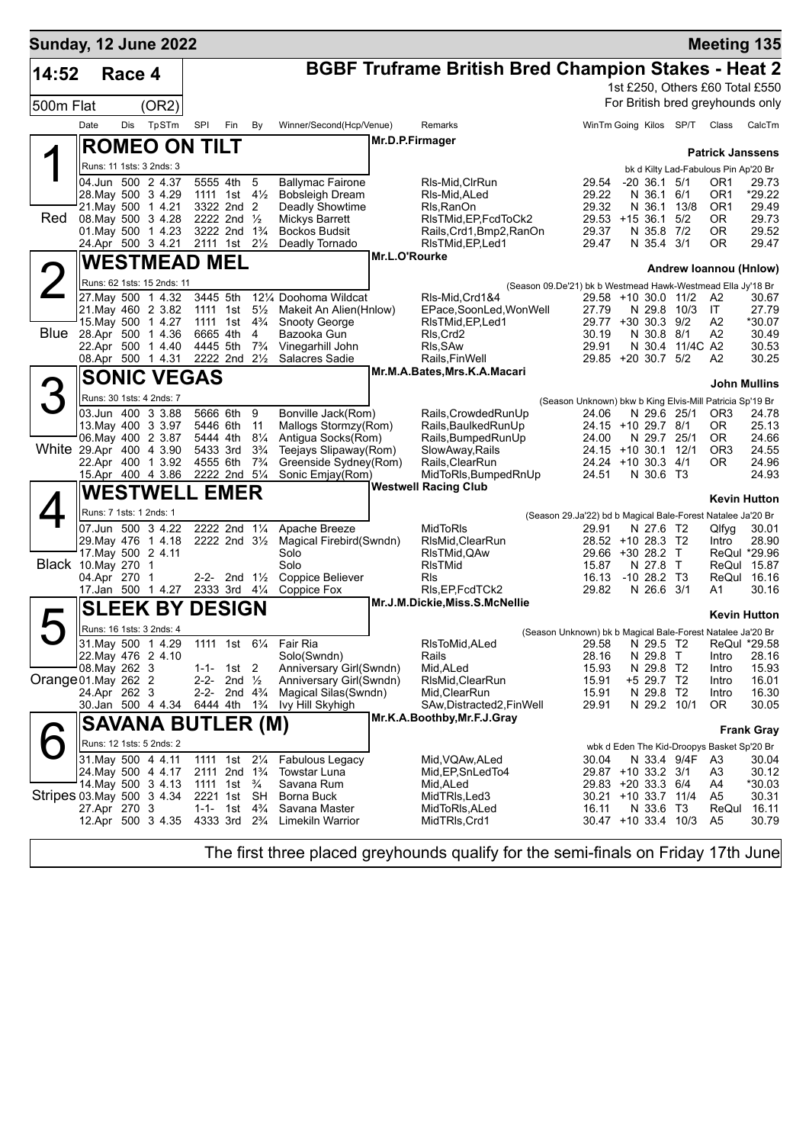|                      |              | <b>Sunday, 12 June 2022</b>                                    |                                                                  |                                                      |                      |                                                           |               |                                                              |                                                                      |                            |                              | <b>Meeting 135</b>                                                         |                         |
|----------------------|--------------|----------------------------------------------------------------|------------------------------------------------------------------|------------------------------------------------------|----------------------|-----------------------------------------------------------|---------------|--------------------------------------------------------------|----------------------------------------------------------------------|----------------------------|------------------------------|----------------------------------------------------------------------------|-------------------------|
| 14:52                |              | Race 4                                                         |                                                                  |                                                      |                      |                                                           |               | <b>BGBF Truframe British Bred Champion Stakes - Heat 2</b>   |                                                                      |                            |                              |                                                                            |                         |
| 500m Flat            |              | (OR2)                                                          |                                                                  |                                                      |                      |                                                           |               |                                                              |                                                                      |                            |                              | 1st £250, Others £60 Total £550<br>For British bred greyhounds only        |                         |
|                      | Date         | TpSTm<br>Dis                                                   | <b>SPI</b>                                                       | Fin                                                  | By                   | Winner/Second(Hcp/Venue)                                  |               | Remarks                                                      |                                                                      |                            | WinTm Going Kilos SP/T Class |                                                                            | CalcTm                  |
|                      |              | <b>ROMEO ON TILT</b>                                           |                                                                  |                                                      |                      |                                                           |               | Mr.D.P.Firmager                                              |                                                                      |                            |                              |                                                                            |                         |
|                      |              | Runs: 11 1sts: 3 2nds: 3                                       |                                                                  |                                                      |                      |                                                           |               |                                                              |                                                                      |                            |                              | <b>Patrick Janssens</b>                                                    |                         |
|                      |              | 04.Jun 500 2 4.37<br>28. May 500 3 4.29                        | 5555 4th<br>1111 1st 4 <sup>1</sup> / <sub>2</sub>               |                                                      | 5                    | <b>Ballymac Fairone</b><br><b>Bobsleigh Dream</b>         |               | RIs-Mid,CIrRun<br>RIs-Mid, ALed                              | 29.54<br>29.22                                                       | $-20$ 36.1 $5/1$<br>N 36.1 | 6/1                          | bk d Kilty Lad-Fabulous Pin Ap'20 Br<br>OR <sub>1</sub><br>OR <sub>1</sub> | 29.73<br>*29.22         |
| Red                  |              | 21. May 500 1 4.21<br>08. May 500 3 4.28<br>01. May 500 1 4.23 | 2222 2nd 1/2                                                     | 3322 2nd 2<br>3222 2nd 1 <sup>3</sup> / <sub>4</sub> |                      | Deadly Showtime<br>Mickys Barrett<br><b>Bockos Budsit</b> |               | Rls, RanOn<br>RIsTMid, EP, FcdToCk2<br>Rails,Crd1,Bmp2,RanOn | 29.32<br>29.53 +15 36.1<br>29.37                                     | N 36.1<br>N 35.8 7/2       | 13/8<br>5/2                  | OR <sub>1</sub><br>0R<br>0R                                                | 29.49<br>29.73<br>29.52 |
|                      |              | 24.Apr 500 3 4.21                                              | 2111 1st 21/ <sub>2</sub>                                        |                                                      |                      | Deadly Tornado                                            |               | RIsTMid, EP, Led1                                            | 29.47                                                                | N 35.4 3/1                 |                              | 0R                                                                         | 29.47                   |
|                      |              | <b>WESTMEAD MEL</b>                                            |                                                                  |                                                      |                      |                                                           | Mr.L.O'Rourke |                                                              |                                                                      |                            |                              | Andrew Ioannou (Hnlow)                                                     |                         |
|                      |              | Runs: 62 1sts: 15 2nds: 11                                     |                                                                  |                                                      |                      |                                                           |               | (Season 09.De'21) bk b Westmead Hawk-Westmead Ella Jy'18 Br  |                                                                      |                            |                              |                                                                            |                         |
|                      |              | 27. May 500 1 4.32<br>21. May 460 2 3.82                       | 3445 5th<br>1111 1st                                             |                                                      | $5\frac{1}{2}$       | 121/4 Doohoma Wildcat<br>Makeit An Alien(Hnlow)           |               | RIs-Mid, Crd1&4<br>EPace,SoonLed,WonWell                     | 29.58 +10 30.0 11/2<br>27.79                                         |                            | N 29.8 10/3                  | A2<br>IT.                                                                  | 30.67<br>27.79          |
|                      |              | 15. May 500 1 4.27                                             | 1111 1st                                                         |                                                      | $4\frac{3}{4}$       | <b>Snooty George</b>                                      |               | RIsTMid, EP, Led1                                            | 29.77 +30 30.3 9/2                                                   |                            |                              | A2                                                                         | *30.07                  |
| Blue                 |              | 28.Apr 500 1 4.36<br>22.Apr 500 1 4.40                         | 6665 4th<br>4445 5th                                             |                                                      | 4<br>$7\frac{3}{4}$  | Bazooka Gun<br>Vinegarhill John                           |               | RIs, Crd2<br>RIs, SAw                                        | 30.19<br>29.91                                                       | N 30.8 8/1                 | N 30.4 11/4C A2              | A2                                                                         | 30.49<br>30.53          |
|                      |              | 08.Apr 500 1 4.31                                              | 2222 2nd 21/2                                                    |                                                      |                      | Salacres Sadie                                            |               | Rails, FinWell                                               | 29.85 +20 30.7 5/2                                                   |                            |                              | A2                                                                         | 30.25                   |
|                      |              | <b>SONIC VEGAS</b>                                             |                                                                  |                                                      |                      |                                                           |               | Mr.M.A.Bates, Mrs.K.A.Macari                                 |                                                                      |                            |                              |                                                                            | <b>John Mullins</b>     |
|                      |              | Runs: 30 1sts: 4 2nds: 7                                       |                                                                  |                                                      |                      |                                                           |               |                                                              | (Season Unknown) bkw b King Elvis-Mill Patricia Sp'19 Br             |                            |                              |                                                                            |                         |
|                      |              | 03.Jun 400 3 3.88                                              | 5666 6th                                                         |                                                      | 9                    | Bonville Jack(Rom)                                        |               | Rails, Crowded RunUp                                         | 24.06                                                                |                            | N 29.6 25/1                  | OR <sub>3</sub>                                                            | 24.78                   |
|                      |              | 13 May 400 3 3 97<br>06. May 400 2 3.87                        | 5446 6th<br>5444 4th                                             |                                                      | 11<br>$8\frac{1}{4}$ | Mallogs Stormzy(Rom)<br>Antigua Socks(Rom)                |               | Rails, Baulked Run Up<br>Rails, Bumped Run Up                | 24.15 +10 29.7 8/1<br>24.00                                          | N 29.7                     | 25/1                         | 0R<br>OR.                                                                  | 25.13<br>24.66          |
|                      |              | White 29.Apr 400 4 3.90                                        | 5433 3rd                                                         |                                                      | $3\frac{3}{4}$       | Teejays Slipaway(Rom)                                     |               | SlowAway, Rails                                              | 24.15 +10 30.1 12/1                                                  |                            |                              | OR <sub>3</sub>                                                            | 24.55                   |
|                      |              | 22.Apr 400 1 3.92<br>15.Apr 400 4 3.86                         | 4555 6th                                                         | 2222 2nd 5 <sup>1</sup> / <sub>4</sub>               | $7\frac{3}{4}$       | Greenside Sydney(Rom)<br>Sonic Emjay(Rom)                 |               | Rails, ClearRun<br>MidToRIs, BumpedRnUp                      | 24.24 +10 30.3 4/1<br>24.51                                          | N 30.6 T3                  |                              | OR.                                                                        | 24.96<br>24.93          |
|                      |              | <b>WESTWELL</b>                                                |                                                                  | <b>EMER</b>                                          |                      |                                                           |               | <b>Westwell Racing Club</b>                                  |                                                                      |                            |                              |                                                                            |                         |
|                      |              | Runs: 7 1sts: 1 2nds: 1                                        |                                                                  |                                                      |                      |                                                           |               |                                                              |                                                                      |                            |                              | <b>Kevin Hutton</b>                                                        |                         |
|                      |              | 07.Jun 500 3 4.22                                              | 2222 2nd 11/4                                                    |                                                      |                      | Apache Breeze                                             |               | MidToRIs                                                     | (Season 29.Ja'22) bd b Magical Bale-Forest Natalee Ja'20 Br<br>29.91 | N 27.6 T2                  |                              | Qlfyg                                                                      | 30.01                   |
|                      |              | 29. May 476 1 4.18                                             |                                                                  | 2222 2nd $3\frac{1}{2}$                              |                      | Magical Firebird(Swndn)                                   |               | RIsMid, ClearRun                                             | 28.52 +10 28.3 T2                                                    |                            |                              | Intro                                                                      | 28.90                   |
| Black 10. May 270 1  |              | 17. May 500 2 4.11                                             |                                                                  |                                                      |                      | Solo<br>Solo                                              |               | RIsTMid, QAw<br>RIsTMid                                      | 29.66 +30 28.2 T<br>15.87                                            | N 27.8 T                   |                              | ReQul *29.96<br>ReQul 15.87                                                |                         |
|                      | 04.Apr 270 1 |                                                                |                                                                  | 2-2- 2nd $1\frac{1}{2}$                              |                      | Coppice Believer                                          |               | RIs                                                          | 16.13                                                                | $-10$ 28.2 T3              |                              | ReQul                                                                      | 16.16                   |
|                      |              | 17.Jan 500 1 4.27                                              | 2333 3rd 41/4                                                    |                                                      |                      | Coppice Fox                                               |               | RIs, EP, FcdTCk2<br>Mr.J.M.Dickie, Miss.S.McNellie           | 29.82                                                                | N 26.6 3/1                 |                              | A1                                                                         | 30.16                   |
|                      |              | <b>SLEEK BY</b>                                                | <b>DESIGN</b>                                                    |                                                      |                      |                                                           |               |                                                              |                                                                      |                            |                              | Kevin Hutton                                                               |                         |
|                      |              | Runs: 16 1sts: 3 2nds: 4<br>31. May 500 1 4.29                 |                                                                  |                                                      |                      | 1111 1st 61/4 Fair Ria                                    |               | RIsToMid, ALed                                               | (Season Unknown) bk b Magical Bale-Forest Natalee Ja'20 Br<br>29.58  | N 29.5 T2                  |                              |                                                                            |                         |
|                      |              | 22. May 476 2 4.10                                             |                                                                  |                                                      |                      | Solo(Swndn)                                               |               | Rails                                                        | 28.16                                                                | N 29.8 T                   |                              | ReQul<br>Intro                                                             | *29.58<br>28.16         |
|                      |              | 08. May 262 3                                                  | $1 - 1 -$                                                        | 1st 2                                                |                      | Anniversary Girl(Swndn)                                   |               | Mid, ALed                                                    | 15.93                                                                | N 29.8 T2                  |                              | Intro                                                                      | 15.93                   |
| Orange 01. May 262 2 | 24.Apr 262 3 |                                                                | 2-2-                                                             | 2nd $\frac{1}{2}$<br>2-2- 2nd $4\frac{3}{4}$         |                      | Anniversary Girl(Swndn)<br>Magical Silas (Swndn)          |               | RIsMid, ClearRun<br>Mid,ClearRun                             | 15.91<br>15.91                                                       | +5 29.7 T2<br>N 29.8 T2    |                              | Intro<br>Intro                                                             | 16.01<br>16.30          |
|                      |              | 30.Jan 500 4 4.34 6444 4th 1 <sup>3</sup> / <sub>4</sub>       |                                                                  |                                                      |                      | Ivy Hill Skyhigh                                          |               | SAw,Distracted2,FinWell                                      | 29.91                                                                | N 29.2 10/1                |                              | 0R                                                                         | 30.05                   |
|                      |              | <b>SAVANA BUTLER (M)</b>                                       |                                                                  |                                                      |                      |                                                           |               | Mr.K.A.Boothby, Mr.F.J.Gray                                  |                                                                      |                            |                              |                                                                            | <b>Frank Gray</b>       |
|                      |              | Runs: 12 1sts: 5 2nds: 2                                       |                                                                  |                                                      |                      |                                                           |               |                                                              |                                                                      |                            |                              | wbk d Eden The Kid-Droopys Basket Sp'20 Br                                 |                         |
|                      |              | 31. May 500 4 4.11                                             |                                                                  | 1111 1st 21/ <sub>4</sub>                            |                      | <b>Fabulous Legacy</b>                                    |               | Mid, VQAw, ALed                                              | 30.04                                                                |                            | N 33.4 9/4F                  | A3                                                                         | 30.04                   |
|                      |              | 24. May 500 4 4.17<br>14 May 500 3 4.13                        | 2111 2nd 1 <sup>3</sup> / <sub>4</sub><br>1111 1st $\frac{3}{4}$ |                                                      |                      | Towstar Luna<br>Savana Rum                                |               | Mid, EP, SnLed To 4<br>Mid, ALed                             | 29.87 +10 33.2 3/1<br>29.83 +20 33.3 6/4                             |                            |                              | A3<br>A4                                                                   | 30.12<br>*30.03         |
|                      |              | Stripes 03 May 500 3 4.34                                      | 2221 1st SH                                                      |                                                      |                      | Borna Buck                                                |               | MidTRIs,Led3                                                 | 30.21 +10 33.7 11/4                                                  |                            |                              | A5                                                                         | 30.31                   |
|                      | 27.Apr 270 3 | 12.Apr 500 3 4.35                                              | $1 - 1 -$<br>4333 3rd 2 <sup>3</sup> / <sub>4</sub>              | 1st                                                  | $4\frac{3}{4}$       | Savana Master<br>Limekiln Warrior                         |               | MidToRIs,ALed<br>MidTRIs,Crd1                                | 16.11<br>30.47 +10 33.4 10/3                                         | N 33.6 T3                  |                              | ReQul<br>A5                                                                | 16.11<br>30.79          |
|                      |              |                                                                |                                                                  |                                                      |                      |                                                           |               |                                                              |                                                                      |                            |                              |                                                                            |                         |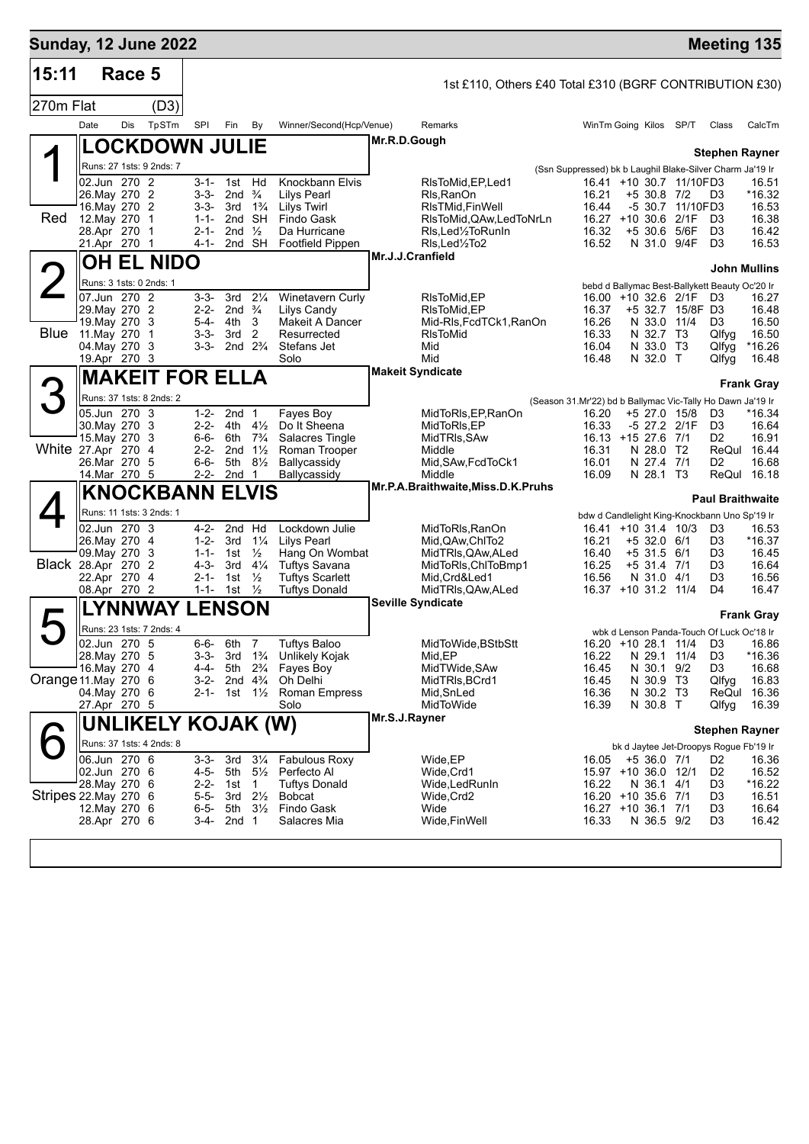| 15:11<br>270m Flat    |                                                                                              | Race 5       |     |                               |                                                                       |                                             |                                                                                                        |                                                                                                                                  |                  |                                                                                                                                                                                             |                                                                                            |                                            |                                                                 |                                                                                           |                                                                                                                |                                                                                |
|-----------------------|----------------------------------------------------------------------------------------------|--------------|-----|-------------------------------|-----------------------------------------------------------------------|---------------------------------------------|--------------------------------------------------------------------------------------------------------|----------------------------------------------------------------------------------------------------------------------------------|------------------|---------------------------------------------------------------------------------------------------------------------------------------------------------------------------------------------|--------------------------------------------------------------------------------------------|--------------------------------------------|-----------------------------------------------------------------|-------------------------------------------------------------------------------------------|----------------------------------------------------------------------------------------------------------------|--------------------------------------------------------------------------------|
|                       |                                                                                              |              |     |                               |                                                                       |                                             |                                                                                                        |                                                                                                                                  |                  | 1st £110, Others £40 Total £310 (BGRF CONTRIBUTION £30)                                                                                                                                     |                                                                                            |                                            |                                                                 |                                                                                           |                                                                                                                |                                                                                |
|                       |                                                                                              |              |     | (D3)                          |                                                                       |                                             |                                                                                                        |                                                                                                                                  |                  |                                                                                                                                                                                             |                                                                                            |                                            |                                                                 |                                                                                           |                                                                                                                |                                                                                |
|                       | Date                                                                                         |              | Dis | TpSTm                         | SPI                                                                   | Fin                                         | By                                                                                                     | Winner/Second(Hcp/Venue)                                                                                                         |                  | Remarks                                                                                                                                                                                     | WinTm Going Kilos SP/T                                                                     |                                            |                                                                 |                                                                                           | Class                                                                                                          | CalcTm                                                                         |
|                       |                                                                                              |              |     | <b>LOCKDOWN JULIE</b>         |                                                                       |                                             |                                                                                                        |                                                                                                                                  | Mr.R.D.Gough     |                                                                                                                                                                                             |                                                                                            |                                            |                                                                 |                                                                                           |                                                                                                                |                                                                                |
|                       |                                                                                              |              |     | Runs: 27 1sts: 9 2nds: 7      |                                                                       |                                             |                                                                                                        |                                                                                                                                  |                  |                                                                                                                                                                                             | (Ssn Suppressed) bk b Laughil Blake-Silver Charm Ja'19 Ir                                  |                                            |                                                                 |                                                                                           |                                                                                                                | <b>Stephen Rayner</b>                                                          |
| Red                   | 26. May 270 2<br>16. May 270 2<br>12.May 270 1<br>28.Apr 270 1<br>21.Apr 270 1               | 02.Jun 270 2 |     |                               | $3 - 1 -$<br>$3 - 3 -$<br>$3 - 3 -$<br>$1 - 1 -$<br>$2 - 1 -$<br>4-1- | 3rd<br>2nd                                  | 1st Hd<br>2nd $\frac{3}{4}$<br>$1\frac{3}{4}$<br>2nd SH<br>$\frac{1}{2}$<br>2nd SH                     | Knockbann Elvis<br><b>Lilys Pearl</b><br>Lilys Twirl<br>Findo Gask<br>Da Hurricane<br>Footfield Pippen                           |                  | RIsToMid, EP, Led 1<br>Rls, RanOn<br>RIsTMid, FinWell<br>RIsToMid, QAw, LedToNrLn<br>RIs, Led <sup>1</sup> / <sub>2</sub> To Run In<br>RIs, Led <sup>1</sup> / <sub>2</sub> To <sub>2</sub> | 16.21<br>16.44<br>16.32<br>16.52                                                           |                                            | $+5$ 30.8 7/2<br>$+5,30.6$                                      | 16.41 +10 30.7 11/10FD3<br>-5 30.7 11/10FD3<br>16.27 +10 30.6 2/1F<br>5/6F<br>N 31.0 9/4F | D3<br>D3<br>D <sub>3</sub><br>D <sub>3</sub>                                                                   | 16.51<br>*16.32<br>16.53<br>16.38<br>16.42<br>16.53                            |
|                       |                                                                                              |              |     | OH EL NIDO                    |                                                                       |                                             |                                                                                                        |                                                                                                                                  | Mr.J.J.Cranfield |                                                                                                                                                                                             |                                                                                            |                                            |                                                                 |                                                                                           |                                                                                                                |                                                                                |
|                       |                                                                                              |              |     | Runs: 3 1sts: 0 2nds: 1       |                                                                       |                                             |                                                                                                        |                                                                                                                                  |                  |                                                                                                                                                                                             |                                                                                            |                                            |                                                                 |                                                                                           |                                                                                                                | <b>John Mullins</b>                                                            |
| <b>Blue</b>           | 07.Jun 270 2<br>29. May 270 2<br>19. May 270 3<br>11. May 270<br>04. May 270<br>19.Apr 270 3 |              |     | $\overline{1}$<br>-3          | $3 - 3 -$<br>$2 - 2 -$<br>$5 - 4 -$<br>$3 - 3 -$<br>$3 - 3 -$         | 3rd<br>4th<br>3rd                           | $2\frac{1}{4}$<br>2nd $\frac{3}{4}$<br>3<br>2<br>2nd $2\frac{3}{4}$                                    | <b>Winetavern Curly</b><br>Lilys Candy<br>Makeit A Dancer<br>Resurrected<br>Stefans Jet<br>Solo                                  |                  | RIsToMid, EP<br>RIsToMid, EP<br>Mid-RIs, FcdTCk1, RanOn<br><b>RIsToMid</b><br>Mid<br>Mid                                                                                                    | 16.37<br>16.26<br>16.33<br>16.04<br>16.48                                                  |                                            | N 32.7 T3<br>N 33.0 T3<br>N 32.0 T                              | 16.00 +10 32.6 2/1F<br>+5 32.7 15/8F D3<br>N 33.0 11/4                                    | bebd d Ballymac Best-Ballykett Beauty Oc'20 Ir<br>D3<br>D <sub>3</sub><br>Qlfyq<br>Qlfyg<br>Qlfyg              | 16.27<br>16.48<br>16.50<br>16.50<br>$*16.26$<br>16.48                          |
|                       |                                                                                              |              |     | <b>MAKEIT FOR ELLA</b>        |                                                                       |                                             |                                                                                                        |                                                                                                                                  |                  | <b>Makeit Syndicate</b>                                                                                                                                                                     |                                                                                            |                                            |                                                                 |                                                                                           |                                                                                                                |                                                                                |
| 3                     |                                                                                              |              |     | Runs: 37 1sts: 8 2nds: 2      |                                                                       |                                             |                                                                                                        |                                                                                                                                  |                  |                                                                                                                                                                                             | (Season 31.Mr'22) bd b Ballymac Vic-Tally Ho Dawn Ja'19 Ir                                 |                                            |                                                                 |                                                                                           |                                                                                                                | <b>Frank Gray</b>                                                              |
| White 27.Apr 270      | 05.Jun 270 3<br>30. May 270 3<br>15. May 270 3<br>26.Mar 270 5<br>14.Mar 270 5               |              |     | - 4                           | $1 - 2 -$<br>$2 - 2 -$<br>6-6-<br>$2 - 2 -$<br>6-6-<br>$2 - 2 -$      | 4th<br>6th<br>2 <sub>nd</sub><br>5th<br>2nd | 2nd <sub>1</sub><br>$4\frac{1}{2}$<br>$7\frac{3}{4}$<br>$1\frac{1}{2}$<br>$8\frac{1}{2}$<br>1          | Fayes Boy<br>Do It Sheena<br>Salacres Tingle<br>Roman Trooper<br>Ballycassidy<br>Ballycassidy                                    |                  | MidToRIs, EP, RanOn<br>MidToRIs, EP<br>MidTRIs, SAw<br>Middle<br>Mid, SAw, FcdToCk1<br>Middle                                                                                               | 16.20<br>16.33<br>16.13 +15 27.6 7/1<br>16.31<br>16.01<br>16.09                            |                                            | +5 27.0 15/8<br>N 28.0 T2<br>N 27.4 7/1<br>N 28.1 T3            | -5 27.2 2/1F                                                                              | D3<br>D <sub>3</sub><br>D2<br>D2                                                                               | *16.34<br>16.64<br>16.91<br>ReQul 16.44<br>16.68<br>ReQul 16.18                |
|                       |                                                                                              |              |     | <b>KNOCKBANN ELVIS</b>        |                                                                       |                                             |                                                                                                        |                                                                                                                                  |                  | Mr.P.A.Braithwaite, Miss.D.K.Pruhs                                                                                                                                                          |                                                                                            |                                            |                                                                 |                                                                                           |                                                                                                                |                                                                                |
| Black 28.Apr 270      | 26. May 270 4<br>09. May 270 3<br>22.Apr 270 4<br>08.Apr 270 2                               | 02.Jun 270 3 |     | Runs: 11 1sts: 3 2nds: 1<br>2 | 4-2-<br>$1 - 2 -$<br>$1 - 1 -$<br>4-3-<br>2-1-<br>$1 - 1 -$           | 3rd<br>1st<br>3rd<br>1st<br>1st             | 2nd Hd<br>$1\frac{1}{4}$<br>$\frac{1}{2}$<br>$4\frac{1}{4}$<br>$\frac{1}{2}$<br>$\frac{1}{2}$          | Lockdown Julie<br><b>Lilys Pearl</b><br>Hang On Wombat<br><b>Tuftys Savana</b><br><b>Tuftys Scarlett</b><br><b>Tuftys Donald</b> |                  | MidToRIs, RanOn<br>Mid, QAw, ChITo2<br>MidTRIs, QAw, ALed<br>MidToRIs, ChIToBmp1<br>Mid,Crd&Led1<br>MidTRIs, QAw, ALed                                                                      | 16.21<br>16.40<br>16.25<br>16.56                                                           | 16.41 +10 31.4 10/3<br>16.37 +10 31.2 11/4 | $+5$ 32.0 6/1<br>$+5$ 31.5 6/1<br>$+5$ 31.4 7/1<br>N 31.0 4/1   |                                                                                           | bdw d Candlelight King-Knockbann Uno Sp'19 Ir<br>D3<br>D <sub>3</sub><br>D3<br>D3<br>D3<br>D4                  | <b>Paul Braithwaite</b><br>16.53<br>*16.37<br>16.45<br>16.64<br>16.56<br>16.47 |
|                       |                                                                                              |              |     | LYNNWAY                       | <b>LENSON</b>                                                         |                                             |                                                                                                        |                                                                                                                                  |                  | <b>Seville Syndicate</b>                                                                                                                                                                    |                                                                                            |                                            |                                                                 |                                                                                           |                                                                                                                | <b>Frank Gray</b>                                                              |
| Orange 11 May 270 6   | 02.Jun 270 5<br>28. May 270 5<br>16. May 270 4<br>04. May 270 6<br>27.Apr 270 5              |              |     | Runs: 23 1sts: 7 2nds: 4      | $6 - 6 -$<br>3-3-<br>4-4-<br>$3-2-$<br>2-1-                           | 6th<br>3rd<br>5th                           | 7<br>$1\frac{3}{4}$<br>$2\frac{3}{4}$<br>2nd $4\frac{3}{4}$<br>1st 1½                                  | <b>Tuftys Baloo</b><br>Unlikely Kojak<br>Fayes Boy<br>Oh Delhi<br>Roman Empress<br>Solo                                          |                  | MidToWide, BStbStt<br>Mid, EP<br>MidTWide, SAw<br>MidTRIs, BCrd1<br>Mid,SnLed<br>MidToWide                                                                                                  | 16.22<br>16.45<br>16.45<br>16.36<br>16.39                                                  |                                            | N 29.1 11/4<br>N 30.1 9/2<br>N 30.9 T3<br>N 30.2 T3<br>N 30.8 T | 16.20 +10 28.1 11/4 D3                                                                    | wbk d Lenson Panda-Touch Of Luck Oc'18 Ir<br>D <sub>3</sub><br>D3<br>Qlfyg<br>Qlfyg                            | 16.86<br>*16.36<br>16.68<br>16.83<br>ReQul 16.36<br>16.39                      |
|                       |                                                                                              |              |     | UNLIKELY KOJAK (W)            |                                                                       |                                             |                                                                                                        |                                                                                                                                  | Mr.S.J.Rayner    |                                                                                                                                                                                             |                                                                                            |                                            |                                                                 |                                                                                           |                                                                                                                | <b>Stephen Rayner</b>                                                          |
| Stripes 22. May 270 6 | 06.Jun 270 6<br>02.Jun 270 6<br>28.May 270 6<br>12. May 270 6<br>28.Apr 270 6                |              |     | Runs: 37 1sts: 4 2nds: 8      | $3 - 3 -$<br>4-5-<br>$2 - 2 -$<br>$5 - 5 -$<br>$6 - 5 -$<br>3-4-      | 3rd<br>5th<br>1st<br>3rd<br>5th<br>2nd      | $3\frac{1}{4}$<br>$5\frac{1}{2}$<br>$\mathbf{1}$<br>$2\frac{1}{2}$<br>$3\frac{1}{2}$<br>$\overline{1}$ | <b>Fabulous Roxy</b><br>Perfecto Al<br>Tuftys Donald<br><b>Bobcat</b><br>Findo Gask<br>Salacres Mia                              |                  | Wide, EP<br>Wide, Crd1<br>Wide,LedRunIn<br>Wide, Crd2<br>Wide<br>Wide, Fin Well                                                                                                             | 16.05<br>15.97 +10 36.0 12/1<br>16.22<br>16.20 +10 35.6 7/1<br>16.27 +10 36.1 7/1<br>16.33 |                                            | $+5$ 36.0 7/1<br>N 36.1 4/1<br>N 36.5 9/2                       |                                                                                           | bk d Jaytee Jet-Droopys Rogue Fb'19 Ir<br>D <sub>2</sub><br>D <sub>2</sub><br>D3<br>D3<br>D3<br>D <sub>3</sub> | 16.36<br>16.52<br>$*16.22$<br>16.51<br>16.64<br>16.42                          |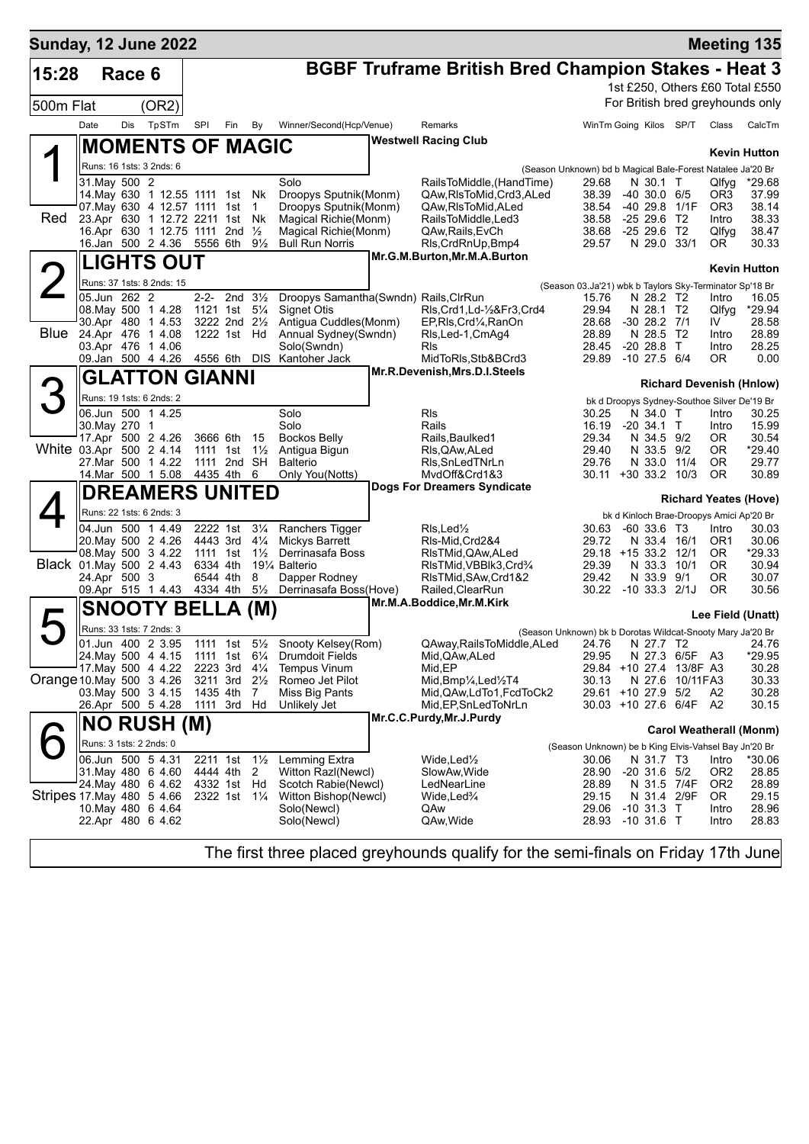| <b>Sunday, 12 June 2022</b> |               |        |                                                                 |                                          |     |                      |                                                                 |                                                                          |                                                            |                                                         |                |                        | <b>Meeting 135</b>               |
|-----------------------------|---------------|--------|-----------------------------------------------------------------|------------------------------------------|-----|----------------------|-----------------------------------------------------------------|--------------------------------------------------------------------------|------------------------------------------------------------|---------------------------------------------------------|----------------|------------------------|----------------------------------|
| 15:28                       |               | Race 6 |                                                                 |                                          |     |                      |                                                                 | <b>BGBF Truframe British Bred Champion Stakes - Heat 3</b>               |                                                            |                                                         |                |                        |                                  |
|                             |               |        |                                                                 |                                          |     |                      |                                                                 |                                                                          |                                                            |                                                         |                |                        | 1st £250, Others £60 Total £550  |
| 500m Flat                   |               |        | (OR2)                                                           |                                          |     |                      |                                                                 |                                                                          |                                                            |                                                         |                |                        | For British bred greyhounds only |
|                             | Date          | Dis    | TpSTm                                                           | SPI                                      | Fin | By                   | Winner/Second(Hcp/Venue)                                        | Remarks                                                                  |                                                            | WinTm Going Kilos SP/T                                  |                | Class                  | CalcTm                           |
|                             |               |        |                                                                 |                                          |     |                      |                                                                 | <b>Westwell Racing Club</b>                                              |                                                            |                                                         |                |                        |                                  |
|                             |               |        | <b>MOMENTS OF MAGIC</b>                                         |                                          |     |                      |                                                                 |                                                                          |                                                            |                                                         |                |                        | <b>Kevin Hutton</b>              |
|                             |               |        | Runs: 16 1sts: 3 2nds: 6                                        |                                          |     |                      |                                                                 |                                                                          | (Season Unknown) bd b Magical Bale-Forest Natalee Ja'20 Br |                                                         |                |                        |                                  |
|                             | 31. May 500 2 |        |                                                                 |                                          |     |                      | Solo                                                            | RailsToMiddle, (HandTime)                                                | 29.68                                                      | N 30.1 T                                                |                | Qlfyg                  | *29.68                           |
|                             |               |        | 14. May 630 1 12.55 1111 1st Nk<br>07. May 630 4 12.57 1111 1st |                                          |     | 1                    | Droopys Sputnik(Monm)<br>Droopys Sputnik(Monm)                  | QAw, RIsToMid, Crd3, ALed<br>QAw,RIsToMid,ALed                           | 38.39<br>38.54                                             | $-40,30.0,6/5$<br>-40 29.8 1/1F                         |                | OR3<br>OR <sub>3</sub> | 37.99<br>38.14                   |
| Red                         |               |        | 23.Apr 630 1 12.72 2211 1st                                     |                                          |     | <b>Nk</b>            | Magical Richie(Monm)                                            | RailsToMiddle,Led3                                                       | 38.58                                                      | $-2529.6$                                               | T2             | Intro                  | 38.33                            |
|                             |               |        | 16.Apr 630 1 12.75 1111                                         |                                          | 2nd | $\frac{1}{2}$        | Magical Richie (Monm)                                           | QAw, Rails, EvCh                                                         | 38.68                                                      | $-25$ 29.6 T2                                           |                | Qlfyg                  | 38.47                            |
|                             |               |        | 16.Jan 500 2 4.36                                               | 5556 6th                                 |     | $9\frac{1}{2}$       | <b>Bull Run Norris</b>                                          | Rls,CrdRnUp,Bmp4<br>Mr.G.M.Burton, Mr.M.A.Burton                         | 29.57                                                      | N 29.0 33/1                                             |                | 0R                     | 30.33                            |
|                             |               |        | <b>LIGHTS OUT</b>                                               |                                          |     |                      |                                                                 |                                                                          |                                                            |                                                         |                |                        | <b>Kevin Hutton</b>              |
|                             |               |        | Runs: 37 1sts: 8 2nds: 15                                       |                                          |     |                      |                                                                 |                                                                          | (Season 03.Ja'21) wbk b Taylors Sky-Terminator Sp'18 Br    |                                                         |                |                        |                                  |
|                             | 05.Jun 262 2  |        |                                                                 | 2-2-                                     |     | 2nd $3\frac{1}{2}$   | Droopys Samantha(Swndn) Rails, ClrRun                           |                                                                          | 15.76                                                      | N 28.2 T2                                               |                | Intro                  | 16.05                            |
|                             |               |        | 08. May 500 1 4.28<br>30.Apr 480 1 4.53                         | 1121 1st 51/4<br>3222 2nd $2\frac{1}{2}$ |     |                      | Signet Otis<br>Antigua Cuddles(Monm)                            | RIs, Crd1, Ld-1/2& Fr3, Crd4<br>EP, RIs, Crd1/4, RanOn                   | 29.94<br>28.68                                             | N 28.1 T2<br>$-30$ 28.2 $7/1$                           |                | Qlfyg<br>IV.           | *29.94<br>28.58                  |
| Blue                        |               |        | 24.Apr 476 1 4.08                                               | 1222 1st Hd                              |     |                      | Annual Sydney(Swndn)                                            | RIs, Led-1, CmAq4                                                        | 28.89                                                      | N 28.5 T2                                               |                | Intro                  | 28.89                            |
|                             |               |        | 03.Apr 476 1 4.06                                               |                                          |     |                      | Solo(Swndn)                                                     | <b>RIs</b>                                                               | 28.45                                                      | -20 28.8 T                                              |                | Intro                  | 28.25                            |
|                             |               |        | 09.Jan 500 4 4.26                                               |                                          |     |                      | 4556 6th DIS Kantoher Jack                                      | MidToRIs, Stb&BCrd3                                                      | 29.89                                                      | $-10$ 27.5 6/4                                          |                | OR.                    | 0.00                             |
|                             |               |        | <b>GLATTON GIANNI</b>                                           |                                          |     |                      |                                                                 | Mr.R.Devenish, Mrs.D.I.Steels                                            |                                                            |                                                         |                |                        | <b>Richard Devenish (Hnlow)</b>  |
|                             |               |        | Runs: 19 1sts: 6 2nds: 2                                        |                                          |     |                      |                                                                 |                                                                          |                                                            | bk d Droopys Sydney-Southoe Silver De'19 Br             |                |                        |                                  |
|                             |               |        | 06.Jun 500 1 4.25                                               |                                          |     |                      | Solo                                                            | Rls                                                                      | 30.25                                                      | N 34.0 T                                                |                | Intro                  | 30.25                            |
|                             | 30. May 270 1 |        |                                                                 |                                          |     |                      | Solo                                                            | Rails                                                                    | 16.19                                                      | $-20, 34.1$ T                                           |                | Intro                  | 15.99                            |
| White 03.Apr 500 2 4.14     |               |        | 17.Apr 500 2 4.26                                               | 3666 6th<br>1111 1st                     |     | 15<br>$1\frac{1}{2}$ | <b>Bockos Belly</b><br>Antigua Bigun                            | Rails, Baulked1<br>RIs, QAw, ALed                                        | 29.34<br>29.40                                             | N 34.5 9/2<br>N 33.5 9/2                                |                | 0R<br>0R               | 30.54<br>$*29.40$                |
|                             |               |        | 27. Mar 500 1 4.22                                              | 1111 2nd SH                              |     |                      | <b>Balterio</b>                                                 | RIs, SnLed TNrLn                                                         | 29.76                                                      | N 33.0 11/4                                             |                | 0R                     | 29.77                            |
|                             |               |        | 14. Mar 500 1 5.08                                              | 4435 4th                                 |     | 6                    | Only You(Notts)                                                 | MvdOff&Crd1&3                                                            |                                                            | 30.11 +30 33.2 10/3                                     |                | 0R                     | 30.89                            |
|                             |               |        | <b>DREAMERS UNITED</b>                                          |                                          |     |                      |                                                                 | <b>Dogs For Dreamers Syndicate</b>                                       |                                                            |                                                         |                |                        |                                  |
|                             |               |        | Runs: 22 1sts: 6 2nds: 3                                        |                                          |     |                      |                                                                 |                                                                          |                                                            |                                                         |                |                        | <b>Richard Yeates (Hove)</b>     |
|                             |               |        | 04.Jun 500 1 4.49                                               | 2222 1st                                 |     | $3\frac{1}{4}$       | Ranchers Tigger                                                 | $Rls$ , Led $\frac{1}{2}$                                                | 30.63                                                      | bk d Kinloch Brae-Droopys Amici Ap'20 Br<br>$-60336$ T3 |                | Intro                  | 30.03                            |
|                             |               |        | 20. May 500 2 4.26                                              | 4443 3rd                                 |     | $4\frac{1}{4}$       | Mickys Barrett                                                  | RIs-Mid, Crd2&4                                                          | 29.72                                                      | N 33.4 16/1                                             |                | OR <sub>1</sub>        | 30.06                            |
|                             |               |        | 08. May 500 3 4.22                                              | 1111 1st                                 |     | $1\frac{1}{2}$       | Derrinasafa Boss                                                | RIsTMid, QAw, ALed                                                       |                                                            | 29.18 +15 33.2                                          | 12/1           | 0R                     | *29.33                           |
|                             | 24.Apr 500 3  |        | Black 01. May 500 2 4.43                                        | 6334 4th<br>6544 4th                     |     | 8                    | 191⁄4 Balterio<br>Dapper Rodney                                 | RIsTMid, VBBIk3, Crd <sup>3</sup> / <sub>4</sub><br>RIsTMid, SAw, Crd1&2 | 29.39<br>29.42                                             | N 33.3<br>N 33.9 9/1                                    | 10/1           | 0R<br><b>OR</b>        | 30.94<br>30.07                   |
|                             |               |        | 09.Apr 515 1 4.43                                               | 4334 4th                                 |     | $5\frac{1}{2}$       | Derrinasafa Boss(Hove)                                          | Railed, ClearRun                                                         |                                                            | 30.22 -10 33.3 2/1J                                     |                | <b>OR</b>              | 30.56                            |
|                             |               |        | <b>SNOOTY BELLA (M)</b>                                         |                                          |     |                      |                                                                 | Mr.M.A.Boddice, Mr.M.Kirk                                                |                                                            |                                                         |                |                        |                                  |
|                             |               |        |                                                                 |                                          |     |                      |                                                                 |                                                                          |                                                            |                                                         |                |                        | Lee Field (Unatt)                |
|                             |               |        | Runs: 33 1sts: 7 2nds: 3                                        |                                          |     |                      |                                                                 |                                                                          | (Season Unknown) bk b Dorotas Wildcat-Snooty Mary Ja'20 Br |                                                         |                |                        |                                  |
|                             |               |        | 01.Jun 400 2 3.95<br>24. May 500 4 4.15                         | 1111 1st 61/ <sub>4</sub>                |     |                      | 1111 1st 51/ <sub>2</sub> Snooty Kelsey(Rom)<br>Drumdoit Fields | QAway,RailsToMiddle,ALed 24.76 N 27.7 T2<br>Mid, QAw, ALed               | 29.95                                                      |                                                         | N 27.3 6/5F A3 |                        | 24.76<br>*29.95                  |
|                             |               |        | 17. May 500 4 4.22                                              | 2223 3rd $4\frac{1}{4}$                  |     |                      | Tempus Vinum                                                    | Mid, EP                                                                  |                                                            | 29.84 +10 27.4                                          | 13/8F A3       |                        | 30.28                            |
| Orange 10. May 500 3 4.26   |               |        |                                                                 | 3211 3rd                                 |     | $2\frac{1}{2}$       | Romeo Jet Pilot                                                 | Mid, Bmp1/ <sub>4</sub> , Led <sup>1</sup> / <sub>2</sub> T4             | 30.13                                                      | N 27.6                                                  | 10/11FA3       |                        | 30.33                            |
|                             |               |        | 03. May 500 3 4.15                                              | 1435 4th                                 |     | 7<br>Hd              | Miss Big Pants                                                  | Mid, QAw, LdTo 1, FcdTo Ck2                                              |                                                            | 29.61 +10 27.9                                          | 5/2            | A2                     | 30.28                            |
|                             |               |        | 26.Apr 500 5 4.28                                               | 1111 3rd                                 |     |                      | Unlikely Jet                                                    | Mid, EP, SnLed ToNrLn<br>Mr.C.C.Purdy, Mr.J.Purdy                        |                                                            | 30.03 +10 27.6 6/4F A2                                  |                |                        | 30.15                            |
|                             |               |        | <b>NO RUSH (M)</b>                                              |                                          |     |                      |                                                                 |                                                                          |                                                            |                                                         |                |                        | <b>Carol Weatherall (Monm)</b>   |
|                             |               |        | Runs: 3 1sts: 2 2nds: 0                                         |                                          |     |                      |                                                                 |                                                                          | (Season Unknown) be b King Elvis-Vahsel Bay Jn'20 Br       |                                                         |                |                        |                                  |
|                             |               |        | 06.Jun 500 5 4.31                                               | 2211 1st                                 |     | $1\frac{1}{2}$       | Lemming Extra                                                   | Wide, Led <sup>1</sup> / <sub>2</sub>                                    | 30.06                                                      | N 31.7 T3                                               |                | Intro                  | *30.06                           |
|                             |               |        | 31. May 480 6 4.60<br>24. May 480 6 4.62                        | 4444 4th<br>4332 1st Hd                  |     | 2                    | Witton Razl(Newcl)<br>Scotch Rabie(Newcl)                       | SlowAw, Wide<br>LedNearLine                                              | 28.90<br>28.89                                             | $-20$ 31.6 $5/2$<br>N 31.5 7/4F                         |                | OR2<br>OR <sub>2</sub> | 28.85<br>28.89                   |
| Stripes 17 May 480 5 4.66   |               |        |                                                                 | 2322 1st 11/4                            |     |                      | Witton Bishop (Newcl)                                           | Wide,Led <sup>3</sup> /4                                                 | 29.15                                                      | N 31.4 2/9F                                             |                | OR.                    | 29.15                            |
|                             |               |        | 10. May 480 6 4.64                                              |                                          |     |                      | Solo(Newcl)                                                     | QAw                                                                      | 29.06                                                      | $-10$ 31.3 T                                            |                | Intro                  | 28.96                            |
|                             |               |        | 22.Apr 480 6 4.62                                               |                                          |     |                      | Solo(Newcl)                                                     | QAw,Wide                                                                 | 28.93                                                      | -10 31.6 T                                              |                | Intro                  | 28.83                            |
|                             |               |        |                                                                 |                                          |     |                      |                                                                 |                                                                          |                                                            |                                                         |                |                        |                                  |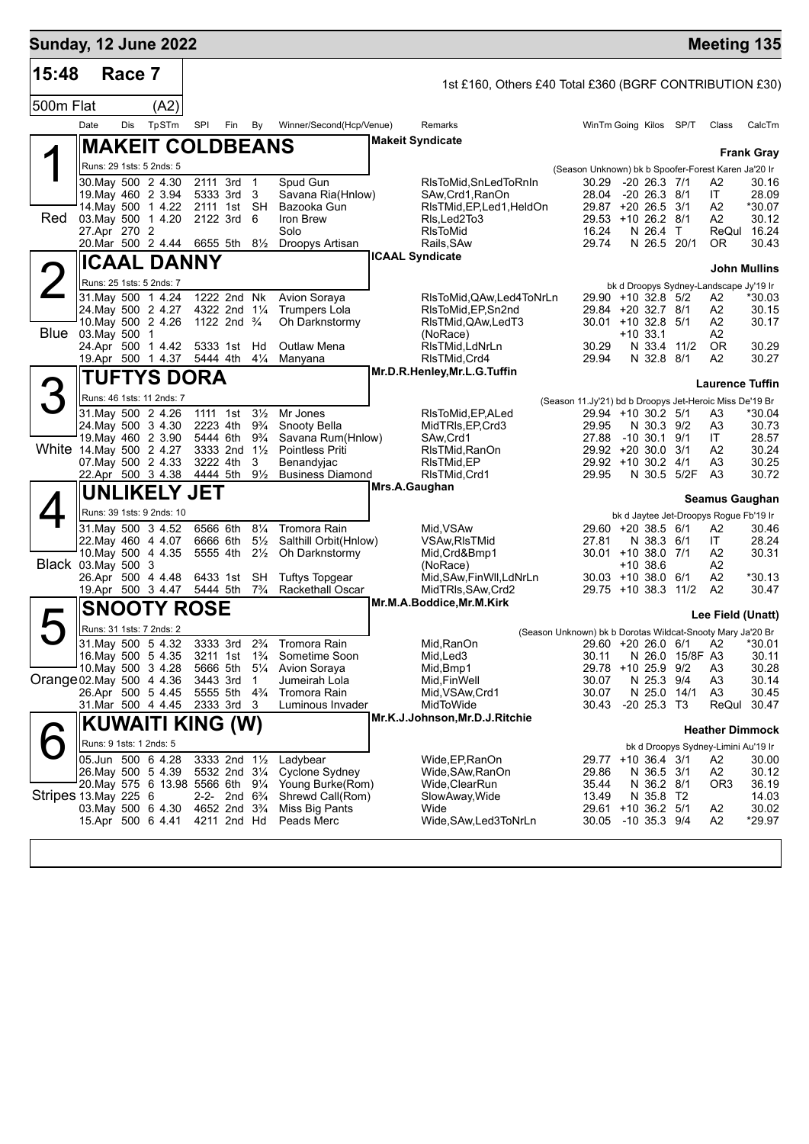| 500m Flat<br>Date<br>27.Apr 270 2<br>24. May 500 2 4.27<br>10. May 500 2 4.26 | Race 7<br><b>Dis</b> | (A2)<br>TpSTm<br><b>MAKEIT COLDBEANS</b><br>Runs: 29 1sts: 5 2nds: 5<br>30. May 500 2 4.30<br>19. May 460 2 3.94<br>14. May 500 1 4.22<br>03. May 500 1 4.20<br>20.Mar 500 2 4.44<br><b>ICAAL DANNY</b><br>Runs: 25 1sts: 5 2nds: 7 | SPI<br>2111 3rd<br>5333 3rd<br>2111 1st<br>2122 3rd<br>6655 5th                                                                                                                                                                                                                                                                                                                                                                                                                                                                                                                                                               | Fin                 | By<br>$\mathbf{1}$<br>3<br>SH<br>6<br>$8\frac{1}{2}$                                                                                                                                                                                             | Winner/Second(Hcp/Venue)<br>Spud Gun<br>Savana Ria(Hnlow)<br>Bazooka Gun<br>Iron Brew                                                                                                                                                                                                                                                                                                                                                                       |                                                                                                                           | 1st £160, Others £40 Total £360 (BGRF CONTRIBUTION £30)<br>Remarks<br><b>Makeit Syndicate</b><br>RIsToMid, SnLedToRnIn<br>SAw, Crd1, RanOn | WinTm Going Kilos SP/T<br>(Season Unknown) bk b Spoofer-Forest Karen Ja'20 Ir<br>30.29<br>28.04                                                                                                                                                                                                                                             |                                                    | $-20$ 26.3 $7/1$        |                           | Class                                                                                                                                                                                                                                                                                                                                                                         | CalcTm<br><b>Frank Gray</b>                                                                                                                                                                                                                                                                                                                                                                                                                                       |
|-------------------------------------------------------------------------------|----------------------|-------------------------------------------------------------------------------------------------------------------------------------------------------------------------------------------------------------------------------------|-------------------------------------------------------------------------------------------------------------------------------------------------------------------------------------------------------------------------------------------------------------------------------------------------------------------------------------------------------------------------------------------------------------------------------------------------------------------------------------------------------------------------------------------------------------------------------------------------------------------------------|---------------------|--------------------------------------------------------------------------------------------------------------------------------------------------------------------------------------------------------------------------------------------------|-------------------------------------------------------------------------------------------------------------------------------------------------------------------------------------------------------------------------------------------------------------------------------------------------------------------------------------------------------------------------------------------------------------------------------------------------------------|---------------------------------------------------------------------------------------------------------------------------|--------------------------------------------------------------------------------------------------------------------------------------------|---------------------------------------------------------------------------------------------------------------------------------------------------------------------------------------------------------------------------------------------------------------------------------------------------------------------------------------------|----------------------------------------------------|-------------------------|---------------------------|-------------------------------------------------------------------------------------------------------------------------------------------------------------------------------------------------------------------------------------------------------------------------------------------------------------------------------------------------------------------------------|-------------------------------------------------------------------------------------------------------------------------------------------------------------------------------------------------------------------------------------------------------------------------------------------------------------------------------------------------------------------------------------------------------------------------------------------------------------------|
|                                                                               |                      |                                                                                                                                                                                                                                     |                                                                                                                                                                                                                                                                                                                                                                                                                                                                                                                                                                                                                               |                     |                                                                                                                                                                                                                                                  |                                                                                                                                                                                                                                                                                                                                                                                                                                                             |                                                                                                                           |                                                                                                                                            |                                                                                                                                                                                                                                                                                                                                             |                                                    |                         |                           |                                                                                                                                                                                                                                                                                                                                                                               |                                                                                                                                                                                                                                                                                                                                                                                                                                                                   |
|                                                                               |                      |                                                                                                                                                                                                                                     |                                                                                                                                                                                                                                                                                                                                                                                                                                                                                                                                                                                                                               |                     |                                                                                                                                                                                                                                                  |                                                                                                                                                                                                                                                                                                                                                                                                                                                             |                                                                                                                           |                                                                                                                                            |                                                                                                                                                                                                                                                                                                                                             |                                                    |                         |                           |                                                                                                                                                                                                                                                                                                                                                                               |                                                                                                                                                                                                                                                                                                                                                                                                                                                                   |
|                                                                               |                      |                                                                                                                                                                                                                                     |                                                                                                                                                                                                                                                                                                                                                                                                                                                                                                                                                                                                                               |                     |                                                                                                                                                                                                                                                  |                                                                                                                                                                                                                                                                                                                                                                                                                                                             |                                                                                                                           |                                                                                                                                            |                                                                                                                                                                                                                                                                                                                                             |                                                    |                         |                           |                                                                                                                                                                                                                                                                                                                                                                               |                                                                                                                                                                                                                                                                                                                                                                                                                                                                   |
|                                                                               |                      |                                                                                                                                                                                                                                     |                                                                                                                                                                                                                                                                                                                                                                                                                                                                                                                                                                                                                               |                     |                                                                                                                                                                                                                                                  |                                                                                                                                                                                                                                                                                                                                                                                                                                                             |                                                                                                                           |                                                                                                                                            |                                                                                                                                                                                                                                                                                                                                             |                                                    |                         |                           |                                                                                                                                                                                                                                                                                                                                                                               |                                                                                                                                                                                                                                                                                                                                                                                                                                                                   |
|                                                                               |                      |                                                                                                                                                                                                                                     |                                                                                                                                                                                                                                                                                                                                                                                                                                                                                                                                                                                                                               |                     |                                                                                                                                                                                                                                                  |                                                                                                                                                                                                                                                                                                                                                                                                                                                             |                                                                                                                           |                                                                                                                                            |                                                                                                                                                                                                                                                                                                                                             |                                                    |                         |                           |                                                                                                                                                                                                                                                                                                                                                                               |                                                                                                                                                                                                                                                                                                                                                                                                                                                                   |
|                                                                               |                      |                                                                                                                                                                                                                                     |                                                                                                                                                                                                                                                                                                                                                                                                                                                                                                                                                                                                                               |                     |                                                                                                                                                                                                                                                  |                                                                                                                                                                                                                                                                                                                                                                                                                                                             |                                                                                                                           |                                                                                                                                            |                                                                                                                                                                                                                                                                                                                                             |                                                    |                         |                           |                                                                                                                                                                                                                                                                                                                                                                               |                                                                                                                                                                                                                                                                                                                                                                                                                                                                   |
|                                                                               |                      |                                                                                                                                                                                                                                     |                                                                                                                                                                                                                                                                                                                                                                                                                                                                                                                                                                                                                               |                     |                                                                                                                                                                                                                                                  |                                                                                                                                                                                                                                                                                                                                                                                                                                                             |                                                                                                                           |                                                                                                                                            |                                                                                                                                                                                                                                                                                                                                             |                                                    | $-20$ 26.3 $8/1$        |                           | A2<br>ΙT                                                                                                                                                                                                                                                                                                                                                                      | 30.16<br>28.09                                                                                                                                                                                                                                                                                                                                                                                                                                                    |
|                                                                               |                      |                                                                                                                                                                                                                                     |                                                                                                                                                                                                                                                                                                                                                                                                                                                                                                                                                                                                                               |                     |                                                                                                                                                                                                                                                  |                                                                                                                                                                                                                                                                                                                                                                                                                                                             |                                                                                                                           | RIsTMid, EP, Led 1, HeldOn                                                                                                                 | 29.87 +20 26.5 3/1                                                                                                                                                                                                                                                                                                                          |                                                    |                         |                           | A2                                                                                                                                                                                                                                                                                                                                                                            | *30.07                                                                                                                                                                                                                                                                                                                                                                                                                                                            |
|                                                                               |                      |                                                                                                                                                                                                                                     |                                                                                                                                                                                                                                                                                                                                                                                                                                                                                                                                                                                                                               |                     |                                                                                                                                                                                                                                                  |                                                                                                                                                                                                                                                                                                                                                                                                                                                             |                                                                                                                           | Rls.Led2To3                                                                                                                                | 29.53 +10 26.2 8/1                                                                                                                                                                                                                                                                                                                          |                                                    |                         |                           | A2                                                                                                                                                                                                                                                                                                                                                                            | 30.12                                                                                                                                                                                                                                                                                                                                                                                                                                                             |
|                                                                               |                      |                                                                                                                                                                                                                                     |                                                                                                                                                                                                                                                                                                                                                                                                                                                                                                                                                                                                                               |                     |                                                                                                                                                                                                                                                  | Solo<br>Droopys Artisan                                                                                                                                                                                                                                                                                                                                                                                                                                     |                                                                                                                           | <b>RIsToMid</b><br>Rails, SAw                                                                                                              | 16.24<br>29.74                                                                                                                                                                                                                                                                                                                              |                                                    | N 26.4 T<br>N 26.5 20/1 |                           | ReQul<br>OR.                                                                                                                                                                                                                                                                                                                                                                  | 16.24<br>30.43                                                                                                                                                                                                                                                                                                                                                                                                                                                    |
|                                                                               |                      |                                                                                                                                                                                                                                     |                                                                                                                                                                                                                                                                                                                                                                                                                                                                                                                                                                                                                               |                     |                                                                                                                                                                                                                                                  |                                                                                                                                                                                                                                                                                                                                                                                                                                                             |                                                                                                                           | <b>ICAAL Syndicate</b>                                                                                                                     |                                                                                                                                                                                                                                                                                                                                             |                                                    |                         |                           |                                                                                                                                                                                                                                                                                                                                                                               |                                                                                                                                                                                                                                                                                                                                                                                                                                                                   |
|                                                                               |                      |                                                                                                                                                                                                                                     |                                                                                                                                                                                                                                                                                                                                                                                                                                                                                                                                                                                                                               |                     |                                                                                                                                                                                                                                                  |                                                                                                                                                                                                                                                                                                                                                                                                                                                             |                                                                                                                           |                                                                                                                                            |                                                                                                                                                                                                                                                                                                                                             |                                                    |                         |                           |                                                                                                                                                                                                                                                                                                                                                                               | <b>John Mullins</b>                                                                                                                                                                                                                                                                                                                                                                                                                                               |
|                                                                               |                      |                                                                                                                                                                                                                                     |                                                                                                                                                                                                                                                                                                                                                                                                                                                                                                                                                                                                                               |                     |                                                                                                                                                                                                                                                  |                                                                                                                                                                                                                                                                                                                                                                                                                                                             |                                                                                                                           |                                                                                                                                            |                                                                                                                                                                                                                                                                                                                                             |                                                    |                         |                           | bk d Droopys Sydney-Landscape Jy'19 Ir                                                                                                                                                                                                                                                                                                                                        |                                                                                                                                                                                                                                                                                                                                                                                                                                                                   |
|                                                                               |                      | 31.May 500 1 4.24                                                                                                                                                                                                                   | 1222 2nd Nk                                                                                                                                                                                                                                                                                                                                                                                                                                                                                                                                                                                                                   |                     |                                                                                                                                                                                                                                                  | Avion Soraya<br><b>Trumpers Lola</b>                                                                                                                                                                                                                                                                                                                                                                                                                        |                                                                                                                           | RIsToMid, QAw, Led4ToNrLn                                                                                                                  | 29.90 +10 32.8 5/2                                                                                                                                                                                                                                                                                                                          |                                                    |                         |                           | A2                                                                                                                                                                                                                                                                                                                                                                            | *30.03                                                                                                                                                                                                                                                                                                                                                                                                                                                            |
|                                                                               |                      |                                                                                                                                                                                                                                     | 4322 2nd 11/4<br>1122 2nd $\frac{3}{4}$                                                                                                                                                                                                                                                                                                                                                                                                                                                                                                                                                                                       |                     |                                                                                                                                                                                                                                                  | Oh Darknstormv                                                                                                                                                                                                                                                                                                                                                                                                                                              |                                                                                                                           | RIsToMid, EP, Sn2nd<br>RIsTMid, QAw, LedT3                                                                                                 | 29.84 +20 32.7 8/1<br>$30.01 + 10.32.8$ 5/1                                                                                                                                                                                                                                                                                                 |                                                    |                         |                           | A2<br>A2                                                                                                                                                                                                                                                                                                                                                                      | 30.15<br>30.17                                                                                                                                                                                                                                                                                                                                                                                                                                                    |
|                                                                               | 03. May 500 1        |                                                                                                                                                                                                                                     |                                                                                                                                                                                                                                                                                                                                                                                                                                                                                                                                                                                                                               |                     |                                                                                                                                                                                                                                                  |                                                                                                                                                                                                                                                                                                                                                                                                                                                             |                                                                                                                           | (NoRace)                                                                                                                                   |                                                                                                                                                                                                                                                                                                                                             | $+10.33.1$                                         |                         |                           | A2                                                                                                                                                                                                                                                                                                                                                                            |                                                                                                                                                                                                                                                                                                                                                                                                                                                                   |
|                                                                               |                      | 24.Apr 500 1 4.42                                                                                                                                                                                                                   | 5333 1st                                                                                                                                                                                                                                                                                                                                                                                                                                                                                                                                                                                                                      |                     | Hd                                                                                                                                                                                                                                               | <b>Outlaw Mena</b>                                                                                                                                                                                                                                                                                                                                                                                                                                          |                                                                                                                           | RIsTMid.LdNrLn                                                                                                                             | 30.29                                                                                                                                                                                                                                                                                                                                       |                                                    | N 33.4 11/2             |                           | OR.                                                                                                                                                                                                                                                                                                                                                                           | 30.29                                                                                                                                                                                                                                                                                                                                                                                                                                                             |
|                                                                               |                      | 19.Apr 500 1 4.37                                                                                                                                                                                                                   | 5444 4th                                                                                                                                                                                                                                                                                                                                                                                                                                                                                                                                                                                                                      |                     | $4\frac{1}{4}$                                                                                                                                                                                                                                   | Manyana                                                                                                                                                                                                                                                                                                                                                                                                                                                     |                                                                                                                           | RIsTMid, Crd4<br>Mr.D.R.Henley, Mr.L.G.Tuffin                                                                                              | 29.94                                                                                                                                                                                                                                                                                                                                       |                                                    | N 32.8 8/1              |                           | A2                                                                                                                                                                                                                                                                                                                                                                            | 30.27                                                                                                                                                                                                                                                                                                                                                                                                                                                             |
|                                                                               |                      |                                                                                                                                                                                                                                     |                                                                                                                                                                                                                                                                                                                                                                                                                                                                                                                                                                                                                               |                     |                                                                                                                                                                                                                                                  |                                                                                                                                                                                                                                                                                                                                                                                                                                                             |                                                                                                                           |                                                                                                                                            |                                                                                                                                                                                                                                                                                                                                             |                                                    |                         |                           |                                                                                                                                                                                                                                                                                                                                                                               |                                                                                                                                                                                                                                                                                                                                                                                                                                                                   |
|                                                                               |                      |                                                                                                                                                                                                                                     |                                                                                                                                                                                                                                                                                                                                                                                                                                                                                                                                                                                                                               |                     |                                                                                                                                                                                                                                                  |                                                                                                                                                                                                                                                                                                                                                                                                                                                             |                                                                                                                           |                                                                                                                                            |                                                                                                                                                                                                                                                                                                                                             |                                                    |                         |                           |                                                                                                                                                                                                                                                                                                                                                                               |                                                                                                                                                                                                                                                                                                                                                                                                                                                                   |
|                                                                               |                      |                                                                                                                                                                                                                                     |                                                                                                                                                                                                                                                                                                                                                                                                                                                                                                                                                                                                                               |                     |                                                                                                                                                                                                                                                  | Mr Jones                                                                                                                                                                                                                                                                                                                                                                                                                                                    |                                                                                                                           | RIsToMid, EP, ALed                                                                                                                         |                                                                                                                                                                                                                                                                                                                                             |                                                    |                         |                           | A3                                                                                                                                                                                                                                                                                                                                                                            | *30.04                                                                                                                                                                                                                                                                                                                                                                                                                                                            |
|                                                                               |                      |                                                                                                                                                                                                                                     |                                                                                                                                                                                                                                                                                                                                                                                                                                                                                                                                                                                                                               |                     |                                                                                                                                                                                                                                                  |                                                                                                                                                                                                                                                                                                                                                                                                                                                             |                                                                                                                           |                                                                                                                                            |                                                                                                                                                                                                                                                                                                                                             |                                                    |                         |                           |                                                                                                                                                                                                                                                                                                                                                                               | 30.73<br>28.57                                                                                                                                                                                                                                                                                                                                                                                                                                                    |
|                                                                               |                      |                                                                                                                                                                                                                                     |                                                                                                                                                                                                                                                                                                                                                                                                                                                                                                                                                                                                                               |                     |                                                                                                                                                                                                                                                  | <b>Pointless Priti</b>                                                                                                                                                                                                                                                                                                                                                                                                                                      |                                                                                                                           |                                                                                                                                            |                                                                                                                                                                                                                                                                                                                                             |                                                    |                         | 3/1                       | A2                                                                                                                                                                                                                                                                                                                                                                            | 30.24                                                                                                                                                                                                                                                                                                                                                                                                                                                             |
|                                                                               |                      |                                                                                                                                                                                                                                     |                                                                                                                                                                                                                                                                                                                                                                                                                                                                                                                                                                                                                               |                     |                                                                                                                                                                                                                                                  | Benandyjac                                                                                                                                                                                                                                                                                                                                                                                                                                                  |                                                                                                                           | RIsTMid, EP                                                                                                                                |                                                                                                                                                                                                                                                                                                                                             |                                                    |                         |                           | A3                                                                                                                                                                                                                                                                                                                                                                            | 30.25                                                                                                                                                                                                                                                                                                                                                                                                                                                             |
|                                                                               |                      |                                                                                                                                                                                                                                     |                                                                                                                                                                                                                                                                                                                                                                                                                                                                                                                                                                                                                               |                     |                                                                                                                                                                                                                                                  |                                                                                                                                                                                                                                                                                                                                                                                                                                                             |                                                                                                                           |                                                                                                                                            |                                                                                                                                                                                                                                                                                                                                             |                                                    |                         |                           |                                                                                                                                                                                                                                                                                                                                                                               | 30.72                                                                                                                                                                                                                                                                                                                                                                                                                                                             |
|                                                                               |                      |                                                                                                                                                                                                                                     |                                                                                                                                                                                                                                                                                                                                                                                                                                                                                                                                                                                                                               |                     |                                                                                                                                                                                                                                                  |                                                                                                                                                                                                                                                                                                                                                                                                                                                             |                                                                                                                           |                                                                                                                                            |                                                                                                                                                                                                                                                                                                                                             |                                                    |                         |                           |                                                                                                                                                                                                                                                                                                                                                                               |                                                                                                                                                                                                                                                                                                                                                                                                                                                                   |
|                                                                               |                      |                                                                                                                                                                                                                                     |                                                                                                                                                                                                                                                                                                                                                                                                                                                                                                                                                                                                                               |                     |                                                                                                                                                                                                                                                  |                                                                                                                                                                                                                                                                                                                                                                                                                                                             |                                                                                                                           |                                                                                                                                            |                                                                                                                                                                                                                                                                                                                                             |                                                    |                         |                           |                                                                                                                                                                                                                                                                                                                                                                               |                                                                                                                                                                                                                                                                                                                                                                                                                                                                   |
|                                                                               |                      |                                                                                                                                                                                                                                     |                                                                                                                                                                                                                                                                                                                                                                                                                                                                                                                                                                                                                               |                     |                                                                                                                                                                                                                                                  | Tromora Rain                                                                                                                                                                                                                                                                                                                                                                                                                                                |                                                                                                                           | Mid, VSAw                                                                                                                                  |                                                                                                                                                                                                                                                                                                                                             |                                                    |                         |                           | A2                                                                                                                                                                                                                                                                                                                                                                            | 30.46                                                                                                                                                                                                                                                                                                                                                                                                                                                             |
|                                                                               |                      |                                                                                                                                                                                                                                     |                                                                                                                                                                                                                                                                                                                                                                                                                                                                                                                                                                                                                               |                     |                                                                                                                                                                                                                                                  |                                                                                                                                                                                                                                                                                                                                                                                                                                                             |                                                                                                                           |                                                                                                                                            | 27.81                                                                                                                                                                                                                                                                                                                                       |                                                    |                         |                           |                                                                                                                                                                                                                                                                                                                                                                               | 28.24                                                                                                                                                                                                                                                                                                                                                                                                                                                             |
|                                                                               |                      |                                                                                                                                                                                                                                     |                                                                                                                                                                                                                                                                                                                                                                                                                                                                                                                                                                                                                               |                     |                                                                                                                                                                                                                                                  |                                                                                                                                                                                                                                                                                                                                                                                                                                                             |                                                                                                                           |                                                                                                                                            |                                                                                                                                                                                                                                                                                                                                             |                                                    |                         |                           |                                                                                                                                                                                                                                                                                                                                                                               | 30.31                                                                                                                                                                                                                                                                                                                                                                                                                                                             |
|                                                                               |                      |                                                                                                                                                                                                                                     |                                                                                                                                                                                                                                                                                                                                                                                                                                                                                                                                                                                                                               |                     |                                                                                                                                                                                                                                                  | <b>Tuftys Topgear</b>                                                                                                                                                                                                                                                                                                                                                                                                                                       |                                                                                                                           | Mid, SAw, Fin Wll, LdNrLn                                                                                                                  |                                                                                                                                                                                                                                                                                                                                             |                                                    |                         |                           | A2                                                                                                                                                                                                                                                                                                                                                                            | $*30.13$                                                                                                                                                                                                                                                                                                                                                                                                                                                          |
|                                                                               |                      |                                                                                                                                                                                                                                     |                                                                                                                                                                                                                                                                                                                                                                                                                                                                                                                                                                                                                               |                     |                                                                                                                                                                                                                                                  |                                                                                                                                                                                                                                                                                                                                                                                                                                                             |                                                                                                                           |                                                                                                                                            |                                                                                                                                                                                                                                                                                                                                             |                                                    |                         |                           |                                                                                                                                                                                                                                                                                                                                                                               | 30.47                                                                                                                                                                                                                                                                                                                                                                                                                                                             |
|                                                                               |                      |                                                                                                                                                                                                                                     |                                                                                                                                                                                                                                                                                                                                                                                                                                                                                                                                                                                                                               |                     |                                                                                                                                                                                                                                                  |                                                                                                                                                                                                                                                                                                                                                                                                                                                             |                                                                                                                           |                                                                                                                                            |                                                                                                                                                                                                                                                                                                                                             |                                                    |                         |                           |                                                                                                                                                                                                                                                                                                                                                                               |                                                                                                                                                                                                                                                                                                                                                                                                                                                                   |
|                                                                               |                      |                                                                                                                                                                                                                                     |                                                                                                                                                                                                                                                                                                                                                                                                                                                                                                                                                                                                                               |                     |                                                                                                                                                                                                                                                  |                                                                                                                                                                                                                                                                                                                                                                                                                                                             |                                                                                                                           |                                                                                                                                            |                                                                                                                                                                                                                                                                                                                                             |                                                    |                         |                           |                                                                                                                                                                                                                                                                                                                                                                               |                                                                                                                                                                                                                                                                                                                                                                                                                                                                   |
|                                                                               |                      |                                                                                                                                                                                                                                     |                                                                                                                                                                                                                                                                                                                                                                                                                                                                                                                                                                                                                               |                     |                                                                                                                                                                                                                                                  | Tromora Rain                                                                                                                                                                                                                                                                                                                                                                                                                                                |                                                                                                                           | Mid, RanOn                                                                                                                                 |                                                                                                                                                                                                                                                                                                                                             |                                                    |                         |                           | A2                                                                                                                                                                                                                                                                                                                                                                            | *30.01                                                                                                                                                                                                                                                                                                                                                                                                                                                            |
|                                                                               |                      |                                                                                                                                                                                                                                     |                                                                                                                                                                                                                                                                                                                                                                                                                                                                                                                                                                                                                               |                     |                                                                                                                                                                                                                                                  |                                                                                                                                                                                                                                                                                                                                                                                                                                                             |                                                                                                                           |                                                                                                                                            | 30.11                                                                                                                                                                                                                                                                                                                                       |                                                    |                         |                           |                                                                                                                                                                                                                                                                                                                                                                               | 30.11                                                                                                                                                                                                                                                                                                                                                                                                                                                             |
|                                                                               |                      |                                                                                                                                                                                                                                     |                                                                                                                                                                                                                                                                                                                                                                                                                                                                                                                                                                                                                               |                     |                                                                                                                                                                                                                                                  |                                                                                                                                                                                                                                                                                                                                                                                                                                                             |                                                                                                                           |                                                                                                                                            |                                                                                                                                                                                                                                                                                                                                             |                                                    |                         |                           |                                                                                                                                                                                                                                                                                                                                                                               | 30.28<br>30.14                                                                                                                                                                                                                                                                                                                                                                                                                                                    |
|                                                                               |                      |                                                                                                                                                                                                                                     |                                                                                                                                                                                                                                                                                                                                                                                                                                                                                                                                                                                                                               |                     |                                                                                                                                                                                                                                                  | Tromora Rain                                                                                                                                                                                                                                                                                                                                                                                                                                                |                                                                                                                           | Mid, VSAw, Crd1                                                                                                                            | 30.07                                                                                                                                                                                                                                                                                                                                       |                                                    |                         |                           | A3                                                                                                                                                                                                                                                                                                                                                                            | 30.45                                                                                                                                                                                                                                                                                                                                                                                                                                                             |
|                                                                               |                      |                                                                                                                                                                                                                                     |                                                                                                                                                                                                                                                                                                                                                                                                                                                                                                                                                                                                                               |                     |                                                                                                                                                                                                                                                  | Luminous Invader                                                                                                                                                                                                                                                                                                                                                                                                                                            |                                                                                                                           | MidToWide                                                                                                                                  | 30.43                                                                                                                                                                                                                                                                                                                                       |                                                    |                         |                           |                                                                                                                                                                                                                                                                                                                                                                               | 30.47                                                                                                                                                                                                                                                                                                                                                                                                                                                             |
|                                                                               |                      |                                                                                                                                                                                                                                     |                                                                                                                                                                                                                                                                                                                                                                                                                                                                                                                                                                                                                               |                     |                                                                                                                                                                                                                                                  |                                                                                                                                                                                                                                                                                                                                                                                                                                                             |                                                                                                                           |                                                                                                                                            |                                                                                                                                                                                                                                                                                                                                             |                                                    |                         |                           |                                                                                                                                                                                                                                                                                                                                                                               |                                                                                                                                                                                                                                                                                                                                                                                                                                                                   |
|                                                                               |                      |                                                                                                                                                                                                                                     |                                                                                                                                                                                                                                                                                                                                                                                                                                                                                                                                                                                                                               |                     |                                                                                                                                                                                                                                                  |                                                                                                                                                                                                                                                                                                                                                                                                                                                             |                                                                                                                           |                                                                                                                                            |                                                                                                                                                                                                                                                                                                                                             |                                                    |                         |                           |                                                                                                                                                                                                                                                                                                                                                                               |                                                                                                                                                                                                                                                                                                                                                                                                                                                                   |
|                                                                               |                      |                                                                                                                                                                                                                                     |                                                                                                                                                                                                                                                                                                                                                                                                                                                                                                                                                                                                                               |                     |                                                                                                                                                                                                                                                  | Ladybear                                                                                                                                                                                                                                                                                                                                                                                                                                                    |                                                                                                                           | Wide,EP,RanOn                                                                                                                              |                                                                                                                                                                                                                                                                                                                                             |                                                    |                         |                           | A2                                                                                                                                                                                                                                                                                                                                                                            | 30.00                                                                                                                                                                                                                                                                                                                                                                                                                                                             |
|                                                                               |                      |                                                                                                                                                                                                                                     |                                                                                                                                                                                                                                                                                                                                                                                                                                                                                                                                                                                                                               |                     |                                                                                                                                                                                                                                                  | Cyclone Sydney                                                                                                                                                                                                                                                                                                                                                                                                                                              |                                                                                                                           | Wide, SAw, RanOn                                                                                                                           | 29.86                                                                                                                                                                                                                                                                                                                                       |                                                    |                         |                           | A2                                                                                                                                                                                                                                                                                                                                                                            | 30.12                                                                                                                                                                                                                                                                                                                                                                                                                                                             |
|                                                                               |                      |                                                                                                                                                                                                                                     |                                                                                                                                                                                                                                                                                                                                                                                                                                                                                                                                                                                                                               |                     |                                                                                                                                                                                                                                                  |                                                                                                                                                                                                                                                                                                                                                                                                                                                             |                                                                                                                           |                                                                                                                                            |                                                                                                                                                                                                                                                                                                                                             |                                                    |                         |                           |                                                                                                                                                                                                                                                                                                                                                                               | 36.19<br>14.03                                                                                                                                                                                                                                                                                                                                                                                                                                                    |
|                                                                               |                      |                                                                                                                                                                                                                                     |                                                                                                                                                                                                                                                                                                                                                                                                                                                                                                                                                                                                                               |                     |                                                                                                                                                                                                                                                  | Miss Big Pants                                                                                                                                                                                                                                                                                                                                                                                                                                              |                                                                                                                           | Wide                                                                                                                                       |                                                                                                                                                                                                                                                                                                                                             |                                                    |                         |                           |                                                                                                                                                                                                                                                                                                                                                                               | 30.02                                                                                                                                                                                                                                                                                                                                                                                                                                                             |
|                                                                               |                      |                                                                                                                                                                                                                                     |                                                                                                                                                                                                                                                                                                                                                                                                                                                                                                                                                                                                                               |                     |                                                                                                                                                                                                                                                  |                                                                                                                                                                                                                                                                                                                                                                                                                                                             |                                                                                                                           |                                                                                                                                            | 30.05                                                                                                                                                                                                                                                                                                                                       | $-10$ 35.3 $9/4$                                   |                         |                           |                                                                                                                                                                                                                                                                                                                                                                               |                                                                                                                                                                                                                                                                                                                                                                                                                                                                   |
|                                                                               |                      | Black 03.May 500                                                                                                                                                                                                                    | Runs: 46 1sts: 11 2nds: 7<br>31. May 500 2 4.26<br>24. May 500 3 4.30<br>19. May 460 2 3.90<br>White 14. May 500 2 4.27<br>07. May 500 2 4.33<br>22.Apr 500 3 4.38<br>Runs: 39 1sts: 9 2nds: 10<br>31.May 500 3 4.52<br>22. May 460 4 4.07<br>10. May 500 4 4.35<br>-3<br>26.Apr 500 4 4.48<br>19.Apr 500 3 4.47<br>Runs: 31 1sts: 7 2nds: 2<br>31 May 500 5 4.32<br>16. May 500 5 4.35<br>10. May 500 3 4.28<br>Orange 02 May 500 4 4.36<br>26.Apr 500 5 4.45<br>31.Mar 500 4 4.45<br>Runs: 9 1sts: 1 2nds: 5<br>05.Jun 500 6 4.28<br>26. May 500 5 4.39<br>Stripes 13. May 225 6<br>03. May 500 6 4.30<br>15.Apr 500 6 4.41 | <b>UNLIKELY JET</b> | TUFTYS DORA<br>1111 1st<br>2223 4th<br>5444 6th<br>3222 4th<br>4444 5th<br>6566 6th<br>6666 6th<br>5555 4th<br>6433 1st<br>5444 5th<br><b>SNOOTY ROSE</b><br>3333 3rd<br>3211 1st<br>5666 5th<br>3443 3rd<br>5555 5th<br>2333 3rd<br>4211 2nd Hd | $3\frac{1}{2}$<br>$9\frac{3}{4}$<br>$9\frac{3}{4}$<br>3333 2nd $1\frac{1}{2}$<br>3<br>$9\frac{1}{2}$<br>$8\frac{1}{4}$<br>$5\frac{1}{2}$<br>$2\frac{1}{2}$<br><b>SH</b><br>$7\frac{3}{4}$<br>$2\frac{3}{4}$<br>$1\frac{3}{4}$<br>$5\frac{1}{4}$<br>1<br>$4\frac{3}{4}$<br>-3<br>KUWAITI KING (W)<br>3333 2nd 11/2<br>5532 2nd 31/4<br>20. May 575 6 13.98 5566 6th 91/4<br>2-2- 2nd 6 <sup>3</sup> / <sub>4</sub><br>4652 2nd 3 <sup>3</sup> / <sub>4</sub> | Snooty Bella<br>Oh Darknstormy<br><b>Rackethall Oscar</b><br>Sometime Soon<br>Avion Soraya<br>Jumeirah Lola<br>Peads Merc | Savana Rum(Hnlow)<br><b>Business Diamond</b><br>Salthill Orbit(Hnlow)<br>Young Burke(Rom)<br>Shrewd Call(Rom)                              | MidTRIs, EP, Crd3<br>SAw,Crd1<br>RIsTMid, RanOn<br>RIsTMid, Crd1<br>Mrs.A.Gaughan<br><b>VSAw, RIsTMid</b><br>Mid, Crd&Bmp1<br>(NoRace)<br>MidTRIs, SAw, Crd2<br>Mr.M.A.Boddice, Mr.M.Kirk<br>Mid, Led <sub>3</sub><br>Mid, Bmp1<br>Mid,FinWell<br>Mr.K.J.Johnson, Mr.D.J. Ritchie<br>Wide,ClearRun<br>SlowAway, Wide<br>Wide,SAw,Led3ToNrLn | 29.95<br>27.88<br>29.95<br>30.07<br>35.44<br>13.49 |                         | $-10, 30.1$<br>$+10.38.6$ | 29.94 +10 30.2 5/1<br>N 30.3 9/2<br>9/1<br>$29.92 + 20.30.0$<br>29.92 +10 30.2 4/1<br>N 30.5 5/2F<br>29.60 +20 38.5 6/1<br>N 38.3 6/1<br>$30.01 + 10.38.0$ 7/1<br>$30.03 + 10.38.0$ 6/1<br>$29.75 + 10.38.3$<br>11/2<br>29.60 +20 26.0 6/1<br>29.78 +10 25.9 9/2<br>N 25.3 9/4<br>N 25.0 14/1<br>$-20$ 25.3 T3<br>29.77 +10 36.4 3/1<br>N 36.5 3/1<br>N 36.2 8/1<br>N 35.8 T2 | <b>Laurence Tuffin</b><br>(Season 11.Jy'21) bd b Droopys Jet-Heroic Miss De'19 Br<br>A3<br>IT<br>A <sub>3</sub><br><b>Seamus Gaughan</b><br>bk d Jaytee Jet-Droopys Rogue Fb'19 Ir<br>IT<br>A2<br>A2<br>A <sub>2</sub><br>Lee Field (Unatt)<br>(Season Unknown) bk b Dorotas Wildcat-Snooty Mary Ja'20 Br<br>N 26.0 15/8F A3<br>A3<br>A3<br>ReQul<br><b>Heather Dimmock</b><br>bk d Droopys Sydney-Limini Au'19 Ir<br>OR3<br>29.61 +10 36.2 5/1<br>A <sub>2</sub> |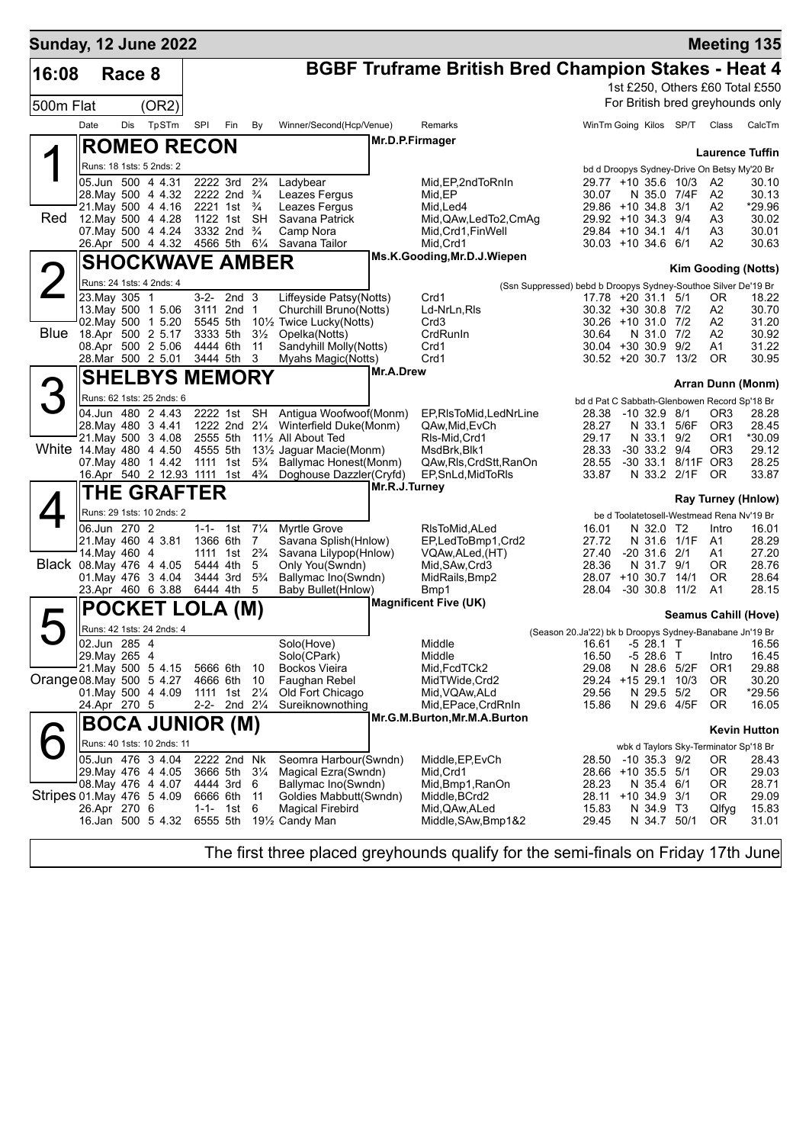| <b>Sunday, 12 June 2022</b> |      |               |                                                       |                            |                                      |                     |                                                                |                 |                                                            |                                                                |                                             |                           |                        |                                              | <b>Meeting 135</b>               |
|-----------------------------|------|---------------|-------------------------------------------------------|----------------------------|--------------------------------------|---------------------|----------------------------------------------------------------|-----------------|------------------------------------------------------------|----------------------------------------------------------------|---------------------------------------------|---------------------------|------------------------|----------------------------------------------|----------------------------------|
| 16:08                       |      | Race 8        |                                                       |                            |                                      |                     |                                                                |                 | <b>BGBF Truframe British Bred Champion Stakes - Heat 4</b> |                                                                |                                             |                           |                        |                                              |                                  |
|                             |      |               |                                                       |                            |                                      |                     |                                                                |                 |                                                            |                                                                |                                             |                           |                        |                                              | 1st £250, Others £60 Total £550  |
| 500m Flat                   |      |               | (OR2)                                                 |                            |                                      |                     |                                                                |                 |                                                            |                                                                |                                             |                           |                        |                                              | For British bred greyhounds only |
|                             | Date | Dis           | TpSTm                                                 | SPI                        | Fin                                  | By                  | Winner/Second(Hcp/Venue)                                       |                 | Remarks                                                    |                                                                |                                             |                           | WinTm Going Kilos SP/T | Class                                        | CalcTm                           |
|                             |      |               | <b>ROMEO RECON</b>                                    |                            |                                      |                     |                                                                | Mr.D.P.Firmager |                                                            |                                                                |                                             |                           |                        |                                              |                                  |
|                             |      |               |                                                       |                            |                                      |                     |                                                                |                 |                                                            |                                                                |                                             |                           |                        |                                              | <b>Laurence Tuffin</b>           |
|                             |      |               | Runs: 18 1sts: 5 2nds: 2                              |                            |                                      |                     |                                                                |                 |                                                            |                                                                |                                             |                           |                        | bd d Droopys Sydney-Drive On Betsy My'20 Br  |                                  |
|                             |      |               | 05.Jun 500 4 4.31<br>28. May 500 4 4.32               | 2222 3rd                   | 2222 2nd <sup>3</sup> / <sub>4</sub> | $2\frac{3}{4}$      | Ladybear<br>Leazes Fergus                                      |                 | Mid, EP, 2nd To RnIn<br>Mid.EP                             |                                                                | 29.77 +10 35.6 10/3<br>30.07                | N 35.0 7/4F               |                        | A2<br>A2                                     | 30.10<br>30.13                   |
|                             |      |               | 21. May 500 4 4.16                                    |                            | 2221 1st $\frac{3}{4}$               |                     | Leazes Fergus                                                  |                 | Mid, Led4                                                  |                                                                | 29.86 +10 34.8 3/1                          |                           |                        | A2                                           | *29.96                           |
| Red                         |      |               | 12. May 500 4 4.28                                    |                            | 1122 1st SH                          |                     | Savana Patrick                                                 |                 | Mid, QAw, Led To 2, CmAq                                   |                                                                | 29.92 +10 34.3 9/4                          |                           |                        | A3                                           | 30.02                            |
|                             |      |               | 07. May 500 4 4.24<br>26.Apr 500 4 4.32               | 4566 5th 61/4              | 3332 2nd <sup>3</sup> / <sub>4</sub> |                     | Camp Nora<br>Savana Tailor                                     |                 | Mid, Crd1, FinWell<br>Mid, Crd1                            |                                                                | 29.84 +10 34.1 4/1<br>$30.03 + 10.34.6$ 6/1 |                           |                        | A3<br>A2                                     | 30.01<br>30.63                   |
|                             |      |               |                                                       |                            |                                      |                     |                                                                |                 | Ms.K.Gooding, Mr.D.J.Wiepen                                |                                                                |                                             |                           |                        |                                              |                                  |
|                             |      |               | <b>SHOCKWAVE AMBER</b>                                |                            |                                      |                     |                                                                |                 |                                                            |                                                                |                                             |                           |                        |                                              | <b>Kim Gooding (Notts)</b>       |
|                             |      |               | Runs: 24 1sts: 4 2nds: 4                              |                            |                                      |                     |                                                                |                 |                                                            | (Ssn Suppressed) bebd b Droopys Sydney-Southoe Silver De'19 Br |                                             |                           |                        |                                              |                                  |
|                             |      | 23. May 305 1 | 13 May 500 1 5.06                                     | $3 - 2 -$                  | 2nd <sub>3</sub><br>3111 2nd         | 1                   | Liffeyside Patsy(Notts)<br>Churchill Bruno(Notts)              |                 | Crd1<br>Ld-NrLn, RIs                                       |                                                                | 17.78 +20 31.1 5/1<br>30.32 +30 30.8 7/2    |                           |                        | 0R<br>A2                                     | 18.22<br>30.70                   |
|                             |      |               | 02. May 500 1 5.20                                    | 5545 5th                   |                                      |                     | 101/ <sub>2</sub> Twice Lucky(Notts)                           |                 | Crd3                                                       |                                                                | 30.26 +10 31.0 7/2                          |                           |                        | A2                                           | 31.20                            |
| Blue                        |      |               | 18.Apr 500 2 5.17                                     | 3333 5th                   |                                      | $3\frac{1}{2}$      | Opelka(Notts)                                                  |                 | CrdRunIn                                                   |                                                                | 30.64                                       | N 31.0 7/2                |                        | A2                                           | 30.92                            |
|                             |      |               | 08.Apr 500 2 5.06<br>28. Mar 500 2 5.01               | 4444 6th<br>3444 5th       |                                      | 11<br>3             | Sandyhill Molly(Notts)<br>Myahs Magic(Notts)                   |                 | Crd1<br>Crd1                                               |                                                                | 30.04 +30 30.9 9/2<br>$30.52 + 20.30.7$     |                           | 13/2                   | A1<br>0R                                     | 31.22<br>30.95                   |
|                             |      |               |                                                       |                            |                                      |                     |                                                                | Mr.A.Drew       |                                                            |                                                                |                                             |                           |                        |                                              |                                  |
|                             |      |               | <b>SHELBYS MEMORY</b>                                 |                            |                                      |                     |                                                                |                 |                                                            |                                                                |                                             |                           |                        |                                              | Arran Dunn (Monm)                |
|                             |      |               | Runs: 62 1sts: 25 2nds: 6                             |                            |                                      |                     |                                                                |                 |                                                            |                                                                |                                             |                           |                        | bd d Pat C Sabbath-Glenbowen Record Sp'18 Br |                                  |
|                             |      |               | 04.Jun 480 2 4.43<br>28. May 480 3 4.41               |                            | 2222 1st SH                          |                     | Antigua Woofwoof(Monm)<br>1222 2nd 21/4 Winterfield Duke(Monm) |                 | EP, RIsToMid, LedNrLine<br>QAw, Mid, EvCh                  |                                                                | 28.38<br>28.27                              | $-10$ 32.9 8/1            | N 33.1 5/6F            | OR <sub>3</sub><br>OR <sub>3</sub>           | 28.28<br>28.45                   |
|                             |      |               | 21. May 500 3 4.08                                    | 2555 5th                   |                                      |                     | 111/2 All About Ted                                            |                 | RIs-Mid, Crd1                                              |                                                                | 29.17                                       | N 33.1 9/2                |                        | OR <sub>1</sub>                              | *30.09                           |
|                             |      |               | White 14 May 480 4 4.50                               | 4555 5th                   |                                      |                     | 13½ Jaguar Macie(Monm)                                         |                 | MsdBrk, Blk1                                               |                                                                | 28.33                                       | $-30$ 33.2 $9/4$          |                        | OR <sub>3</sub>                              | 29.12                            |
|                             |      |               | 07 May 480 1 4.42<br>16.Apr 540 2 12.93 1111 1st 43/4 | 1111 1st                   |                                      | $5\frac{3}{4}$      | Ballymac Honest(Monm)<br>Doghouse Dazzler(Cryfd)               |                 | QAw, RIs, CrdStt, RanOn<br>EP, SnLd, MidToRIs              |                                                                | 28.55<br>33.87                              | N 33.2 2/1F               | -30 33.1 8/11F OR3     | OR.                                          | 28.25<br>33.87                   |
|                             |      |               |                                                       |                            |                                      |                     |                                                                | Mr.R.J.Turney   |                                                            |                                                                |                                             |                           |                        |                                              |                                  |
|                             |      |               | <b>THE GRAFTER</b>                                    |                            |                                      |                     |                                                                |                 |                                                            |                                                                |                                             |                           |                        |                                              | <b>Ray Turney (Hnlow)</b>        |
|                             |      |               | Runs: 29 1sts: 10 2nds: 2                             |                            |                                      |                     |                                                                |                 |                                                            |                                                                |                                             |                           |                        | be d Toolatetosell-Westmead Rena Nv'19 Br    |                                  |
|                             |      | 06.Jun 270 2  | 21. May 460 4 3.81                                    | $1 - 1 - 1$ st<br>1366 6th |                                      | $7\frac{1}{4}$<br>7 | <b>Myrtle Grove</b><br>Savana Splish(Hnlow)                    |                 | RIsToMid, ALed<br>EP,LedToBmp1,Crd2                        |                                                                | 16.01<br>27.72                              | N 32.0 T2<br>N 31.6 1/1F  |                        | Intro<br>A1                                  | 16.01<br>28.29                   |
|                             |      | 14. May 460 4 |                                                       | 1111 1st                   |                                      | $2\frac{3}{4}$      | Savana Lilypop(Hnlow)                                          |                 | VQAw,ALed,(HT)                                             |                                                                | 27.40                                       | $-20$ 31.6 $2/1$          |                        | A1                                           | 27.20                            |
|                             |      |               | Black 08. May 476 4 4.05                              | 5444 4th                   |                                      | 5                   | Only You(Swndn)                                                |                 | Mid, SAw, Crd3                                             |                                                                | 28.36                                       | N 31.7 9/1                |                        | 0R                                           | 28.76                            |
|                             |      |               | 01. May 476 3 4.04<br>23.Apr 460 6 3.88               |                            | 3444 3rd<br>6444 4th                 | $5\frac{3}{4}$<br>5 | Ballymac Ino(Swndn)<br>Baby Bullet(Hnlow)                      |                 | MidRails, Bmp2<br>Bmp1                                     |                                                                | 28.07 +10 30.7 14/1<br>28.04                | $-30$ 30.8 11/2           |                        | <b>OR</b><br>A1                              | 28.64<br>28.15                   |
|                             |      |               |                                                       |                            |                                      |                     |                                                                |                 | <b>Magnificent Five (UK)</b>                               |                                                                |                                             |                           |                        |                                              |                                  |
|                             |      |               | <b>POCKET LOLA (M)</b>                                |                            |                                      |                     |                                                                |                 |                                                            |                                                                |                                             |                           |                        |                                              | <b>Seamus Cahill (Hove)</b>      |
|                             |      |               | Runs: 42 1sts: 24 2nds: 4                             |                            |                                      |                     |                                                                |                 |                                                            | (Season 20.Ja'22) bk b Droopys Sydney-Banabane Jn'19 Br        |                                             |                           |                        |                                              |                                  |
|                             |      | 02.Jun 285 4  |                                                       |                            |                                      |                     | Solo(Hove)                                                     |                 | Middle                                                     |                                                                | 16.61                                       | $-528.1$                  | $\mathbf{I}$           |                                              | 16.56                            |
|                             |      | 29. May 265 4 | 21. May 500 5 4.15                                    | 5666 6th                   |                                      | 10                  | Solo(CPark)<br><b>Bockos Vieira</b>                            |                 | Middle<br>Mid, FcdTCk2                                     |                                                                | 16.50<br>29.08                              | $-528.6$ T<br>N 28.6 5/2F |                        | Intro<br>OR <sub>1</sub>                     | 16.45<br>29.88                   |
| Orange 08. May 500 5 4.27   |      |               |                                                       | 4666 6th                   |                                      | 10                  | Faughan Rebel                                                  |                 | MidTWide,Crd2                                              |                                                                | 29.24                                       | +15 29.1                  | 10/3                   | 0R                                           | 30.20                            |
|                             |      |               | 01. May 500 4 4.09                                    | 1111 1st                   | 2-2- 2nd 21/4                        | $2\frac{1}{4}$      | Old Fort Chicago<br>Sureiknownothing                           |                 | Mid, VQAw, ALd                                             |                                                                | 29.56                                       | N 29.5 5/2                |                        | 0R                                           | *29.56                           |
|                             |      | 24.Apr 270 5  |                                                       |                            |                                      |                     |                                                                |                 | Mid,EPace,CrdRnIn<br>Mr.G.M.Burton, Mr.M.A.Burton          |                                                                | 15.86                                       | N 29.6 4/5F               |                        | 0R                                           | 16.05                            |
|                             |      |               | <b>BOCA JUNIOR (M)</b>                                |                            |                                      |                     |                                                                |                 |                                                            |                                                                |                                             |                           |                        |                                              | <b>Kevin Hutton</b>              |
|                             |      |               | Runs: 40 1sts: 10 2nds: 11                            |                            |                                      |                     |                                                                |                 |                                                            |                                                                |                                             |                           |                        | wbk d Taylors Sky-Terminator Sp'18 Br        |                                  |
|                             |      |               | 05.Jun 476 3 4.04                                     |                            | 2222 2nd Nk                          |                     | Seomra Harbour(Swndn)                                          |                 | Middle, EP, EvCh                                           |                                                                | 28.50                                       | $-10$ 35.3 $9/2$          |                        | ΟR                                           | 28.43                            |
|                             |      |               | 29. May 476 4 4.05<br>08. May 476 4 4.07              | 4444 3rd                   | 3666 5th 31/4                        | 6                   | Magical Ezra(Swndn)<br>Ballymac Ino(Swndn)                     |                 | Mid, Crd1<br>Mid, Bmp1, RanOn                              |                                                                | 28.66 +10 35.5 5/1<br>28.23                 | N 35.4 6/1                |                        | 0R<br>0R                                     | 29.03<br>28.71                   |
| Stripes 01 May 476 5 4.09   |      |               |                                                       | 6666 6th                   |                                      | 11                  | Goldies Mabbutt(Swndn)                                         |                 | Middle, BCrd2                                              |                                                                | 28.11 +10 34.9                              |                           | 3/1                    | OR.                                          | 29.09                            |
|                             |      | 26.Apr 270 6  |                                                       | $1 - 1 -$                  | 1st                                  | 6                   | <b>Magical Firebird</b>                                        |                 | Mid,QAw,ALed                                               |                                                                | 15.83                                       | N 34.9 T3                 |                        | Qlfyg                                        | 15.83                            |
|                             |      |               | 16.Jan 500 5 4.32                                     |                            | 6555 5th                             |                     | 191/ <sub>2</sub> Candy Man                                    |                 | Middle, SAw, Bmp1&2                                        |                                                                | 29.45                                       | N 34.7 50/1               |                        | 0R                                           | 31.01                            |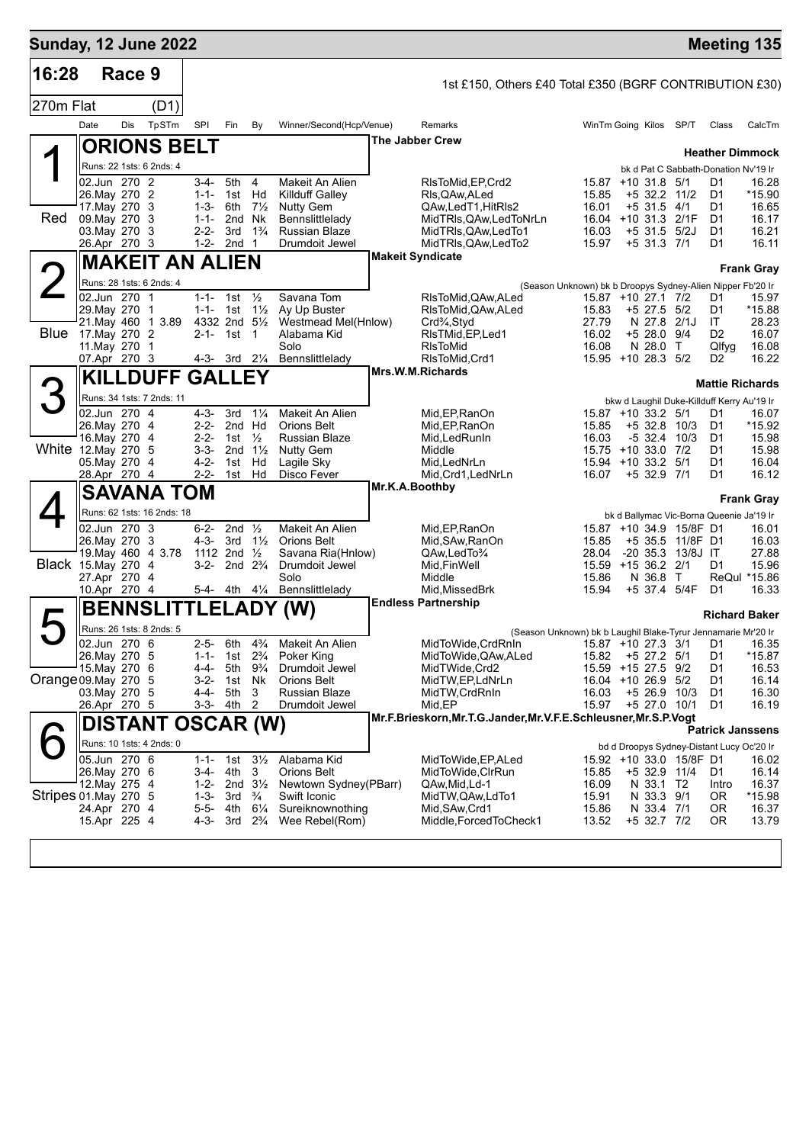| 16:28<br>Race 9<br>1st £150, Others £40 Total £350 (BGRF CONTRIBUTION £30)<br>270m Flat<br>(D1)                                                                                                                                                                     |                         |
|---------------------------------------------------------------------------------------------------------------------------------------------------------------------------------------------------------------------------------------------------------------------|-------------------------|
|                                                                                                                                                                                                                                                                     |                         |
|                                                                                                                                                                                                                                                                     |                         |
| TpSTm<br>Date<br>Dis<br>SPI<br>Fin<br>Winner/Second(Hcp/Venue)<br>SP/T<br>By<br>Remarks<br>WinTm Going Kilos                                                                                                                                                        | CalcTm<br>Class         |
| <b>The Jabber Crew</b><br><b>ORIONS BELT</b>                                                                                                                                                                                                                        | <b>Heather Dimmock</b>  |
| Runs: 22 1sts: 6 2nds: 4<br>bk d Pat C Sabbath-Donation Nv'19 Ir                                                                                                                                                                                                    |                         |
| 02.Jun 270 2<br>3-4-<br>5th 4<br>Makeit An Alien<br>RIsToMid, EP, Crd2<br>15.87<br>$+10$ 31.8 5/1<br>D1<br>Hd<br>26. May 270 2<br>$1 - 1 -$<br><b>Killduff Galley</b><br>15.85<br>+5 32.2 11/2<br>D1<br>1st<br>RIs, QAw, ALed                                       | 16.28<br>*15.90         |
| 17. May 270 3<br>16.01<br>$+5$ 31.5 4/1<br>$1 - 3 -$<br>6th<br>$7\frac{1}{2}$<br><b>Nutty Gem</b><br>QAw,LedT1,HitRIs2<br>D1                                                                                                                                        | 16.65                   |
| <b>Red</b><br>09. May 270 3<br>16.04 +10 31.3 2/1F<br>$1 - 1 -$<br>2nd Nk<br>Bennslittlelady<br>MidTRIs, QAw, LedToNrLn<br>D1<br>$2 - 2 -$<br>+5 31.5 5/2J<br>03. May 270 3<br>3rd<br>$1\frac{3}{4}$<br><b>Russian Blaze</b><br>MidTRIs, QAw, LedTo1<br>16.03<br>D1 | 16.17<br>16.21          |
| $1-2-2nd$ 1<br>15.97<br>$+5$ 31.3 7/1<br>26.Apr 270 3<br>Drumdoit Jewel<br>MidTRIs, QAw, LedTo2<br>D1                                                                                                                                                               | 16.11                   |
| <b>Makeit Syndicate</b><br><b>MAKEIT AN ALIEN</b>                                                                                                                                                                                                                   | <b>Frank Gray</b>       |
| Runs: 28 1sts: 6 2nds: 4<br>(Season Unknown) bk b Droopys Sydney-Alien Nipper Fb'20 Ir                                                                                                                                                                              |                         |
| 02.Jun 270 1<br>1-1- 1st $\frac{1}{2}$<br>Savana Tom<br>RIsToMid, QAw, ALed<br>15.87 +10 27.1 7/2<br>D1<br>29. May 270 1<br>1-1- 1st $1\frac{1}{2}$<br>Ay Up Buster<br>15.83<br>$+5$ 27.5 5/2<br>RIsToMid, QAw, ALed<br>D1                                          | 15.97<br>*15.88         |
| 21. May 460 1 3.89<br>4332 2nd 51/2<br>Westmead Mel(Hnlow)<br>27.79<br>N 27.8 2/1J<br>IT<br>Crd <sup>3</sup> / <sub>4</sub> , Styd                                                                                                                                  | 28.23                   |
| <b>Blue</b><br>17. May 270 2<br>2-1- 1st 1<br>Alabama Kid<br>16.02<br>$+5$ 28.0 9/4<br>D <sub>2</sub><br>RIsTMid, EP, Led 1<br>11. May 270 1<br>Solo<br><b>RIsToMid</b><br>16.08<br>N 28.0 T                                                                        | 16.07<br>Qlfyg<br>16.08 |
| 07.Apr 270 3<br>4-3- 3rd 21/4<br>Bennslittleladv<br>RIsToMid, Crd1<br>15.95 +10 28.3 5/2<br>D <sub>2</sub>                                                                                                                                                          | 16.22                   |
| Mrs.W.M.Richards<br><b>KILLDUFF GALLEY</b>                                                                                                                                                                                                                          | <b>Mattie Richards</b>  |
| Runs: 34 1sts: 7 2nds: 11<br>bkw d Laughil Duke-Killduff Kerry Au'19 Ir                                                                                                                                                                                             |                         |
| 02.Jun 270 4<br>$4 - 3 -$<br>3rd<br>$1\frac{1}{4}$<br>Makeit An Alien<br>15.87 +10 33.2 5/1<br>D1<br>Mid.EP.RanOn<br>26. May 270 4<br>$2 - 2 -$<br>2nd Hd<br><b>Orions Belt</b><br>Mid, EP, RanOn<br>15.85<br>$+5$ 32.8 10/3<br>D1                                  | 16.07<br>*15.92         |
| 16. May 270 4<br>$2 - 2 -$<br>1st $\frac{1}{2}$<br>Russian Blaze<br>Mid, Led Run In<br>16.03<br>$-5$ 32.4 10/3<br>D1                                                                                                                                                | 15.98                   |
| White 12. May 270 5<br>$3 - 3 -$<br>2nd $1\frac{1}{2}$<br><b>Nutty Gem</b><br>Middle<br>15.75 +10 33.0 7/2<br>D1<br>$4 - 2 -$<br>Lagile Sky<br>05. May 270 4<br>1st<br>Hd<br>Mid, LedNrLn<br>15.94<br>$+10$ 33.2 5/1<br>D1                                          | 15.98<br>16.04          |
| $2 - 2 -$<br>Disco Fever<br>28.Apr 270 4<br>1st<br>Hd<br>Mid, Crd1, LedNrLn<br>16.07<br>$+5$ 32.9 7/1<br>D1                                                                                                                                                         | 16.12                   |
| Mr.K.A.Boothby<br><b>SAVANA TOM</b>                                                                                                                                                                                                                                 | <b>Frank Gray</b>       |
| Runs: 62 1sts: 16 2nds: 18<br>bk d Ballymac Vic-Borna Queenie Ja'19 Ir                                                                                                                                                                                              |                         |
| 02.Jun 270 3<br>$6 - 2 -$<br>2nd $\frac{1}{2}$<br>Makeit An Alien<br>15.87 +10 34.9 15/8F D1<br>Mid, EP, RanOn<br>$4 - 3 -$<br>$1\frac{1}{2}$                                                                                                                       | 16.01                   |
| 26. May 270 3<br>3rd<br><b>Orions Belt</b><br>Mid, SAw, RanOn<br>15.85<br>+5 35.5 11/8F D1<br>19. May 460 4 3.78<br>-20 35.3 13/8J IT<br>1112 2nd $\frac{1}{2}$<br>Savana Ria(Hnlow)<br>QAw,LedTo3/4<br>28.04                                                       | 16.03<br>27.88          |
| Black 15.May 270 4<br>$3-2-$<br>2nd $2\frac{3}{4}$<br>Drumdoit Jewel<br>Mid, Fin Well<br>15.59 +15 36.2 2/1<br>D1<br>Solo<br>Middle<br>N 36.8 T<br>27.Apr 270 4<br>15.86                                                                                            | 15.96<br>ReQul *15.86   |
| 10.Apr 270 4<br>5-4- 4th 41/4 Bennslittlelady<br>+5 37.4 5/4F<br>Mid, Missed Brk<br>15.94<br>D1                                                                                                                                                                     | 16.33                   |
| <b>Endless Partnership</b><br><b>BENNSLITTLELADY</b><br>(W)                                                                                                                                                                                                         | <b>Richard Baker</b>    |
| Runs: 26 1sts: 8 2nds: 5<br>(Season Unknown) bk b Laughil Blake-Tyrur Jennamarie Mr'20 Ir                                                                                                                                                                           |                         |
| 02.Jun 270 6<br>$2 - 5 -$<br>6th<br>4% Makeit An Alien                                                                                                                                                                                                              |                         |
| 26. May 270 5<br>1-1- 1st $2\frac{3}{4}$<br>15.82 +5 27.2 5/1<br>Poker King<br>MidToWide, QAw, ALed<br>D1<br>15. May 270 6<br>$4 - 4 -$<br>5th 9 <sup>3</sup> / <sub>4</sub><br>15.59 +15 27.5 9/2<br>Drumdoit Jewel<br>MidTWide, Crd2<br>D1                        | *15.87<br>16.53         |
| Orange 09. May 270 5<br>$3-2-$<br>Nk<br><b>Orions Belt</b><br>1st<br>MidTW, EP, LdNrLn<br>16.04 +10 26.9 5/2<br>D1                                                                                                                                                  | 16.14                   |
| 4-4-<br>5th<br>+5 26.9 10/3<br>03. May 270 5<br>3<br>Russian Blaze<br>MidTW, CrdRnIn<br>16.03<br>D1<br>Drumdoit Jewel<br>Mid, EP<br>15.97<br>+5 27.0 10/1<br>26.Apr 270 5<br>3-3- 4th 2<br>D1                                                                       | 16.30<br>16.19          |
| Mr.F.Brieskorn, Mr.T.G.Jander, Mr.V.F.E.Schleusner, Mr.S.P.Vogt<br><b>DISTANT OSCAR (W)</b>                                                                                                                                                                         |                         |
| Runs: 10 1sts: 4 2nds: 0<br>bd d Droopys Sydney-Distant Lucy Oc'20 Ir                                                                                                                                                                                               | <b>Patrick Janssens</b> |
| 05.Jun 270 6<br>1-1- 1st $3\frac{1}{2}$<br>Alabama Kid<br>MidToWide, EP, ALed<br>15.92 +10 33.0 15/8F D1                                                                                                                                                            | 16.02                   |
| 26. May 270 6<br>3-4- 4th 3<br>Orions Belt<br>MidToWide, CIrRun<br>15.85<br>+5 32.9 11/4<br>D1<br>12. May 275 4<br>1-2- 2nd $3\frac{1}{2}$<br>16.09<br>N 33.1 T2<br>Newtown Sydney(PBarr)<br>QAw,Mid,Ld-1<br>Intro                                                  | 16.14<br>16.37          |
| Stripes 01 May 270 5<br>Swift Iconic<br>1-3- $3rd \frac{3}{4}$<br>MidTW, QAw, LdTo1<br>15.91<br>N 33.3 9/1<br>0R                                                                                                                                                    | *15.98                  |
| 24.Apr 270 4<br>5-5- 4th<br>$6\frac{1}{4}$<br>Sureiknownothing<br>15.86<br>Mid, SAw, Crd1<br>N 33.4 7/1<br>OR.<br>15.Apr 225 4<br>Wee Rebel(Rom)<br>Middle, Forced To Check1<br>13.52<br>+5 32.7 7/2<br>4-3- 3rd $2\frac{3}{4}$<br>0R                               | 16.37<br>13.79          |
|                                                                                                                                                                                                                                                                     |                         |
|                                                                                                                                                                                                                                                                     |                         |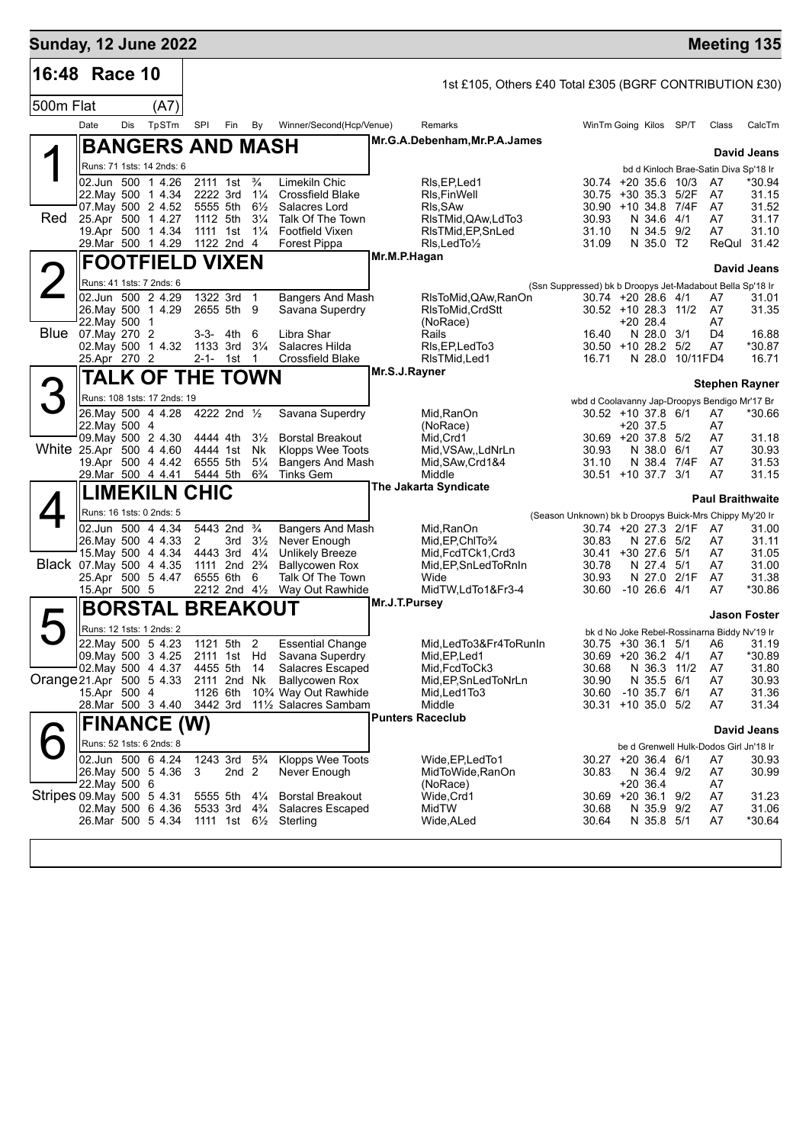| <b>Sunday, 12 June 2022</b> |                                                 |     |                         |                                                    |                  |                                  |                                                                           |               |                                                         |                                                                                 |                  |                 |                      | <b>Meeting 135</b>                              |
|-----------------------------|-------------------------------------------------|-----|-------------------------|----------------------------------------------------|------------------|----------------------------------|---------------------------------------------------------------------------|---------------|---------------------------------------------------------|---------------------------------------------------------------------------------|------------------|-----------------|----------------------|-------------------------------------------------|
| 16:48 Race 10               |                                                 |     |                         |                                                    |                  |                                  |                                                                           |               | 1st £105, Others £40 Total £305 (BGRF CONTRIBUTION £30) |                                                                                 |                  |                 |                      |                                                 |
| 500m Flat                   |                                                 |     | (A7)                    |                                                    |                  |                                  |                                                                           |               |                                                         |                                                                                 |                  |                 |                      |                                                 |
|                             | Date                                            | Dis | TpSTm                   | SPI                                                | Fin By           |                                  | Winner/Second(Hcp/Venue)                                                  |               | Remarks                                                 | WinTm Going Kilos SP/T                                                          |                  |                 | Class                | CalcTm                                          |
|                             |                                                 |     | <b>BANGERS AND MASH</b> |                                                    |                  |                                  |                                                                           |               | Mr.G.A.Debenham, Mr.P.A.James                           |                                                                                 |                  |                 |                      |                                                 |
|                             | Runs: 71 1sts: 14 2nds: 6                       |     |                         |                                                    |                  |                                  |                                                                           |               |                                                         |                                                                                 |                  |                 |                      | <b>David Jeans</b>                              |
|                             | 02.Jun 500 1 4.26                               |     |                         | 2111 1st                                           |                  | $\frac{3}{4}$                    | Limekiln Chic                                                             |               | RIs, EP, Led 1                                          | $30.74 + 20.35.6$ 10/3                                                          |                  |                 | A7                   | bd d Kinloch Brae-Satin Diva Sp'18 Ir<br>*30.94 |
|                             | 22. May 500 1 4.34                              |     |                         | 2222 3rd                                           |                  | $1\frac{1}{4}$                   | <b>Crossfield Blake</b>                                                   |               | RIs, Fin Well                                           | 30.75 +30 35.3 5/2F                                                             |                  |                 | A7                   | 31.15                                           |
| Red                         | 07. May 500 2 4.52<br>25.Apr 500 1 4.27         |     |                         | 5555 5th<br>1112 5th                               |                  | $6\frac{1}{2}$<br>$3\frac{1}{4}$ | Salacres Lord<br>Talk Of The Town                                         |               | RIs, SAw<br>RIsTMid, QAw, LdTo3                         | 30.90 +10 34.8 7/4F<br>30.93                                                    | N 34.6 4/1       |                 | A7<br>A7             | 31.52<br>31.17                                  |
|                             | 19.Apr 500 1 4.34                               |     |                         | 1111 1st                                           |                  | $1\frac{1}{4}$                   | Footfield Vixen                                                           |               | RIsTMid, EP, SnLed                                      | 31.10                                                                           | N 34.5 9/2       |                 | A7                   | 31.10                                           |
|                             | 29. Mar 500 1 4.29                              |     |                         | 1122 2nd 4                                         |                  |                                  | Forest Pippa                                                              | Mr.M.P.Hagan  | $Rls$ , LedTo $\frac{1}{2}$                             | 31.09                                                                           | N 35.0 T2        |                 |                      | ReQul 31.42                                     |
|                             |                                                 |     | <b>FOOTFIELD VIXEN</b>  |                                                    |                  |                                  |                                                                           |               |                                                         |                                                                                 |                  |                 |                      | David Jeans                                     |
| $\angle$                    | Runs: 41 1sts: 7 2nds: 6<br>02.Jun 500 2 4.29   |     |                         | 1322 3rd                                           |                  | $\overline{1}$                   | Bangers And Mash                                                          |               | RIsToMid, QAw, RanOn                                    | (Ssn Suppressed) bk b Droopys Jet-Madabout Bella Sp'18 Ir<br>30.74 +20 28.6 4/1 |                  |                 | A7                   |                                                 |
|                             | 26. May 500 1 4.29                              |     |                         | 2655 5th 9                                         |                  |                                  | Savana Superdry                                                           |               | RIsToMid.CrdStt                                         | $30.52 + 10.28.3$ 11/2                                                          |                  |                 | A7                   | 31.01<br>31.35                                  |
|                             | 22. May 500 1                                   |     |                         |                                                    |                  |                                  |                                                                           |               | (NoRace)                                                |                                                                                 | $+2028.4$        |                 | A7                   |                                                 |
|                             | <b>Blue</b> 07. May 270 2<br>02. May 500 1 4.32 |     |                         | 3-3- 4th<br>1133 3rd                               |                  | 6<br>$3\frac{1}{4}$              | Libra Shar<br>Salacres Hilda                                              |               | Rails<br>RIs, EP, Led To 3                              | 16.40<br>$30.50 + 10.28.2$ 5/2                                                  | N 28.0 3/1       |                 | D <sub>4</sub><br>A7 | 16.88<br>*30.87                                 |
|                             | 25.Apr 270 2                                    |     |                         | 2-1- 1st                                           |                  | 1                                | <b>Crossfield Blake</b>                                                   |               | RIsTMid, Led1                                           | 16.71                                                                           |                  | N 28.0 10/11FD4 |                      | 16.71                                           |
|                             |                                                 |     | TALK OF THE TOWN        |                                                    |                  |                                  |                                                                           |               | Mr.S.J.Rayner                                           |                                                                                 |                  |                 |                      | <b>Stephen Rayner</b>                           |
|                             | Runs: 108 1sts: 17 2nds: 19                     |     |                         |                                                    |                  |                                  |                                                                           |               |                                                         | wbd d Coolavanny Jap-Droopys Bendigo Mr'17 Br                                   |                  |                 |                      |                                                 |
|                             | 26. May 500 4 4.28                              |     |                         | 4222 2nd 1/2                                       |                  |                                  | Savana Superdry                                                           |               | Mid, RanOn                                              | $30.52 + 10.37.8$ 6/1                                                           |                  |                 | A7<br>A7             | *30.66                                          |
|                             | 22. May 500 4<br>09. May 500 2 4.30             |     |                         | 4444 4th                                           |                  | $3\frac{1}{2}$                   | <b>Borstal Breakout</b>                                                   |               | (NoRace)<br>Mid, Crd1                                   | $30.69 + 20.37.8$ 5/2                                                           | $+20.37.5$       |                 | A7                   | 31.18                                           |
|                             | White 25.Apr 500 4 4.60                         |     |                         | 4444 1st                                           |                  | Nk                               | Klopps Wee Toots                                                          |               | Mid, VSAw,, LdNrLn                                      | 30.93                                                                           | N 38.0 6/1       |                 | A7                   | 30.93                                           |
|                             | 19.Apr 500 4 4.42<br>29.Mar 500 4 4.41          |     |                         | 6555 5th<br>5444 5th                               |                  | $5\frac{1}{4}$<br>6¾             | <b>Bangers And Mash</b><br><b>Tinks Gem</b>                               |               | Mid, SAw, Crd1&4<br>Middle                              | 31.10<br>$30.51 + 10.37.7$ 3/1                                                  |                  | N 38.4 7/4F     | A7<br>A7             | 31.53<br>31.15                                  |
|                             |                                                 |     | <b>LIMEKILN CHIC</b>    |                                                    |                  |                                  |                                                                           |               | The Jakarta Syndicate                                   |                                                                                 |                  |                 |                      |                                                 |
|                             | Runs: 16 1sts: 0 2nds: 5                        |     |                         |                                                    |                  |                                  |                                                                           |               |                                                         | (Season Unknown) bk b Droopys Buick-Mrs Chippy My'20 Ir                         |                  |                 |                      | <b>Paul Braithwaite</b>                         |
|                             | 02.Jun 500 4 4.34                               |     |                         | 5443 2nd <sup>3</sup> / <sub>4</sub>               |                  |                                  | Bangers And Mash                                                          |               | Mid, RanOn                                              | 30.74 +20 27.3 2/1F                                                             |                  |                 | A7                   | 31.00                                           |
|                             | 26. May 500 4 4.33                              |     |                         | $\mathbf{2}$                                       | 3rd              | $3\frac{1}{2}$                   | Never Enough                                                              |               | Mid, EP, ChITo 3/4                                      | 30.83                                                                           | N 27.6 5/2       |                 | A7                   | 31.11                                           |
|                             | 15 May 500 4 4.34<br>Black 07 May 500 4 4.35    |     |                         | 4443 3rd<br>1111 2nd 2 <sup>3</sup> / <sub>4</sub> |                  | $4\frac{1}{4}$                   | <b>Unlikely Breeze</b><br><b>Ballycowen Rox</b>                           |               | Mid, FcdTCk1, Crd3<br>Mid, EP, SnLed To RnIn            | 30.41 +30 27.6 5/1<br>30.78                                                     | N 27.4 5/1       |                 | A7<br>A7             | 31.05<br>31.00                                  |
|                             | 25.Apr 500 5 4.47                               |     |                         | 6555 6th 6                                         |                  |                                  | Talk Of The Town                                                          |               | Wide                                                    | 30.93                                                                           |                  | N 27.0 2/1F     | A7                   | 31.38                                           |
|                             | 15.Apr 500 5                                    |     |                         |                                                    |                  | 2212 2nd $4\frac{1}{2}$          | Way Out Rawhide                                                           | Mr.J.T.Pursey | MidTW,LdTo1&Fr3-4                                       | 30.60                                                                           | $-10, 26.6, 4/1$ |                 | A7                   | *30.86                                          |
|                             |                                                 |     | <b>BORSTAL BREAKOUT</b> |                                                    |                  |                                  |                                                                           |               |                                                         |                                                                                 |                  |                 |                      | <b>Jason Foster</b>                             |
|                             | Runs: 12 1sts: 1 2nds: 2                        |     |                         |                                                    |                  |                                  |                                                                           |               |                                                         |                                                                                 |                  |                 |                      | bk d No Joke Rebel-Rossinarna Biddy Nv'19 Ir    |
|                             | 22. May 500 5 4.23                              |     |                         | 1121 5th 2                                         |                  |                                  | <b>Essential Change</b><br>09. May 500 3 4.25 2111 1st Hd Savana Superdry |               | Mid, LedTo3&Fr4ToRunIn<br>Mid, EP, Led1                 | 30.69 +20 36.2 4/1                                                              |                  |                 | A7                   | 30.75 +30 36.1 5/1 A6 31.19<br>*30.89           |
|                             | 02. May 500 4 4.37                              |     |                         | 4455 5th                                           |                  | 14                               | <b>Salacres Escaped</b>                                                   |               | Mid, FcdToCk3                                           | 30.68                                                                           | N 36.3 11/2      |                 | A7                   | 31.80                                           |
| Orange 21.Apr 500 5 4.33    |                                                 |     |                         | 2111 2nd Nk                                        |                  |                                  | <b>Ballycowen Rox</b>                                                     |               | Mid, EP, Sn Led To Nr Ln                                | 30.90                                                                           | N 35.5 6/1       |                 | A7                   | 30.93                                           |
|                             | 15.Apr 500 4<br>28.Mar 500 3 4.40               |     |                         | 1126 6th<br>3442 3rd                               |                  |                                  | 10% Way Out Rawhide<br>111/2 Salacres Sambam                              |               | Mid, Led 1 To 3<br>Middle                               | 30.60<br>30.31 +10 35.0 5/2                                                     | $-10$ 35.7 $6/1$ |                 | A7<br>A7             | 31.36<br>31.34                                  |
|                             | <b>FINANCE (W)</b>                              |     |                         |                                                    |                  |                                  |                                                                           |               | <b>Punters Raceclub</b>                                 |                                                                                 |                  |                 |                      |                                                 |
|                             | Runs: 52 1sts: 6 2nds: 8                        |     |                         |                                                    |                  |                                  |                                                                           |               |                                                         |                                                                                 |                  |                 |                      | David Jeans                                     |
|                             | 02.Jun 500 6 4.24                               |     |                         | 1243 3rd 5 <sup>3</sup> / <sub>4</sub>             |                  |                                  | <b>Klopps Wee Toots</b>                                                   |               | Wide, EP, Led To 1                                      | $30.27 + 20.36.4$ 6/1                                                           |                  |                 | A7                   | be d Grenwell Hulk-Dodos Girl Jn'18 Ir<br>30.93 |
|                             | 26. May 500 5 4.36                              |     |                         | 3                                                  | 2nd <sub>2</sub> |                                  | Never Enough                                                              |               | MidToWide,RanOn                                         | 30.83                                                                           | N 36.4 9/2       |                 | A7                   | 30.99                                           |
| Stripes 09 May 500 5 4.31   | 22. May 500 6                                   |     |                         | 5555 5th 41/4                                      |                  |                                  | <b>Borstal Breakout</b>                                                   |               | (NoRace)<br>Wide,Crd1                                   | 30.69 +20 36.1 9/2                                                              | +20 36.4         |                 | A7<br>A7             | 31.23                                           |
|                             | 02. May 500 6 4.36                              |     |                         |                                                    |                  |                                  | 5533 3rd 4 <sup>3</sup> / <sub>4</sub> Salacres Escaped                   |               | <b>MidTW</b>                                            | 30.68                                                                           | N 35.9 9/2       |                 | A7                   | 31.06                                           |
|                             | 26.Mar 500 5 4.34                               |     |                         |                                                    |                  |                                  | 1111 1st $6\frac{1}{2}$ Sterling                                          |               | Wide, ALed                                              | 30.64                                                                           | N 35.8 5/1       |                 | A7                   | *30.64                                          |
|                             |                                                 |     |                         |                                                    |                  |                                  |                                                                           |               |                                                         |                                                                                 |                  |                 |                      |                                                 |
|                             |                                                 |     |                         |                                                    |                  |                                  |                                                                           |               |                                                         |                                                                                 |                  |                 |                      |                                                 |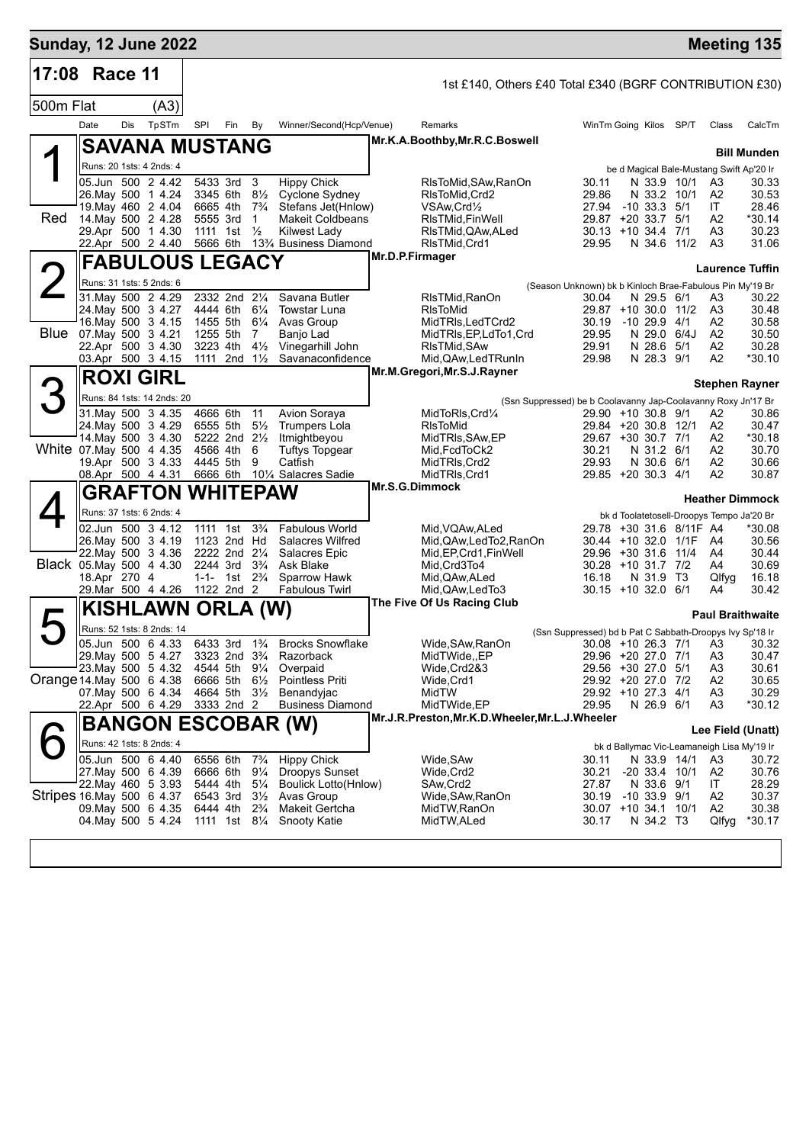| <b>Sunday, 12 June 2022</b> |              |     |                                               |                      |                                                         |                                  |                                                          |                 |                                                           |                                                               |                                |                         |                                                | <b>Meeting 135</b>          |
|-----------------------------|--------------|-----|-----------------------------------------------|----------------------|---------------------------------------------------------|----------------------------------|----------------------------------------------------------|-----------------|-----------------------------------------------------------|---------------------------------------------------------------|--------------------------------|-------------------------|------------------------------------------------|-----------------------------|
| 17:08 Race 11               |              |     |                                               |                      |                                                         |                                  |                                                          |                 | 1st £140, Others £40 Total £340 (BGRF CONTRIBUTION £30)   |                                                               |                                |                         |                                                |                             |
| 500m Flat                   |              |     | (A3)                                          |                      |                                                         |                                  |                                                          |                 |                                                           |                                                               |                                |                         |                                                |                             |
|                             | Date         | Dis | TpSTm                                         | SPI                  | Fin By                                                  |                                  | Winner/Second(Hcp/Venue)                                 |                 | Remarks                                                   | WinTm Going Kilos SP/T                                        |                                |                         | Class                                          | CalcTm                      |
|                             |              |     | <b>SAVANA MUSTANG</b>                         |                      |                                                         |                                  |                                                          |                 | Mr.K.A.Boothby, Mr.R.C.Boswell                            |                                                               |                                |                         |                                                |                             |
|                             |              |     | Runs: 20 1sts: 4 2nds: 4                      |                      |                                                         |                                  |                                                          |                 |                                                           |                                                               |                                |                         |                                                | <b>Bill Munden</b>          |
|                             |              |     | 05.Jun 500 2 4.42                             |                      | 5433 3rd 3                                              |                                  | <b>Hippy Chick</b>                                       |                 | RIsToMid,SAw,RanOn                                        | 30.11                                                         | N 33.9 10/1                    |                         | be d Magical Bale-Mustang Swift Ap'20 Ir<br>A3 | 30.33                       |
|                             |              |     | 26. May 500 1 4.24                            |                      | 3345 6th                                                | $8\frac{1}{2}$                   | Cyclone Sydney                                           |                 | RIsToMid, Crd2                                            | 29.86                                                         | N 33.2 10/1                    |                         | A2                                             | 30.53                       |
| Red                         |              |     | 19. May 460 2 4.04<br>14 May 500 2 4.28       | 6665 4th             | 5555 3rd                                                | $7\frac{3}{4}$<br>1              | Stefans Jet(Hnlow)<br><b>Makeit Coldbeans</b>            |                 | VSAw, Crd <sup>1</sup> / <sub>2</sub><br>RIsTMid, FinWell | 27.94<br>29.87 +20 33.7 5/1                                   | $-10$ 33.3 $5/1$               |                         | ΙT<br>A2                                       | 28.46<br>*30.14             |
|                             |              |     | 29.Apr 500 1 4.30                             |                      | 1111 1st                                                | $\frac{1}{2}$                    | <b>Kilwest Lady</b>                                      |                 | RIsTMid,QAw,ALed                                          | $30.13 + 10.34.4$ 7/1                                         |                                |                         | A3                                             | 30.23                       |
|                             |              |     | 22.Apr 500 2 4.40                             |                      |                                                         |                                  | 5666 6th 13 <sup>3</sup> / <sub>4</sub> Business Diamond |                 | RIsTMid, Crd1                                             | 29.95                                                         |                                | N 34.6 11/2             | A3                                             | 31.06                       |
|                             |              |     | <b>FABULOUS LEGACY</b>                        |                      |                                                         |                                  |                                                          | Mr.D.P.Firmager |                                                           |                                                               |                                |                         |                                                | <b>Laurence Tuffin</b>      |
|                             |              |     | Runs: 31 1sts: 5 2nds: 6                      |                      |                                                         |                                  |                                                          |                 |                                                           | (Season Unknown) bk b Kinloch Brae-Fabulous Pin My'19 Br      |                                |                         |                                                |                             |
|                             |              |     | 31. May 500 2 4.29                            |                      | 2332 2nd 21/4<br>4444 6th 61/4                          |                                  | Savana Butler                                            |                 | RIsTMid,RanOn                                             | 30.04                                                         | N 29.5 6/1                     |                         | A3                                             | 30.22                       |
|                             |              |     | 24. May 500 3 4.27<br>16. May 500 3 4.15      | 1455 5th             |                                                         | $6\frac{1}{4}$                   | Towstar Luna<br>Avas Group                               |                 | <b>RIsToMid</b><br>MidTRIs, LedTCrd2                      | 29.87 +10 30.0 11/2<br>30.19 -10 29.9                         |                                | 4/1                     | A3<br>A2                                       | 30.48<br>30.58              |
| <b>Blue</b>                 |              |     | 07. May 500 3 4.21                            | 1255 5th             |                                                         | 7                                | Banjo Lad                                                |                 | MidTRIs, EP, LdTo 1, Crd                                  | 29.95                                                         | N 29.0 6/4J                    |                         | A2                                             | 30.50                       |
|                             |              |     | 22.Apr 500 3 4.30<br>03.Apr 500 3 4.15        |                      | 3223 4th<br>1111 2nd 11/ <sub>2</sub>                   | $4\frac{1}{2}$                   | Vinegarhill John<br>Savanaconfidence                     |                 | RIsTMid, SAw<br>Mid, QAw, Led TRunIn                      | 29.91<br>29.98                                                | N 28.6<br>N 28.3 9/1           | 5/1                     | A2<br>A2                                       | 30.28<br>$*30.10$           |
|                             |              |     |                                               |                      |                                                         |                                  |                                                          |                 | Mr.M.Gregori, Mr.S.J.Rayner                               |                                                               |                                |                         |                                                |                             |
|                             |              |     | <b>ROXI GIRL</b>                              |                      |                                                         |                                  |                                                          |                 |                                                           |                                                               |                                |                         |                                                | <b>Stephen Rayner</b>       |
|                             |              |     | Runs: 84 1sts: 14 2nds: 20                    |                      |                                                         |                                  |                                                          |                 |                                                           | (Ssn Suppressed) be b Coolavanny Jap-Coolavanny Roxy Jn'17 Br |                                |                         |                                                |                             |
|                             |              |     | 31. May 500 3 4.35<br>24. May 500 3 4.29      | 4666 6th             | 6555 5th                                                | 11<br>$5\frac{1}{2}$             | Avion Soraya<br><b>Trumpers Lola</b>                     |                 | MidToRIs, Crd1/4<br>RIsToMid                              | 29.90 +10 30.8 9/1<br>29.84 +20 30.8 12/1                     |                                |                         | A2<br>A2                                       | 30.86<br>30.47              |
|                             |              |     | 14. May 500 3 4.30                            |                      | 5222 2nd 21/2                                           |                                  | Itmightbeyou                                             |                 | MidTRIs, SAw, EP                                          | 29.67 +30 30.7 7/1                                            |                                |                         | A2                                             | *30.18                      |
|                             |              |     | White 07 May 500 4 4.35<br>19.Apr 500 3 4.33  | 4566 4th             | 4445 5th                                                | 6<br>9                           | <b>Tuftys Topgear</b><br>Catfish                         |                 | Mid,FcdToCk2<br>MidTRIs, Crd2                             | 30.21<br>29.93                                                | N 31.2 6/1<br>N 30.6 6/1       |                         | A2<br>A2                                       | 30.70<br>30.66              |
|                             |              |     | 08.Apr 500 4 4.31                             |                      |                                                         |                                  | 6666 6th 101/4 Salacres Sadie                            |                 | MidTRIs, Crd1                                             | 29.85 +20 30.3 4/1                                            |                                |                         | A2                                             | 30.87                       |
|                             |              |     | <b>GRAFTON WHITEPAW</b>                       |                      |                                                         |                                  |                                                          |                 | Mr.S.G.Dimmock                                            |                                                               |                                |                         |                                                |                             |
|                             |              |     | Runs: 37 1sts: 6 2nds: 4                      |                      |                                                         |                                  |                                                          |                 |                                                           |                                                               |                                |                         | bk d Toolatetosell-Droopys Tempo Ja'20 Br      | <b>Heather Dimmock</b>      |
|                             |              |     | 02.Jun 500 3 4.12                             |                      | 1111 1st 3 <sup>3</sup> / <sub>4</sub>                  |                                  | <b>Fabulous World</b>                                    |                 | Mid, VQAw, ALed                                           |                                                               |                                | 29.78 +30 31.6 8/11F A4 |                                                | *30.08                      |
|                             |              |     | 26. May 500 3 4.19                            |                      | 1123 2nd Hd                                             |                                  | Salacres Wilfred                                         |                 | Mid,QAw,LedTo2,RanOn                                      | 30.44 +10 32.0 1/1F                                           |                                |                         | - A4                                           | 30.56                       |
|                             |              |     | 22. May 500 3 4.36<br>Black 05.May 500 4 4.30 |                      | 2222 2nd 21/4<br>2244 3rd 3 <sup>3</sup> / <sub>4</sub> |                                  | Salacres Epic<br>Ask Blake                               |                 | Mid, EP, Crd1, Fin Well<br>Mid.Crd3To4                    | 29.96 +30 31.6 11/4<br>$30.28 + 10.31.7$ 7/2                  |                                |                         | A4<br>A4                                       | 30.44<br>30.69              |
|                             | 18.Apr 270 4 |     |                                               |                      | 1-1- 1st $2\frac{3}{4}$                                 |                                  | Sparrow Hawk                                             |                 | Mid, QAw, ALed                                            | 16.18                                                         | N 31.9 T3                      |                         | Qlfyg                                          | 16.18                       |
|                             |              |     | 29. Mar 500 4 4.26                            |                      | 1122 2nd 2                                              |                                  | <b>Fabulous Twirl</b>                                    |                 | Mid,QAw,LedTo3                                            | $30.15 + 1032.06/1$                                           |                                |                         | A4                                             | 30.42                       |
|                             |              |     | <b>KISHLAWN</b>                               |                      | ORLA (W)                                                |                                  |                                                          |                 | The Five Of Us Racing Club                                |                                                               |                                |                         |                                                | <b>Paul Braithwaite</b>     |
|                             |              |     | Runs: 52 1sts: 8 2nds: 14                     |                      |                                                         |                                  |                                                          |                 |                                                           | (Ssn Suppressed) bd b Pat C Sabbath-Droopys Ivy Sp'18 Ir      |                                |                         |                                                |                             |
|                             |              |     | 05.Jun 500 6 4.33                             |                      |                                                         |                                  | 6433 3rd 1 <sup>3</sup> / <sub>4</sub> Brocks Snowflake  |                 | Wide, SAw, RanOn                                          |                                                               |                                |                         |                                                | 30.08 +10 26.3 7/1 A3 30.32 |
|                             |              |     | 29. May 500 5 4.27<br>23. May 500 5 4.32      |                      | 3323 2nd 3 <sup>3</sup> / <sub>4</sub><br>4544 5th      | $9\frac{1}{4}$                   | Razorback<br>Overpaid                                    |                 | MidTWide,,EP<br>Wide,Crd2&3                               | 29.96 +20 27.0 7/1<br>29.56 +30 27.0 5/1                      |                                |                         | A <sub>3</sub><br>A <sub>3</sub>               | 30.47<br>30.61              |
| Orange 14 May 500 6 4.38    |              |     |                                               | 6666 5th             |                                                         | $6\frac{1}{2}$                   | Pointless Priti                                          |                 | Wide,Crd1                                                 | 29.92 +20 27.0 7/2                                            |                                |                         | A <sub>2</sub>                                 | 30.65                       |
|                             |              |     | 07 May 500 6 4.34<br>22.Apr 500 6 4.29        |                      | 4664 5th 31/2                                           |                                  | Benandyjac<br><b>Business Diamond</b>                    |                 | MidTW<br>MidTWide,EP                                      | 29.92 +10 27.3 4/1<br>29.95                                   | N 26.9 6/1                     |                         | A <sub>3</sub><br>A <sub>3</sub>               | 30.29<br>*30.12             |
|                             |              |     |                                               |                      | 3333 2nd 2                                              |                                  |                                                          |                 | Mr.J.R.Preston,Mr.K.D.Wheeler,Mr.L.J.Wheeler              |                                                               |                                |                         |                                                |                             |
|                             |              |     |                                               |                      |                                                         |                                  | <b>BANGON ESCOBAR (W)</b>                                |                 |                                                           |                                                               |                                |                         |                                                | Lee Field (Unatt)           |
|                             |              |     | Runs: 42 1sts: 8 2nds: 4                      |                      |                                                         |                                  |                                                          |                 |                                                           |                                                               |                                |                         | bk d Ballymac Vic-Leamaneigh Lisa My'19 Ir     |                             |
|                             |              |     | 05.Jun 500 6 4.40<br>27. May 500 6 4.39       | 6556 6th<br>6666 6th |                                                         | $7\frac{3}{4}$<br>$9\frac{1}{4}$ | <b>Hippy Chick</b><br>Droopys Sunset                     |                 | Wide, SAw<br>Wide,Crd2                                    | 30.11<br>30.21                                                | N 33.9 14/1<br>$-20$ 33.4 10/1 |                         | A3<br>A2                                       | 30.72<br>30.76              |
|                             |              |     | 22. May 460 5 3.93                            | 5444 4th             |                                                         | $5\frac{1}{4}$                   | Boulick Lotto(Hnlow)                                     |                 | SAw,Crd2                                                  | 27.87                                                         | N 33.6 9/1                     |                         | IT                                             | 28.29                       |
| Stripes 16 May 500 6 4.37   |              |     |                                               | 6543 3rd             |                                                         | $3\frac{1}{2}$                   | Avas Group                                               |                 | Wide, SAw, RanOn                                          | 30.19                                                         | $-10, 33.9, 9/1$               |                         | A <sub>2</sub>                                 | 30.37                       |
|                             |              |     | 09. May 500 6 4.35<br>04. May 500 5 4.24      | 6444 4th             | 1111 1st 81/4                                           | $2\frac{3}{4}$                   | Makeit Gertcha<br>Snooty Katie                           |                 | MidTW,RanOn<br>MidTW, ALed                                | 30.07 +10 34.1 10/1<br>30.17                                  | N 34.2 T3                      |                         | A2<br>Qlfyg                                    | 30.38<br>*30.17             |
|                             |              |     |                                               |                      |                                                         |                                  |                                                          |                 |                                                           |                                                               |                                |                         |                                                |                             |
|                             |              |     |                                               |                      |                                                         |                                  |                                                          |                 |                                                           |                                                               |                                |                         |                                                |                             |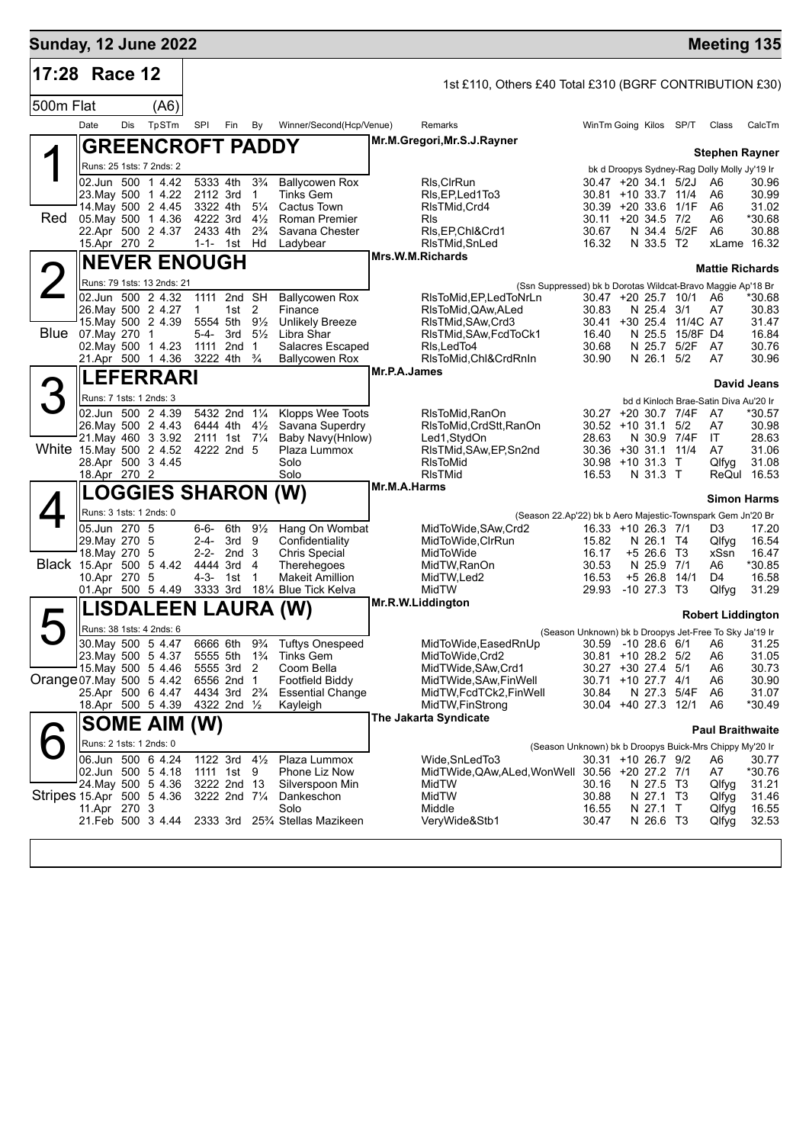| <b>Sunday, 12 June 2022</b> |                              |     |                                                                                 |              |                                                      |                                  |                                                                            |              |                                                             |                                              |                           |                         | <b>Meeting 135</b>                                     |                    |
|-----------------------------|------------------------------|-----|---------------------------------------------------------------------------------|--------------|------------------------------------------------------|----------------------------------|----------------------------------------------------------------------------|--------------|-------------------------------------------------------------|----------------------------------------------|---------------------------|-------------------------|--------------------------------------------------------|--------------------|
| 17:28 Race 12               |                              |     |                                                                                 |              |                                                      |                                  |                                                                            |              | 1st £110, Others £40 Total £310 (BGRF CONTRIBUTION £30)     |                                              |                           |                         |                                                        |                    |
| 500m Flat                   |                              |     | (A6)                                                                            |              |                                                      |                                  |                                                                            |              |                                                             |                                              |                           |                         |                                                        |                    |
|                             | Date                         | Dis | TpSTm                                                                           | SPI          | Fin                                                  | By                               | Winner/Second(Hcp/Venue)                                                   |              | Remarks                                                     |                                              |                           | WinTm Going Kilos SP/T  | Class                                                  | CalcTm             |
|                             |                              |     | <b>GREENCROFT PADDY</b>                                                         |              |                                                      |                                  |                                                                            |              | Mr.M.Gregori, Mr.S.J.Rayner                                 |                                              |                           |                         | <b>Stephen Rayner</b>                                  |                    |
|                             |                              |     | Runs: 25 1sts: 7 2nds: 2                                                        |              |                                                      |                                  |                                                                            |              |                                                             |                                              |                           |                         | bk d Droopys Sydney-Rag Dolly Molly Jy'19 Ir           |                    |
|                             |                              |     | 02.Jun 500 1 4.42                                                               |              | 5333 4th                                             | $3\frac{3}{4}$                   | <b>Ballycowen Rox</b>                                                      |              | RIs, CIrRun                                                 | $30.47 + 20.34.1$ 5/2J                       |                           |                         | A6                                                     | 30.96              |
|                             |                              |     | 23. May 500 1 4.22                                                              |              | 2112 3rd                                             | $\overline{1}$                   | <b>Tinks Gem</b>                                                           |              | RIs, EP, Led 1 To 3                                         | 30.81 +10 33.7 11/4                          |                           |                         | A6                                                     | 30.99              |
| Red                         |                              |     | 14. May 500 2 4.45<br>05. May 500 1 4.36                                        |              | 3322 4th<br>4222 3rd                                 | $5\frac{1}{4}$<br>$4\frac{1}{2}$ | Cactus Town<br>Roman Premier                                               |              | RIsTMid, Crd4<br>Rls                                        | 30.39 +20 33.6 1/1F<br>$30.11 + 20.34.5$ 7/2 |                           |                         | A <sub>6</sub><br>A6                                   | 31.02<br>*30.68    |
|                             |                              |     | 22.Apr 500 2 4.37                                                               |              | 2433 4th                                             | $2\frac{3}{4}$                   | Savana Chester                                                             |              | RIs, EP, ChI&Crd1                                           | 30.67                                        |                           | N 34.4 5/2F             | A6                                                     | 30.88              |
|                             | 15.Apr 270 2                 |     |                                                                                 |              | 1-1- 1st Hd                                          |                                  | Ladybear                                                                   |              | RIsTMid, SnLed                                              | 16.32                                        | N 33.5 T2                 |                         |                                                        | xLame 16.32        |
|                             |                              |     | <b>NEVER ENOUGH</b>                                                             |              |                                                      |                                  |                                                                            |              | Mrs.W.M.Richards                                            |                                              |                           |                         | <b>Mattie Richards</b>                                 |                    |
| 2                           |                              |     | Runs: 79 1sts: 13 2nds: 21                                                      |              |                                                      |                                  |                                                                            |              | (Ssn Suppressed) bk b Dorotas Wildcat-Bravo Maggie Ap'18 Br |                                              |                           |                         |                                                        |                    |
|                             |                              |     | 02.Jun 500 2 4.32                                                               |              | 1111 2nd SH                                          |                                  | <b>Ballycowen Rox</b>                                                      |              | RIsToMid, EP, Led ToNrLn                                    |                                              |                           | 30.47 +20 25.7 10/1     | A6                                                     | *30.68             |
|                             |                              |     | 26. May 500 2 4.27<br>15. May 500 2 4.39                                        | $\mathbf{1}$ | 1st $2$<br>5554 5th 91/2                             |                                  | Finance<br><b>Unlikely Breeze</b>                                          |              | RIsToMid, QAw, ALed<br>RIsTMid, SAw, Crd3                   | 30.83                                        | N 25.4 3/1                | 30.41 +30 25.4 11/4C A7 | A7                                                     | 30.83<br>31.47     |
|                             | <b>Blue</b> 07. May 270 1    |     |                                                                                 |              | 5-4- 3rd $5\frac{1}{2}$                              |                                  | Libra Shar                                                                 |              | RIsTMid, SAw, FcdToCk1                                      | 16.40                                        |                           | N 25.5 15/8F D4         |                                                        | 16.84              |
|                             |                              |     | 02. May 500 1 4.23                                                              |              | 1111 2nd                                             | $\overline{1}$                   | Salacres Escaped                                                           |              | RIs, Led To4                                                | 30.68                                        |                           | N 25.7 5/2F             | A7                                                     | 30.76              |
|                             |                              |     | 21.Apr 500 1 4.36                                                               |              | 3222 4th                                             | $\frac{3}{4}$                    | <b>Ballycowen Rox</b>                                                      |              | RIsToMid, Chl&CrdRnIn                                       | 30.90                                        | N 26.1 5/2                |                         | A7                                                     | 30.96              |
|                             |                              |     | <b>LEFERRARI</b>                                                                |              |                                                      |                                  |                                                                            | Mr.P.A.James |                                                             |                                              |                           |                         |                                                        | David Jeans        |
| З                           | Runs: 7 1sts: 1 2nds: 3      |     |                                                                                 |              |                                                      |                                  |                                                                            |              |                                                             |                                              |                           |                         | bd d Kinloch Brae-Satin Diva Au'20 Ir                  |                    |
|                             |                              |     | 02.Jun 500 2 4.39                                                               |              | 5432 2nd 11/4                                        |                                  | Klopps Wee Toots                                                           |              | RIsToMid, RanOn                                             | 30.27 +20 30.7 7/4F                          |                           |                         | A7                                                     | *30.57             |
|                             |                              |     | 26. May 500 2 4.43<br>21. May 460 3 3.92                                        |              | 6444 4th $4\frac{1}{2}$                              |                                  | Savana Superdry<br>Baby Navy(Hnlow)                                        |              | RIsToMid, CrdStt, RanOn                                     | $30.52 + 10.31.1$ 5/2<br>28.63               |                           | N 30.9 7/4F             | A7<br>IT.                                              | 30.98<br>28.63     |
|                             |                              |     | White 15 May 500 2 4.52                                                         |              | 2111 1st 7 <sup>1</sup> / <sub>4</sub><br>4222 2nd 5 |                                  | Plaza Lummox                                                               |              | Led1,StydOn<br>RIsTMid, SAw, EP, Sn2nd                      | 30.36 +30 31.1 11/4                          |                           |                         | A7                                                     | 31.06              |
|                             |                              |     | 28.Apr 500 3 4.45                                                               |              |                                                      |                                  | Solo                                                                       |              | <b>RIsToMid</b>                                             | 30.98 +10 31.3 T                             |                           |                         | Qlfyg                                                  | 31.08              |
|                             | 18.Apr 270 2                 |     |                                                                                 |              |                                                      |                                  | Solo                                                                       | Mr.M.A.Harms | <b>RIsTMid</b>                                              | 16.53                                        | N 31.3 T                  |                         |                                                        | ReQul 16.53        |
|                             |                              |     | <b>LOGGIES SHARON (W)</b>                                                       |              |                                                      |                                  |                                                                            |              |                                                             |                                              |                           |                         |                                                        | <b>Simon Harms</b> |
|                             | Runs: 3 1sts: 1 2nds: 0      |     |                                                                                 |              |                                                      |                                  |                                                                            |              | (Season 22.Ap'22) bk b Aero Majestic-Townspark Gem Jn'20 Br |                                              |                           |                         |                                                        |                    |
|                             | 05.Jun 270 5                 |     |                                                                                 | 6-6-         | 6th                                                  | $9\frac{1}{2}$                   | Hang On Wombat                                                             |              | MidToWide, SAw, Crd2                                        | 16.33 +10 26.3 7/1                           |                           |                         | D3                                                     | 17.20              |
|                             | 29. May 270 5<br>18. May 270 |     | -5                                                                              |              | 2-4- 3rd 9<br>$2-2-2nd3$                             |                                  | Confidentiality<br><b>Chris Special</b>                                    |              | MidToWide, CIrRun<br>MidToWide                              | 15.82<br>16.17                               | N 26.1 T4<br>$+5$ 26.6 T3 |                         | Qlfyg<br>xSsn                                          | 16.54<br>16.47     |
|                             |                              |     | Black 15.Apr 500 5 4.42                                                         |              | 4444 3rd 4                                           |                                  | Therehegoes                                                                |              | MidTW,RanOn                                                 | 30.53                                        | N 25.9                    | 7/1                     | A6                                                     | *30.85             |
|                             | 10.Apr 270 5                 |     |                                                                                 | 4-3-         | 1st                                                  | $\mathbf 1$                      | <b>Makeit Amillion</b>                                                     |              | MidTW,Led2                                                  | 16.53                                        | $+5$ 26.8 14/1            |                         | D4                                                     | 16.58              |
|                             |                              |     | 01.Apr 500 5 4.49                                                               |              | 3333 3rd                                             |                                  | 18¼ Blue Tick Kelva                                                        |              | MidTW<br>Mr.R.W.Liddington                                  | 29.93                                        | $-10$ 27.3 T3             |                         | Qlfyg                                                  | 31.29              |
|                             |                              |     | LISDALEEN LAURA (W)                                                             |              |                                                      |                                  |                                                                            |              |                                                             |                                              |                           |                         | <b>Robert Liddington</b>                               |                    |
|                             |                              |     | Runs: 38 1sts: 4 2nds: 6                                                        |              |                                                      |                                  |                                                                            |              |                                                             |                                              |                           |                         | (Season Unknown) bk b Droopys Jet-Free To Sky Ja'19 Ir |                    |
|                             |                              |     | 30. May 500 5 4.47<br>23. May 500 5 4.37 5555 5th 1 <sup>3</sup> / <sub>4</sub> |              |                                                      |                                  | 6666 6th 9 <sup>3</sup> / <sub>4</sub> Tuftys Onespeed<br><b>Tinks Gem</b> |              | MidToWide, Eased RnUp<br>MidToWide, Crd2                    | 30.81 +10 28.2 5/2                           |                           |                         | 30.59 -10 28.6 6/1 A6 31.25<br>A6                      | 31.05              |
|                             |                              |     | 15. May 500 5 4.46                                                              |              | 5555 3rd 2                                           |                                  | Coom Bella                                                                 |              | MidTWide, SAw, Crd1                                         | 30.27 +30 27.4 5/1                           |                           |                         | A6                                                     | 30.73              |
| Orange 07 May 500 5 4.42    |                              |     |                                                                                 |              | 6556 2nd 1                                           |                                  | <b>Footfield Biddy</b>                                                     |              | MidTWide, SAw, Fin Well                                     | 30.71 +10 27.7 4/1                           |                           |                         | A6                                                     | 30.90              |
|                             |                              |     | 25.Apr 500 6 4.47                                                               |              | 4434 3rd 2 <sup>3</sup> / <sub>4</sub>               |                                  | <b>Essential Change</b>                                                    |              | MidTW, FcdTCk2, FinWell                                     | 30.84                                        |                           | N 27.3 5/4F             | A6                                                     | 31.07              |
|                             |                              |     | 18.Apr 500 5 4.39                                                               |              | 4322 2nd 1/2                                         |                                  | Kayleigh                                                                   |              | MidTW, FinStrong<br>The Jakarta Syndicate                   | 30.04 +40 27.3 12/1                          |                           |                         | A6                                                     | *30.49             |
|                             |                              |     | <b>SOME AIM (W)</b>                                                             |              |                                                      |                                  |                                                                            |              |                                                             |                                              |                           |                         | <b>Paul Braithwaite</b>                                |                    |
|                             | Runs: 2 1sts: 1 2nds: 0      |     |                                                                                 |              |                                                      |                                  |                                                                            |              | (Season Unknown) bk b Droopys Buick-Mrs Chippy My'20 Ir     |                                              |                           |                         |                                                        |                    |
|                             |                              |     | 06.Jun 500 6 4.24                                                               |              | 1122 3rd                                             | $4\frac{1}{2}$                   | Plaza Lummox                                                               |              | Wide, SnLed To 3                                            | 30.31 +10 26.7 9/2                           |                           |                         | A6                                                     | 30.77              |
|                             |                              |     | 02.Jun 500 5 4.18<br>24 May 500 5 4.36                                          |              | 1111 1st<br>3222 2nd 13                              | 9                                | Phone Liz Now<br>Silverspoon Min                                           |              | MidTWide, QAw, ALed, WonWell 30.56 +20 27.2 7/1<br>MidTW    | 30.16                                        | N 27.5 T3                 |                         | A7<br>Qlfyg                                            | *30.76<br>31.21    |
| Stripes 15.Apr 500 5 4.36   |                              |     |                                                                                 |              | 3222 2nd 71/4                                        |                                  | Dankeschon                                                                 |              | MidTW                                                       | 30.88                                        | N 27.1 T3                 |                         | Qlfyg                                                  | 31.46              |
|                             | 11.Apr 270 3                 |     |                                                                                 |              |                                                      |                                  | Solo                                                                       |              | Middle                                                      | 16.55                                        | N 27.1 T                  |                         | Qlfyg                                                  | 16.55              |
|                             |                              |     | 21.Feb 500 3 4.44                                                               |              |                                                      |                                  | 2333 3rd 25% Stellas Mazikeen                                              |              | VeryWide&Stb1                                               | 30.47                                        | N 26.6 T3                 |                         | Qlfyg                                                  | 32.53              |
|                             |                              |     |                                                                                 |              |                                                      |                                  |                                                                            |              |                                                             |                                              |                           |                         |                                                        |                    |
|                             |                              |     |                                                                                 |              |                                                      |                                  |                                                                            |              |                                                             |                                              |                           |                         |                                                        |                    |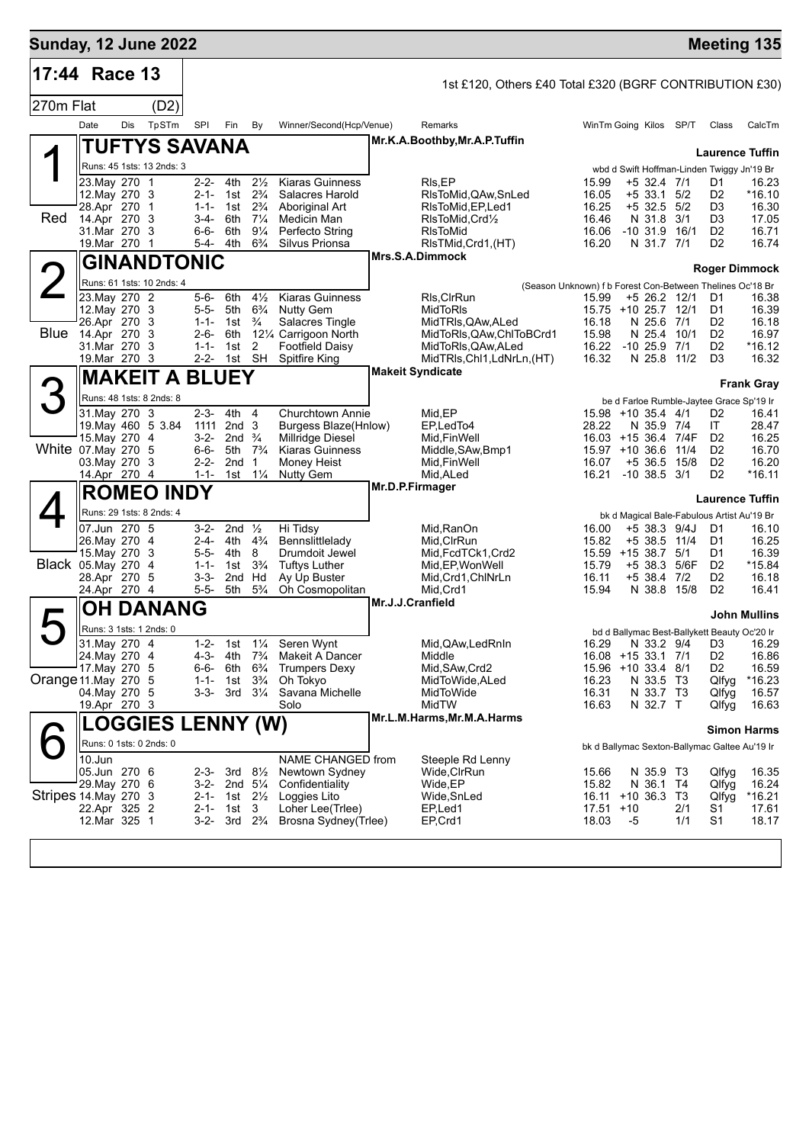| <b>Sunday, 12 June 2022</b> |                              |     |                           |                        |                                        |                                        |                                                          |                                                         |                                                                    |                                                                           |              |                                  | <b>Meeting 135</b>     |
|-----------------------------|------------------------------|-----|---------------------------|------------------------|----------------------------------------|----------------------------------------|----------------------------------------------------------|---------------------------------------------------------|--------------------------------------------------------------------|---------------------------------------------------------------------------|--------------|----------------------------------|------------------------|
| 17:44 Race 13               |                              |     |                           |                        |                                        |                                        |                                                          | 1st £120, Others £40 Total £320 (BGRF CONTRIBUTION £30) |                                                                    |                                                                           |              |                                  |                        |
| 270m Flat                   |                              |     | (D2)                      |                        |                                        |                                        |                                                          |                                                         |                                                                    |                                                                           |              |                                  |                        |
|                             | Date                         | Dis | TpSTm                     | SPI                    | Fin                                    | By                                     | Winner/Second(Hcp/Venue)                                 | Remarks                                                 |                                                                    | WinTm Going Kilos                                                         | SP/T         | Class                            | CalcTm                 |
|                             |                              |     | TUFTYS SAVANA             |                        |                                        |                                        |                                                          | Mr.K.A.Boothby, Mr.A.P.Tuffin                           |                                                                    |                                                                           |              |                                  |                        |
|                             |                              |     | Runs: 45 1sts: 13 2nds: 3 |                        |                                        |                                        |                                                          |                                                         |                                                                    | wbd d Swift Hoffman-Linden Twiggy Jn'19 Br                                |              |                                  | <b>Laurence Tuffin</b> |
|                             | 23. May 270 1                |     |                           | 2-2-                   | 4th                                    | $2\frac{1}{2}$                         | <b>Kiaras Guinness</b>                                   | RIs,EP                                                  | 15.99                                                              | +5 32.4 7/1                                                               |              | D1                               | 16.23                  |
|                             | 12. May 270 3<br>28.Apr 270  |     | - 1                       | $2 - 1 -$<br>$1 - 1 -$ | 1st                                    | $2\frac{3}{4}$<br>$2\frac{3}{4}$       | Salacres Harold                                          | RIsToMid,QAw,SnLed                                      | 16.05<br>16.25                                                     | +5 33.1<br>$+5$ 32.5 $5/2$                                                | 5/2          | D <sub>2</sub><br>D <sub>3</sub> | *16.10<br>16.30        |
| Red                         | 14.Apr 270                   |     | -3                        | $3-4-$                 | 1st<br>6th                             | $7\frac{1}{4}$                         | Aboriginal Art<br>Medicin Man                            | RIsToMid, EP, Led 1<br>RIsToMid, Crd1/2                 | 16.46                                                              | N 31.8                                                                    | 3/1          | D <sub>3</sub>                   | 17.05                  |
|                             | 31.Mar 270 3                 |     |                           | 6-6-                   | 6th<br>4th                             | $9\frac{1}{4}$<br>$6\frac{3}{4}$       | Perfecto String<br>Silvus Prionsa                        | RIsToMid                                                | 16.06                                                              | $-10$ 31.9 $16/1$                                                         |              | D <sub>2</sub><br>D <sub>2</sub> | 16.71<br>16.74         |
|                             | 19. Mar 270 1                |     |                           | 5-4-                   |                                        |                                        |                                                          | RIsTMid, Crd1, (HT)<br>Mrs.S.A.Dimmock                  | 16.20                                                              | N 31.7 7/1                                                                |              |                                  |                        |
|                             |                              |     | <b>GINANDTONIC</b>        |                        |                                        |                                        |                                                          |                                                         |                                                                    |                                                                           |              |                                  | Roger Dimmock          |
|                             | 23. May 270 2                |     | Runs: 61 1sts: 10 2nds: 4 | 5-6-                   | 6th                                    | $4\frac{1}{2}$                         | <b>Kiaras Guinness</b>                                   | RIs, CIrRun                                             | (Season Unknown) f b Forest Con-Between Thelines Oc'18 Br<br>15.99 | +5 26.2 12/1                                                              |              | D1                               | 16.38                  |
|                             | 12. May 270 3                |     |                           | 5-5-                   | 5th                                    | $6\frac{3}{4}$                         | <b>Nutty Gem</b>                                         | MidToRIs                                                |                                                                    | 15.75 +10 25.7 12/1                                                       |              | D1                               | 16.39                  |
| Blue                        | 26.Apr 270 3<br>14.Apr 270 3 |     |                           | $1 - 1 -$<br>$2 - 6 -$ | 1st<br>6th                             | $\frac{3}{4}$                          | Salacres Tingle<br>121⁄4 Carrigoon North                 | MidTRIs, QAw, ALed<br>MidToRIs, QAw, ChIToBCrd1         | 16.18<br>15.98                                                     | N 25.6 7/1<br>N 25.4                                                      | 10/1         | D <sub>2</sub><br>D <sub>2</sub> | 16.18<br>16.97         |
|                             | 31.Mar 270 3                 |     |                           | $1 - 1 -$              | 1st                                    | 2                                      | <b>Footfield Daisy</b>                                   | MidToRIs, QAw, ALed                                     | 16.22                                                              | $-10$ 25.9 $7/1$                                                          |              | D <sub>2</sub>                   | *16.12                 |
|                             | 19. Mar 270 3                |     |                           | 2-2-                   | 1st SH                                 |                                        | <b>Spitfire King</b>                                     | MidTRIs, Chl1, LdNrLn, (HT)<br><b>Makeit Syndicate</b>  | 16.32                                                              | N 25.8 11/2                                                               |              | D <sub>3</sub>                   | 16.32                  |
|                             |                              |     | <b>MAKEIT A BLUEY</b>     |                        |                                        |                                        |                                                          |                                                         |                                                                    |                                                                           |              |                                  | <b>Frank Gray</b>      |
| 3                           |                              |     | Runs: 48 1sts: 8 2nds: 8  |                        |                                        |                                        |                                                          |                                                         |                                                                    | be d Farloe Rumble-Jaytee Grace Sp'19 Ir                                  |              |                                  |                        |
|                             | 31. May 270 3                |     | 19. May 460 5 3.84        | $2 - 3 -$<br>1111      | 4th<br>2nd <sub>3</sub>                | $\overline{4}$                         | <b>Churchtown Annie</b><br>Burgess Blaze(Hnlow)          | Mid, EP<br>EP.LedTo4                                    | 28.22                                                              | 15.98 +10 35.4 4/1<br>N 35.9 7/4                                          |              | D <sub>2</sub><br>IT             | 16.41<br>28.47         |
|                             | 15.May 270 4                 |     |                           | $3-2-$                 | 2nd                                    | $\frac{3}{4}$                          | Millridge Diesel                                         | Mid, Fin Well                                           |                                                                    | 16.03 +15 36.4 7/4F                                                       |              | D <sub>2</sub>                   | 16.25                  |
| White 07.May 270 5          | 03. May 270 3                |     |                           | $6 - 6 -$<br>$2 - 2 -$ | 5th<br>2nd                             | $7\frac{3}{4}$<br>1                    | <b>Kiaras Guinness</b><br>Money Heist                    | Middle, SAw, Bmp1<br>Mid, Fin Well                      | 16.07                                                              | $15.97 + 10.366$<br>$+5,36.5$                                             | 11/4<br>15/8 | D <sub>2</sub><br>D <sub>2</sub> | 16.70<br>16.20         |
|                             | 14.Apr 270 4                 |     |                           | $1 - 1 -$              | 1st                                    | $1\frac{1}{4}$                         | <b>Nutty Gem</b>                                         | Mid, ALed                                               | 16.21                                                              | $-10, 38.5, 3/1$                                                          |              | D <sub>2</sub>                   | $*16.11$               |
|                             |                              |     | <b>ROMEO INDY</b>         |                        |                                        |                                        |                                                          | Mr.D.P.Firmager                                         |                                                                    |                                                                           |              | <b>Laurence Tuffin</b>           |                        |
|                             |                              |     | Runs: 29 1sts: 8 2nds: 4  |                        |                                        |                                        |                                                          |                                                         |                                                                    | bk d Magical Bale-Fabulous Artist Au'19 Br                                |              |                                  |                        |
|                             | 07.Jun 270 5                 |     |                           | $3 - 2 -$              | 2nd $\frac{1}{2}$                      |                                        | Hi Tidsy                                                 | Mid,RanOn                                               | 16.00                                                              | +5 38.3 9/4J                                                              |              | D1                               | 16.10                  |
|                             | 26.May 270 4<br>15. May 270  |     | 3                         | 2-4-<br>$5 - 5 -$      | 4th<br>4th                             | $4\frac{3}{4}$<br>8                    | Bennslittlelady<br>Drumdoit Jewel                        | Mid, CIrRun<br>Mid, FcdTCk1, Crd2                       | 15.82<br>15.59                                                     | +5 38.5 11/4<br>+15 38.7                                                  | 5/1          | D1<br>D1                         | 16.25<br>16.39         |
| Black 05. May 270 4         |                              |     |                           | $1 - 1 -$              | 1st                                    | $3\frac{3}{4}$                         | <b>Tuftys Luther</b>                                     | Mid, EP, Won Well                                       | 15.79                                                              | +5 38.3                                                                   | 5/6F         | D <sub>2</sub>                   | *15.84                 |
|                             | 28.Apr 270 5<br>24.Apr 270 4 |     |                           | $3 - 3 -$<br>$5 - 5 -$ | 2nd<br>5th                             | Hd<br>$5\frac{3}{4}$                   | Ay Up Buster<br>Oh Cosmopolitan                          | Mid, Crd1, ChINrLn<br>Mid, Crd1                         | 16.11<br>15.94                                                     | +5 38.4 7/2<br>N 38.8 15/8                                                |              | D <sub>2</sub><br>D <sub>2</sub> | 16.18<br>16.41         |
|                             |                              |     | <b>OH DANANG</b>          |                        |                                        |                                        |                                                          | Mr.J.J.Cranfield                                        |                                                                    |                                                                           |              |                                  |                        |
|                             |                              |     | Runs: 3 1sts: 1 2nds: 0   |                        |                                        |                                        |                                                          |                                                         |                                                                    |                                                                           |              |                                  | <b>John Mullins</b>    |
|                             | 31. May 270 4                |     |                           | $1 - 2 -$              |                                        |                                        | 1st 11/4 Seren Wynt                                      | Mid, QAw, Led RnIn                                      |                                                                    | bd d Ballymac Best-Ballykett Beauty Oc'20 Ir<br>16.29 N 33.2 9/4 D3 16.29 |              |                                  |                        |
|                             | 24. May 270 4                |     |                           |                        | 4-3- 4th 7 <sup>3</sup> / <sub>4</sub> |                                        | Makeit A Dancer                                          | Middle                                                  |                                                                    | 16.08 +15 33.1 7/1                                                        |              | D <sub>2</sub>                   | 16.86                  |
| Orange 11. May 270 5        | 17. May 270 5                |     |                           | $1 - 1 -$              | 6-6- 6th $6\frac{3}{4}$<br>1st         | $3\frac{3}{4}$                         | <b>Trumpers Dexy</b><br>Oh Tokyo                         | Mid, SAw, Crd2<br>MidToWide, ALed                       | 16.23                                                              | 15.96 +10 33.4 8/1<br>N 33.5 T3                                           |              | D <sub>2</sub><br>Qlfyg          | 16.59<br>*16.23        |
|                             | 04. May 270 5                |     |                           | 3-3-                   |                                        | $3rd \quad 3\frac{1}{4}$               | Savana Michelle                                          | MidToWide                                               | 16.31                                                              | N 33.7 T3                                                                 |              | Qlfyg                            | 16.57                  |
|                             | 19.Apr 270 3                 |     |                           |                        |                                        |                                        | Solo                                                     | MidTW<br>Mr.L.M.Harms, Mr.M.A.Harms                     | 16.63                                                              | N 32.7 T                                                                  |              | Qlfyg                            | 16.63                  |
|                             |                              |     | <b>LOGGIES LENNY (W)</b>  |                        |                                        |                                        |                                                          |                                                         |                                                                    |                                                                           |              |                                  | <b>Simon Harms</b>     |
|                             |                              |     | Runs: 0 1sts: 0 2nds: 0   |                        |                                        |                                        |                                                          |                                                         |                                                                    | bk d Ballymac Sexton-Ballymac Galtee Au'19 Ir                             |              |                                  |                        |
|                             | 10.Jun<br>05.Jun 270 6       |     |                           |                        | 2-3- 3rd $8\frac{1}{2}$                |                                        | NAME CHANGED from<br>Newtown Sydney                      | Steeple Rd Lenny<br>Wide,CIrRun                         | 15.66                                                              | N 35.9 T3                                                                 |              | Qlfyg                            | 16.35                  |
|                             | 29.May 270 6                 |     |                           | 3-2-                   | 2nd $5\frac{1}{4}$                     |                                        | Confidentiality                                          | Wide,EP                                                 | 15.82                                                              | N 36.1 T4                                                                 |              | Qlfyg                            | 16.24                  |
| Stripes 14. May 270 3       | 22.Apr 325 2                 |     |                           |                        | 2-1- 1st                               | 3                                      | 2-1- 1st $2\frac{1}{2}$ Loggies Lito<br>Loher Lee(Triee) | Wide, SnLed<br>EP,Led1                                  | $17.51 + 10$                                                       | $16.11 + 10.36.3$ T3                                                      | 2/1          | Qlfyg<br>S1                      | *16.21<br>17.61        |
|                             | 12.Mar 325 1                 |     |                           |                        |                                        | 3-2- 3rd 2 <sup>3</sup> / <sub>4</sub> | Brosna Sydney(Trlee)                                     | EP,Crd1                                                 | 18.03                                                              | -5                                                                        | 1/1          | S <sub>1</sub>                   | 18.17                  |
|                             |                              |     |                           |                        |                                        |                                        |                                                          |                                                         |                                                                    |                                                                           |              |                                  |                        |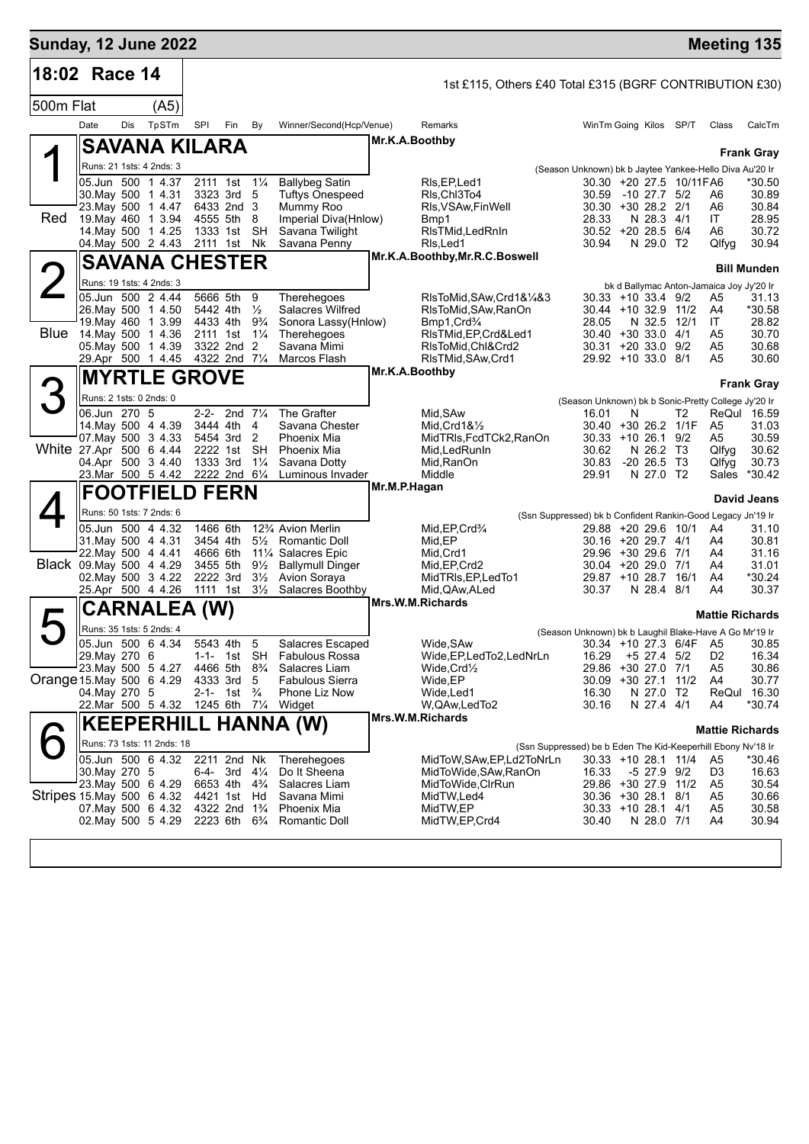| <b>Sunday, 12 June 2022</b> |                             |     |                                                             |                                        |                                        |                                  |                                                                                |                                     |                                                         |                                                                                        |   |                            |                          | <b>Meeting 135</b>                             |                      |
|-----------------------------|-----------------------------|-----|-------------------------------------------------------------|----------------------------------------|----------------------------------------|----------------------------------|--------------------------------------------------------------------------------|-------------------------------------|---------------------------------------------------------|----------------------------------------------------------------------------------------|---|----------------------------|--------------------------|------------------------------------------------|----------------------|
| 18:02 Race 14               |                             |     |                                                             |                                        |                                        |                                  |                                                                                |                                     | 1st £115, Others £40 Total £315 (BGRF CONTRIBUTION £30) |                                                                                        |   |                            |                          |                                                |                      |
| 500m Flat                   |                             |     | (A5)                                                        |                                        |                                        |                                  |                                                                                |                                     |                                                         |                                                                                        |   |                            |                          |                                                |                      |
|                             | Date                        | Dis | TpSTm                                                       | SPI                                    | Fin                                    | By                               | Winner/Second(Hcp/Venue)                                                       |                                     | Remarks                                                 | WinTm Going Kilos SP/T                                                                 |   |                            |                          | Class                                          | CalcTm               |
|                             |                             |     | <b>SAVANA KILARA</b>                                        |                                        |                                        |                                  |                                                                                | Mr.K.A.Boothby                      |                                                         |                                                                                        |   |                            |                          |                                                |                      |
|                             |                             |     | Runs: 21 1sts: 4 2nds: 3                                    |                                        |                                        |                                  |                                                                                |                                     |                                                         |                                                                                        |   |                            |                          |                                                | <b>Frank Gray</b>    |
|                             |                             |     | 05.Jun 500 1 4.37                                           | 2111 1st                               |                                        | $1\frac{1}{4}$                   | <b>Ballybeg Satin</b>                                                          |                                     | RIs, EP, Led1                                           | (Season Unknown) bk b Jaytee Yankee-Hello Diva Au'20 Ir                                |   |                            | 30.30 +20 27.5 10/11 FA6 |                                                | *30.50               |
|                             |                             |     | 30. May 500 1 4.31                                          |                                        | 3323 3rd                               | 5                                | <b>Tuftys Onespeed</b>                                                         |                                     | RIs Chl3To4                                             | 30.59                                                                                  |   | -10 27.7 5/2               |                          | A6                                             | 30.89                |
| Red                         |                             |     | 23. May 500 1 4.47<br>19. May 460 1 3.94                    |                                        | 6433 2nd 3<br>4555 5th 8               |                                  | Mummy Roo<br>Imperial Diva(Hnlow)                                              |                                     | RIs, VSAw, Fin Well<br>Bmp1                             | 30.30 +30 28.2 2/1<br>28.33                                                            |   | N 28.3 4/1                 |                          | A6<br>IT                                       | 30.84<br>28.95       |
|                             |                             |     | 14. May 500 1 4.25                                          | 1333 1st                               |                                        | <b>SH</b>                        | Savana Twilight                                                                |                                     | RIsTMid, LedRnIn                                        | 30.52 +20 28.5 6/4                                                                     |   |                            |                          | A6                                             | 30.72                |
|                             |                             |     | 04. May 500 2 4.43                                          | 2111 1st                               |                                        | Nk                               | Savana Penny                                                                   |                                     | RIs, Led1<br>Mr.K.A.Boothby, Mr.R.C.Boswell             | 30.94                                                                                  |   | N 29.0 T2                  |                          | Qlfyg                                          | 30.94                |
|                             |                             |     | <b>SAVANA CHESTER</b>                                       |                                        |                                        |                                  |                                                                                |                                     |                                                         |                                                                                        |   |                            |                          |                                                | <b>Bill Munden</b>   |
|                             |                             |     | Runs: 19 1sts: 4 2nds: 3<br>05.Jun 500 2 4.44               | 5666 5th                               |                                        | 9                                | Therehegoes                                                                    |                                     | RIsToMid, SAw, Crd1&1/4&3                               | $30.33 + 10.33.4$ 9/2                                                                  |   |                            |                          | bk d Ballymac Anton-Jamaica Joy Jy'20 Ir<br>A5 | 31.13                |
|                             |                             |     | 26. May 500 1 4.50                                          | 5442 4th                               |                                        | $\frac{1}{2}$                    | <b>Salacres Wilfred</b>                                                        |                                     | RIsToMid, SAw, RanOn                                    | 30.44 +10 32.9 11/2                                                                    |   |                            |                          | A4                                             | *30.58               |
| <b>Blue</b>                 |                             |     | 19 May 460 1 3.99<br>14. May 500 1 4.36                     | 4433 4th<br>2111 1st                   |                                        | $9\frac{3}{4}$<br>$1\frac{1}{4}$ | Sonora Lassy(Hnlow)<br>Therehegoes                                             |                                     | Bmp1, Crd <sup>3</sup> /4<br>RIsTMid, EP, Crd&Led1      | 28.05<br>$30.40 + 30.33.0$ 4/1                                                         |   | N 32.5 12/1                |                          | IT<br>A5                                       | 28.82<br>30.70       |
|                             |                             |     | 05. May 500 1 4.39                                          |                                        | 3322 2nd 2                             |                                  | Savana Mimi                                                                    |                                     | RIsToMid.Chl&Crd2                                       | $30.31 + 20.33.0$ 9/2                                                                  |   |                            |                          | A5                                             | 30.68                |
|                             |                             |     | 29.Apr 500 1 4.45                                           | 4322 2nd 71/4                          |                                        |                                  | Marcos Flash                                                                   |                                     | RIsTMid, SAw, Crd1                                      | 29.92 +10 33.0 8/1                                                                     |   |                            |                          | A5                                             | 30.60                |
|                             |                             |     | <b>MYRTLE GROVE</b>                                         |                                        |                                        |                                  |                                                                                | Mr.K.A.Boothby<br><b>Frank Gray</b> |                                                         |                                                                                        |   |                            |                          |                                                |                      |
|                             |                             |     | Runs: 2 1sts: 0 2nds: 0                                     |                                        |                                        |                                  |                                                                                |                                     |                                                         | (Season Unknown) bk b Sonic-Pretty College Jy'20 Ir                                    |   |                            |                          |                                                |                      |
|                             | 06.Jun 270 5                |     | 14 May 500 4 4.39                                           | $2 - 2 -$<br>3444 4th                  | 2nd $7\frac{1}{4}$                     | 4                                | The Grafter<br>Savana Chester                                                  |                                     | Mid, SAw<br>Mid, Crd $18\frac{1}{2}$                    | 16.01<br>30.40 +30 26.2 1/1F                                                           | N |                            | T2                       | A <sub>5</sub>                                 | ReQul 16.59<br>31.03 |
|                             |                             |     | 07. May 500 3 4.33                                          |                                        | 5454 3rd                               | $\overline{2}$                   | Phoenix Mia                                                                    |                                     | MidTRIs, FcdTCk2, RanOn                                 | $30.33 + 10.26.1$                                                                      |   |                            | 9/2                      | A5                                             | 30.59                |
| White 27.Apr 500 6 4.44     |                             |     | 04.Apr 500 3 4.40                                           | 2222 1st<br>1333 3rd                   |                                        | <b>SH</b><br>$1\frac{1}{4}$      | Phoenix Mia<br>Savana Dotty                                                    |                                     | Mid, Led Run In<br>Mid, RanOn                           | 30.62<br>30.83                                                                         |   | N 26.2 T3<br>$-20$ 26.5 T3 |                          | Qlfyg<br>Qlfyg                                 | 30.62<br>30.73       |
|                             |                             |     | 23.Mar 500 5 4.42                                           |                                        | 2222 2nd 6 <sup>1</sup> / <sub>4</sub> |                                  | Luminous Invader                                                               |                                     | Middle                                                  | 29.91                                                                                  |   | N 27.0 T2                  |                          | Sales                                          | $*30.42$             |
|                             |                             |     | <b>FOOTFIELD FERN</b>                                       |                                        |                                        |                                  |                                                                                | Mr.M.P.Hagan                        |                                                         |                                                                                        |   |                            |                          |                                                | <b>David Jeans</b>   |
|                             |                             |     | Runs: 50 1sts: 7 2nds: 6                                    |                                        |                                        |                                  |                                                                                |                                     |                                                         | (Ssn Suppressed) bk b Confident Rankin-Good Legacy Jn'19 Ir                            |   |                            |                          |                                                |                      |
|                             |                             |     | 05.Jun 500 4 4.32                                           | 1466 6th                               |                                        |                                  | 12% Avion Merlin                                                               |                                     | Mid, EP, Crd <sup>3</sup> / <sub>4</sub>                | 29.88 +20 29.6 10/1                                                                    |   |                            |                          | A4                                             | 31.10                |
|                             |                             |     | 31. May 500 4 4.31<br>22. May 500 4 4.41                    | 3454 4th<br>4666 6th                   |                                        | $5\frac{1}{2}$                   | Romantic Doll<br>11% Salacres Epic                                             |                                     | Mid, EP<br>Mid, Crd1                                    | $30.16 + 2029.74/1$<br>29.96 +30 29.6 7/1                                              |   |                            |                          | A4<br>A4                                       | 30.81<br>31.16       |
| Black 09 May 500 4 4.29     |                             |     |                                                             | 3455 5th                               |                                        | $9\frac{1}{2}$                   | <b>Ballymull Dinger</b>                                                        |                                     | Mid, EP, Crd2                                           | 30.04 +20 29.0 7/1                                                                     |   |                            |                          | A4                                             | 31.01                |
|                             |                             |     | 02. May 500 3 4.22<br>25.Apr 500 4 4.26                     | 2222 3rd<br>1111 1st                   |                                        | $3\frac{1}{2}$<br>$3\frac{1}{2}$ | Avion Soraya<br>Salacres Boothby                                               |                                     | MidTRIs, EP, LedTo1<br>Mid, QAw, ALed                   | 29.87 +10 28.7<br>30.37                                                                |   | N 28.4 8/1                 | 16/1                     | A4<br>A4                                       | *30.24<br>30.37      |
|                             |                             |     | <b>CARNALEA (W)</b>                                         |                                        |                                        |                                  |                                                                                |                                     | Mrs.W.M.Richards                                        |                                                                                        |   |                            |                          |                                                |                      |
|                             |                             |     | Runs: 35 1sts: 5 2nds: 4                                    |                                        |                                        |                                  |                                                                                |                                     |                                                         |                                                                                        |   |                            |                          | <b>Mattie Richards</b>                         |                      |
|                             |                             |     | 05.Jun 500 6 4.34                                           |                                        | 5543 4th 5                             |                                  | Salacres Escaped                                                               |                                     | Wide, SAw                                               | (Season Unknown) bk b Laughil Blake-Have A Go Mr'19 Ir                                 |   |                            |                          | 30.34 +10 27.3 6/4F A5                         | 30.85                |
|                             | 29. May 270 6               |     |                                                             |                                        |                                        |                                  | 1-1- 1st SH Fabulous Rossa                                                     |                                     | Wide,EP,LedTo2,LedNrLn                                  | 16.29                                                                                  |   | $+5$ 27.4 $5/2$            |                          | D <sub>2</sub>                                 | 16.34                |
| Orange 15. May 500 6 4.29   |                             |     | 23. May 500 5 4.27                                          | 4333 3rd                               |                                        | 5                                | 4466 5th 8 <sup>3</sup> / <sub>4</sub> Salacres Liam<br><b>Fabulous Sierra</b> |                                     | $W$ ide, $C$ rd $\frac{1}{2}$<br>Wide,EP                | 29.86 +30 27.0 7/1<br>30.09 +30 27.1 11/2                                              |   |                            |                          | A5<br>A4                                       | 30.86<br>30.77       |
|                             | 04. May 270 5               |     |                                                             |                                        | 2-1- 1st                               | $\frac{3}{4}$                    | Phone Liz Now                                                                  |                                     | Wide,Led1                                               | 16.30                                                                                  |   | N 27.0 T2                  |                          | ReQul                                          | 16.30                |
|                             |                             |     | 22.Mar 500 5 4.32                                           |                                        |                                        |                                  | 1245 6th $7\frac{1}{4}$ Widget                                                 |                                     | W,QAw,LedTo2<br>Mrs.W.M.Richards                        | 30.16                                                                                  |   | N 27.4 4/1                 |                          | A4                                             | *30.74               |
|                             | <b>KEEPERHILL HANNA (W)</b> |     |                                                             |                                        |                                        |                                  |                                                                                |                                     |                                                         |                                                                                        |   |                            |                          | <b>Mattie Richards</b>                         |                      |
|                             |                             |     | Runs: 73 1sts: 11 2nds: 18<br>05.Jun 500 6 4.32 2211 2nd Nk |                                        |                                        |                                  | Therehegoes                                                                    |                                     | MidToW, SAw, EP, Ld2ToNrLn                              | (Ssn Suppressed) be b Eden The Kid-Keeperhill Ebony Nv'18 Ir<br>$30.33 + 10.28.1$ 11/4 |   |                            |                          | A5                                             | *30.46               |
|                             | 30. May 270 5               |     |                                                             |                                        | 6-4- 3rd $4\frac{1}{4}$                |                                  | Do It Sheena                                                                   |                                     | MidToWide, SAw, RanOn                                   | 16.33                                                                                  |   | -5 27.9 9/2                |                          | D3                                             | 16.63                |
| Stripes 15 May 500 6 4.32   |                             |     | 23. May 500 6 4.29                                          |                                        | 6653 4th 4 <sup>3</sup> / <sub>4</sub> |                                  | Salacres Liam                                                                  |                                     | MidToWide,CIrRun<br>MidTW, Led4                         | 29.86 +30 27.9 11/2                                                                    |   |                            |                          | A5                                             | 30.54                |
|                             |                             |     | 07 May 500 6 4.32                                           | 4322 2nd 1 <sup>3</sup> / <sub>4</sub> | 4421 1st Hd                            |                                  | Savana Mimi<br><b>Phoenix Mia</b>                                              |                                     | MidTW,EP                                                | 30.36 +30 28.1 8/1<br>$30.33 + 10.28.1$ 4/1                                            |   |                            |                          | A5<br>A5                                       | 30.66<br>30.58       |
|                             |                             |     | 02. May 500 5 4.29 2223 6th $6\frac{3}{4}$                  |                                        |                                        |                                  | Romantic Doll                                                                  |                                     | MidTW, EP, Crd4                                         | 30.40                                                                                  |   | N 28.0 7/1                 |                          | A4                                             | 30.94                |
|                             |                             |     |                                                             |                                        |                                        |                                  |                                                                                |                                     |                                                         |                                                                                        |   |                            |                          |                                                |                      |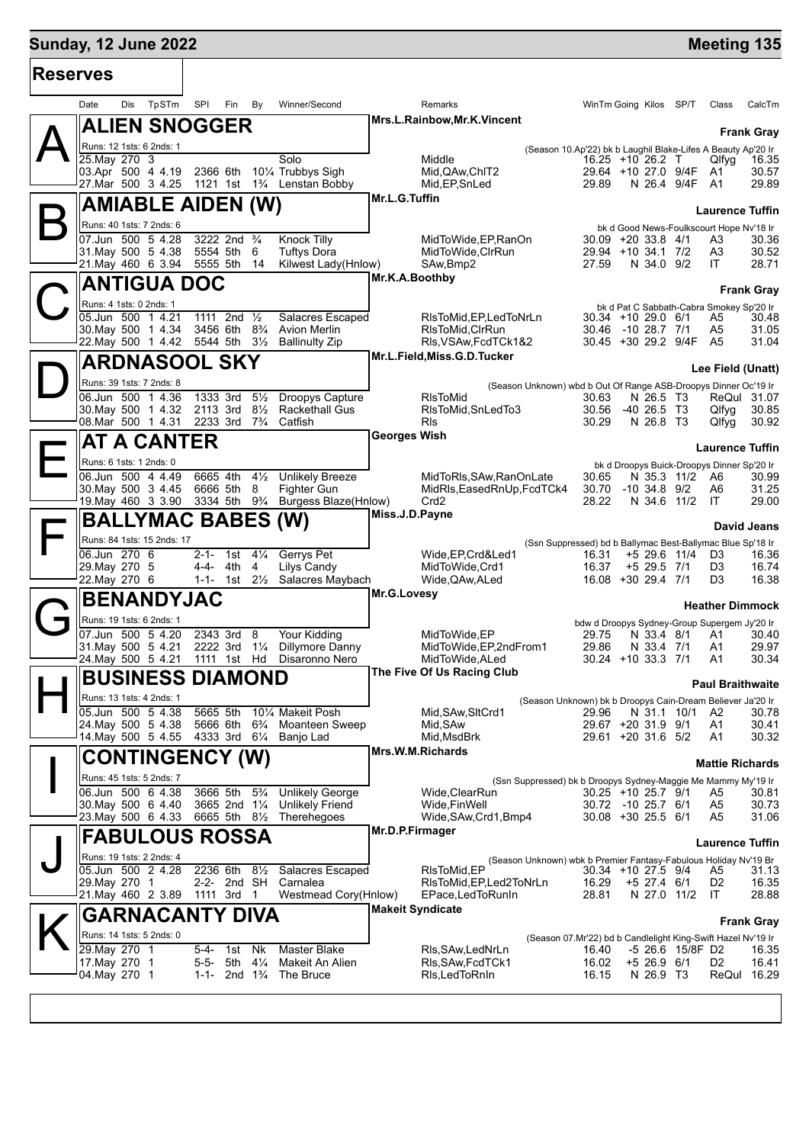# **Sunday, 12 June 2022 Meeting 135 Reserves**

| Date                                          | Dis | TpSTm                            | SPI                  | Fin                                    | By             | Winner/Second                                                      |                         | Remarks                                                                           | WinTm Going Kilos SP/T                       |                                         |                  | Class                                          | CalcTm             |
|-----------------------------------------------|-----|----------------------------------|----------------------|----------------------------------------|----------------|--------------------------------------------------------------------|-------------------------|-----------------------------------------------------------------------------------|----------------------------------------------|-----------------------------------------|------------------|------------------------------------------------|--------------------|
|                                               |     | <b>ALIEN SNOGGER</b>             |                      |                                        |                |                                                                    |                         | Mrs.L.Rainbow, Mr.K.Vincent                                                       |                                              |                                         |                  |                                                | <b>Frank Gray</b>  |
| Runs: 12 1sts: 6 2nds: 1                      |     |                                  |                      |                                        |                |                                                                    |                         | (Season 10.Ap'22) bk b Laughil Blake-Lifes A Beauty Ap'20 Ir                      |                                              |                                         |                  |                                                |                    |
| 25.May 270 3                                  |     |                                  |                      |                                        |                | Solo                                                               |                         | Middle                                                                            | 16.25 +10 26.2 T                             |                                         |                  | Qlfyg                                          | 16.35              |
| 03.Apr 500 4 4.19                             |     |                                  | 2366 6th             |                                        |                | 101⁄4 Trubbys Sigh                                                 |                         | Mid, QAw, ChIT2                                                                   | 29.64 +10 27.0 9/4F                          |                                         |                  | A1                                             | 30.57              |
| 27. Mar 500 3 4.25                            |     |                                  |                      |                                        |                | 1121 1st 1 <sup>3</sup> / <sub>4</sub> Lenstan Bobby               | Mr.L.G.Tuffin           | Mid, EP, SnLed                                                                    | 29.89                                        | N 26.4 9/4F                             |                  | A1                                             | 29.89              |
|                                               |     | <b>AMIABLE AIDEN (W)</b>         |                      |                                        |                |                                                                    |                         |                                                                                   |                                              |                                         |                  | <b>Laurence Tuffin</b>                         |                    |
|                                               |     | Runs: 40 1sts: 7 2nds: 6         |                      |                                        |                |                                                                    |                         |                                                                                   |                                              |                                         |                  | bk d Good News-Foulkscourt Hope Nv'18 Ir       |                    |
| 07.Jun 500 5 4.28                             |     |                                  |                      | 3222 2nd $\frac{3}{4}$<br>5554 5th 6   |                | Knock Tilly<br>Tuftys Dora                                         |                         | MidToWide, EP, RanOn<br>MidToWide, CIrRun                                         | $30.09 + 20.33.8$ 4/1                        |                                         |                  | A3<br>A3                                       | 30.36<br>30.52     |
| 31. May 500 5 4.38<br>21. May 460 6 3.94      |     |                                  |                      | 5555 5th 14                            |                | Kilwest Lady(Hnlow)                                                |                         | SAw, Bmp2                                                                         | 29.94 +10 34.1 7/2<br>27.59                  | N 34.0 9/2                              |                  | IT                                             | 28.71              |
|                                               |     | <b>ANTIGUA DOC</b>               |                      |                                        |                |                                                                    | Mr.K.A.Boothby          |                                                                                   |                                              |                                         |                  |                                                |                    |
|                                               |     |                                  |                      |                                        |                |                                                                    |                         |                                                                                   |                                              |                                         |                  |                                                | <b>Frank Gray</b>  |
| Runs: 4 1sts: 0 2nds: 1<br>05.Jun 500 1 4.21  |     |                                  |                      | 1111 2nd 1/2                           |                | Salacres Escaped                                                   |                         | RIsToMid, EP, LedToNrLn                                                           | 30.34 +10 29.0 6/1                           |                                         |                  | bk d Pat C Sabbath-Cabra Smokey Sp'20 Ir<br>A5 | 30.48              |
| 30. May 500 1 4.34                            |     |                                  |                      | 3456 6th 8 <sup>3</sup> / <sub>4</sub> |                | <b>Avion Merlin</b>                                                |                         | RIsToMid, CIrRun                                                                  | 30.46                                        | -10 28.7 7/1                            |                  | A5                                             | 31.05              |
|                                               |     | 22. May 500 1 4.42 5544 5th 31/2 |                      |                                        |                | <b>Ballinulty Zip</b>                                              |                         | RIs, VSAw, FcdTCk1&2                                                              | 30.45 +30 29.2 9/4F                          |                                         |                  | A <sub>5</sub>                                 | 31.04              |
|                                               |     | <b>ARDNASOOL SKY</b>             |                      |                                        |                |                                                                    |                         | Mr.L.Field,Miss.G.D.Tucker/                                                       |                                              |                                         |                  | Lee Field (Unatt)                              |                    |
|                                               |     | Runs: 39 1sts: 7 2nds: 8         |                      |                                        |                |                                                                    |                         | (Season Unknown) wbd b Out Of Range ASB-Droopys Dinner Oc'19 Ir                   |                                              |                                         |                  |                                                |                    |
| 06.Jun 500 1 4.36                             |     |                                  | 1333 3rd             |                                        | $5\frac{1}{2}$ | Droopys Capture                                                    |                         | <b>RIsToMid</b>                                                                   | 30.63                                        | N 26.5 T3                               |                  |                                                | ReQul 31.07        |
| 30. May 500 1 4.32                            |     | 08. Mar 500 1 4.31               | 2113 3rd<br>2233 3rd |                                        |                | 81/ <sub>2</sub> Rackethall Gus<br>7¾ Catfish                      |                         | RIsToMid, SnLedTo3<br><b>RIs</b>                                                  | 30.56<br>30.29                               | $-40, 26.5$ T <sub>3</sub><br>N 26.8 T3 |                  | Qlfyg<br>Qlfyg                                 | 30.85<br>30.92     |
|                                               |     |                                  |                      |                                        |                |                                                                    | <b>Georges Wish</b>     |                                                                                   |                                              |                                         |                  |                                                |                    |
|                                               |     | AT A CANTER                      |                      |                                        |                |                                                                    |                         |                                                                                   |                                              |                                         |                  | <b>Laurence Tuffin</b>                         |                    |
| Runs: 6 1sts: 1 2nds: 0                       |     |                                  |                      |                                        |                |                                                                    |                         |                                                                                   |                                              |                                         |                  | bk d Droopys Buick-Droopys Dinner Sp'20 Ir     |                    |
| 06.Jun 500 4 4.49<br>30. May 500 3 4.45       |     |                                  | 6665 4th             | 6666 5th 8                             | $4\frac{1}{2}$ | <b>Unlikely Breeze</b><br>Fighter Gun                              |                         | MidToRIs, SAw, RanOnLate<br>MidRIs, Eased RnUp, FcdTCk4                           | 30.65<br>30.70                               | N 35.3 11/2<br>$-10, 34.8, 9/2$         |                  | A6<br>A6                                       | 30.99<br>31.25     |
|                                               |     |                                  |                      |                                        |                | 19. May 460 3 3.90 3334 5th 9 <sup>3</sup> /4 Burgess Blaze(Hnlow) |                         | Crd <sub>2</sub>                                                                  | 28.22                                        | N 34.6 11/2                             |                  | IT.                                            | 29.00              |
|                                               |     | <b>BALLYMAC BABES (W)</b>        |                      |                                        |                |                                                                    | Miss.J.D.Payne          |                                                                                   |                                              |                                         |                  |                                                |                    |
|                                               |     | Runs: 84 1sts: 15 2nds: 17       |                      |                                        |                |                                                                    |                         |                                                                                   |                                              |                                         |                  |                                                | <b>David Jeans</b> |
| 06.Jun 270 6                                  |     |                                  | $2 - 1 -$            | 1st                                    | $4\frac{1}{4}$ | Gerrys Pet                                                         |                         | (Ssn Suppressed) bd b Ballymac Best-Ballymac Blue Sp'18 Ir<br>Wide, EP, Crd& Led1 | 16.31                                        |                                         | +5 29.6 11/4     | D3                                             | 16.36              |
| 29. May 270 5                                 |     |                                  | 4-4- 4th             |                                        | 4              | Lilys Candy                                                        |                         | MidToWide, Crd1                                                                   | 16.37                                        | $+5$ 29.5 7/1                           |                  | D <sub>3</sub>                                 | 16.74              |
| 22. May 270 6                                 |     |                                  |                      |                                        |                | 1-1- 1st 21/2 Salacres Maybach                                     | Mr.G.Lovesy             | Wide, QAw, ALed                                                                   | 16.08 +30 29.4 7/1                           |                                         |                  | D <sub>3</sub>                                 | 16.38              |
|                                               |     | <b>BENANDYJAC</b>                |                      |                                        |                |                                                                    |                         |                                                                                   |                                              |                                         |                  | <b>Heather Dimmock</b>                         |                    |
| Runs: 19 1sts: 6 2nds: 1                      |     |                                  |                      |                                        |                |                                                                    |                         |                                                                                   | bdw d Droopys Sydney-Group Supergem Jy'20 Ir |                                         |                  |                                                |                    |
| 07.Jun 500 5 4.20<br>31. May 500 5 4.21       |     |                                  | 2343 3rd             | 2222 3rd 11/4                          | 8              | Your Kidding<br>Dillymore Danny                                    |                         | MidToWide, EP<br>MidToWide, EP, 2nd From 1                                        | 29.75<br>29.86                               | N 33.4 8/1<br>N 33.4 7/1                |                  | A1<br>A1                                       | 30.40<br>29.97     |
| 24. May 500 5 4.21                            |     |                                  |                      |                                        |                | 1111 1st Hd Disaronno Nero                                         |                         | MidToWide, ALed                                                                   | 30.24 +10 33.3 7/1                           |                                         |                  | A1                                             | 30.34              |
|                                               |     | <b>BUSINESS DIAMOND</b>          |                      |                                        |                |                                                                    |                         | The Five Of Us Racing Club                                                        |                                              |                                         |                  |                                                |                    |
| Runs: 13 1sts: 4 2nds: 1                      |     |                                  |                      |                                        |                |                                                                    |                         |                                                                                   |                                              |                                         |                  | <b>Paul Braithwaite</b>                        |                    |
| 05.Jun 500 5 4.38                             |     |                                  | 5665 5th             |                                        |                | 10¼ Makeit Posh                                                    |                         | (Season Unknown) bk b Droopys Cain-Dream Believer Ja'20 Ir<br>Mid, SAw, SItCrd1   | 29.96                                        | N 31.1 10/1                             |                  | A2                                             | 30.78              |
| 24. May 500 5 4.38                            |     |                                  |                      |                                        |                | 5666 6th 6 <sup>3</sup> / <sub>4</sub> Moanteen Sweep              |                         | Mid, SAw                                                                          | 29.67 +20 31.9 9/1                           |                                         |                  | A1                                             | 30.41              |
|                                               |     | 14 May 500 5 4.55                |                      |                                        |                | 4333 3rd 61/4 Banjo Lad                                            |                         | Mid, MsdBrk                                                                       | 29.61 +20 31.6 5/2                           |                                         |                  | A1                                             | 30.32              |
|                                               |     | <b>CONTINGENCY (W)</b>           |                      |                                        |                |                                                                    |                         | Mrs.W.M.Richards                                                                  |                                              |                                         |                  | <b>Mattie Richards</b>                         |                    |
| Runs: 45 1sts: 5 2nds: 7                      |     |                                  |                      |                                        |                |                                                                    |                         | (Ssn Suppressed) bk b Droopys Sydney-Maggie Me Mammy My'19 Ir                     |                                              |                                         |                  |                                                |                    |
| 06.Jun 500 6 4.38                             |     |                                  | 3666 5th             |                                        | $5\frac{3}{4}$ | <b>Unlikely George</b>                                             |                         | Wide, Clear Run                                                                   | 30.25 +10 25.7 9/1                           |                                         |                  | A5                                             | 30.81              |
| 30. May 500 6 4.40                            |     | 23. May 500 6 4.33               |                      | 3665 2nd 11/4                          |                | Unlikely Friend<br>6665 5th 81/ <sub>2</sub> Therehegoes           |                         | Wide.FinWell<br>Wide, SAw, Crd1, Bmp4                                             | 30.72 -10 25.7 6/1<br>30.08 +30 25.5 6/1     |                                         |                  | A5<br>A5                                       | 30.73<br>31.06     |
|                                               |     |                                  |                      |                                        |                |                                                                    | Mr.D.P.Firmager         |                                                                                   |                                              |                                         |                  |                                                |                    |
|                                               |     | <b>FABULOUS ROSSA</b>            |                      |                                        |                |                                                                    |                         |                                                                                   |                                              |                                         |                  | <b>Laurence Tuffin</b>                         |                    |
| Runs: 19 1sts: 2 2nds: 4<br>05.Jun 500 2 4.28 |     |                                  | 2236 6th             |                                        | $8\frac{1}{2}$ | <b>Salacres Escaped</b>                                            |                         | (Season Unknown) wbk b Premier Fantasy-Fabulous Holiday Nv'19 Br<br>RIsToMid, EP  | 30.34 +10 27.5 9/4                           |                                         |                  | A5                                             | 31.13              |
| 29. May 270 1                                 |     |                                  |                      | 2-2- 2nd SH                            |                | Carnalea                                                           |                         | RIsToMid, EP, Led 2ToNrLn                                                         | 16.29                                        | +5 27.4 6/1                             |                  | D <sub>2</sub>                                 | 16.35              |
|                                               |     | 21. May 460 2 3.89               | 1111 3rd 1           |                                        |                | Westmead Cory(Hnlow)                                               |                         | EPace, Led To Run In                                                              | 28.81                                        | N 27.0 11/2                             |                  | IT.                                            | 28.88              |
|                                               |     | GARNACANTY DIVA                  |                      |                                        |                |                                                                    | <b>Makeit Syndicate</b> |                                                                                   |                                              |                                         |                  |                                                | <b>Frank Gray</b>  |
|                                               |     | Runs: 14 1sts: 5 2nds: 0         |                      |                                        |                |                                                                    |                         | (Season 07.Mr'22) bd b Candlelight King-Swift Hazel Nv'19 Ir                      |                                              |                                         |                  |                                                |                    |
| 29. May 270 1                                 |     |                                  |                      | 5-4- 1st Nk                            |                | <b>Master Blake</b>                                                |                         | RIs, SAw, Led NrLn                                                                | 16.40                                        |                                         | -5 26.6 15/8F D2 |                                                | 16.35              |
| 17. May 270 1                                 |     |                                  |                      |                                        |                | 5-5- 5th 41/4 Makeit An Alien                                      |                         | RIs, SAw, FcdTCk1                                                                 | 16.02                                        | $+5$ 26.9 6/1                           |                  | D2                                             | 16.41              |
| 04. May 270 1                                 |     |                                  |                      |                                        |                | 1-1- 2nd $1\frac{3}{4}$ The Bruce                                  |                         | Rls, Led To Rn In                                                                 | 16.15                                        | N 26.9 T3                               |                  |                                                | ReQul 16.29        |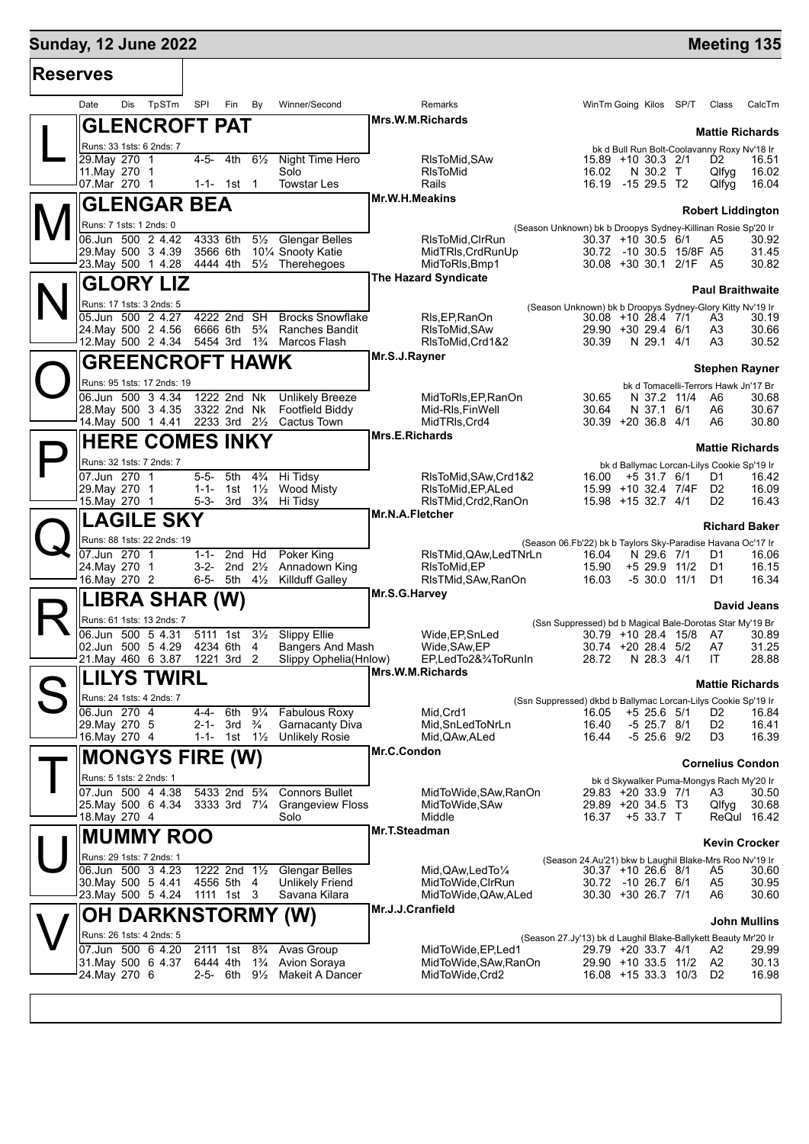### **Sunday, 12 June 2022 Meeting 135 Reserves** Date Dis TpSTm SPI Fin By Winner/Second Remarks WinTm Going Kilos SP/T Class CalcTm L **GLENCROFT PAT** Runs: 33 1sts: 6 2nds: 7 **Mrs.W.M.Richards GLENGAR BEA Mr.W.H.Meakins**

| Dalc<br>בוש<br>'''''                                                   | עם וווח וחט                                                       | <b>WILLIEL/OCCULIU</b>                                     |                                    |                                                                                                                                                                                                                                                                                                                                                                                                                                                                                                                                                                                                                                                                                                                                                                                                                                                                                                                                                                                                                                                                                                                                                                                                                                                                                                                                                                                                                                                                                                                                                                                                                                                                                                                                                                                                                                                                                                                                                                                                                                                                                                                                                                                                                     | <b>VVIIIIIIII</b> OUIIIY NIUS OF/I | Cidoo                                       |
|------------------------------------------------------------------------|-------------------------------------------------------------------|------------------------------------------------------------|------------------------------------|---------------------------------------------------------------------------------------------------------------------------------------------------------------------------------------------------------------------------------------------------------------------------------------------------------------------------------------------------------------------------------------------------------------------------------------------------------------------------------------------------------------------------------------------------------------------------------------------------------------------------------------------------------------------------------------------------------------------------------------------------------------------------------------------------------------------------------------------------------------------------------------------------------------------------------------------------------------------------------------------------------------------------------------------------------------------------------------------------------------------------------------------------------------------------------------------------------------------------------------------------------------------------------------------------------------------------------------------------------------------------------------------------------------------------------------------------------------------------------------------------------------------------------------------------------------------------------------------------------------------------------------------------------------------------------------------------------------------------------------------------------------------------------------------------------------------------------------------------------------------------------------------------------------------------------------------------------------------------------------------------------------------------------------------------------------------------------------------------------------------------------------------------------------------------------------------------------------------|------------------------------------|---------------------------------------------|
| <b>GLENCROFT PAT</b>                                                   |                                                                   |                                                            | Mrs.W.M.Richards                   |                                                                                                                                                                                                                                                                                                                                                                                                                                                                                                                                                                                                                                                                                                                                                                                                                                                                                                                                                                                                                                                                                                                                                                                                                                                                                                                                                                                                                                                                                                                                                                                                                                                                                                                                                                                                                                                                                                                                                                                                                                                                                                                                                                                                                     |                                    |                                             |
|                                                                        |                                                                   |                                                            |                                    |                                                                                                                                                                                                                                                                                                                                                                                                                                                                                                                                                                                                                                                                                                                                                                                                                                                                                                                                                                                                                                                                                                                                                                                                                                                                                                                                                                                                                                                                                                                                                                                                                                                                                                                                                                                                                                                                                                                                                                                                                                                                                                                                                                                                                     |                                    | <b>Mattie Richards</b>                      |
| Runs: 33 1sts: 6 2nds: 7                                               |                                                                   |                                                            |                                    |                                                                                                                                                                                                                                                                                                                                                                                                                                                                                                                                                                                                                                                                                                                                                                                                                                                                                                                                                                                                                                                                                                                                                                                                                                                                                                                                                                                                                                                                                                                                                                                                                                                                                                                                                                                                                                                                                                                                                                                                                                                                                                                                                                                                                     |                                    | bk d Bull Run Bolt-Coolavanny Roxy Nv'18 Ir |
| 29. May 270 1                                                          | 4-5- 4th<br>$6\frac{1}{2}$                                        | Night Time Hero                                            | RIsToMid, SAw                      |                                                                                                                                                                                                                                                                                                                                                                                                                                                                                                                                                                                                                                                                                                                                                                                                                                                                                                                                                                                                                                                                                                                                                                                                                                                                                                                                                                                                                                                                                                                                                                                                                                                                                                                                                                                                                                                                                                                                                                                                                                                                                                                                                                                                                     | 15.89 +10 30.3 2/1                 | 16.51<br>D2                                 |
| 11. May 270 1                                                          |                                                                   | Solo                                                       | <b>RIsToMid</b>                    | 16.02                                                                                                                                                                                                                                                                                                                                                                                                                                                                                                                                                                                                                                                                                                                                                                                                                                                                                                                                                                                                                                                                                                                                                                                                                                                                                                                                                                                                                                                                                                                                                                                                                                                                                                                                                                                                                                                                                                                                                                                                                                                                                                                                                                                                               | N 30.2 T                           | 16.02<br>Qlfyg                              |
| 07.Mar 270 1                                                           | 1-1- 1st 1                                                        | <b>Towstar Les</b>                                         | Rails                              |                                                                                                                                                                                                                                                                                                                                                                                                                                                                                                                                                                                                                                                                                                                                                                                                                                                                                                                                                                                                                                                                                                                                                                                                                                                                                                                                                                                                                                                                                                                                                                                                                                                                                                                                                                                                                                                                                                                                                                                                                                                                                                                                                                                                                     |                                    |                                             |
| <b>GLENGAR BEA</b>                                                     |                                                                   |                                                            | Mr.W.H.Meakins                     |                                                                                                                                                                                                                                                                                                                                                                                                                                                                                                                                                                                                                                                                                                                                                                                                                                                                                                                                                                                                                                                                                                                                                                                                                                                                                                                                                                                                                                                                                                                                                                                                                                                                                                                                                                                                                                                                                                                                                                                                                                                                                                                                                                                                                     |                                    |                                             |
|                                                                        |                                                                   |                                                            |                                    |                                                                                                                                                                                                                                                                                                                                                                                                                                                                                                                                                                                                                                                                                                                                                                                                                                                                                                                                                                                                                                                                                                                                                                                                                                                                                                                                                                                                                                                                                                                                                                                                                                                                                                                                                                                                                                                                                                                                                                                                                                                                                                                                                                                                                     |                                    |                                             |
| Runs: 7 1sts: 1 2nds: 0                                                |                                                                   |                                                            |                                    |                                                                                                                                                                                                                                                                                                                                                                                                                                                                                                                                                                                                                                                                                                                                                                                                                                                                                                                                                                                                                                                                                                                                                                                                                                                                                                                                                                                                                                                                                                                                                                                                                                                                                                                                                                                                                                                                                                                                                                                                                                                                                                                                                                                                                     |                                    |                                             |
| 06.Jun 500 2 4.42                                                      |                                                                   | 4333 6th 51/ <sub>2</sub> Glengar Belles                   | RIsToMid, CIrRun                   |                                                                                                                                                                                                                                                                                                                                                                                                                                                                                                                                                                                                                                                                                                                                                                                                                                                                                                                                                                                                                                                                                                                                                                                                                                                                                                                                                                                                                                                                                                                                                                                                                                                                                                                                                                                                                                                                                                                                                                                                                                                                                                                                                                                                                     |                                    |                                             |
| 29. May 500 3 4.39                                                     | 3566 6th                                                          | 101/4 Snooty Katie                                         | MidTRIs, CrdRunUp                  |                                                                                                                                                                                                                                                                                                                                                                                                                                                                                                                                                                                                                                                                                                                                                                                                                                                                                                                                                                                                                                                                                                                                                                                                                                                                                                                                                                                                                                                                                                                                                                                                                                                                                                                                                                                                                                                                                                                                                                                                                                                                                                                                                                                                                     |                                    |                                             |
| 23. May 500 1 4.28 4444 4th 51/2 Therehegoes                           |                                                                   |                                                            | MidToRIs, Bmp1                     |                                                                                                                                                                                                                                                                                                                                                                                                                                                                                                                                                                                                                                                                                                                                                                                                                                                                                                                                                                                                                                                                                                                                                                                                                                                                                                                                                                                                                                                                                                                                                                                                                                                                                                                                                                                                                                                                                                                                                                                                                                                                                                                                                                                                                     |                                    |                                             |
| <b>GLORY LIZ</b>                                                       |                                                                   |                                                            | <b>The Hazard Syndicate</b>        |                                                                                                                                                                                                                                                                                                                                                                                                                                                                                                                                                                                                                                                                                                                                                                                                                                                                                                                                                                                                                                                                                                                                                                                                                                                                                                                                                                                                                                                                                                                                                                                                                                                                                                                                                                                                                                                                                                                                                                                                                                                                                                                                                                                                                     |                                    |                                             |
|                                                                        |                                                                   |                                                            |                                    |                                                                                                                                                                                                                                                                                                                                                                                                                                                                                                                                                                                                                                                                                                                                                                                                                                                                                                                                                                                                                                                                                                                                                                                                                                                                                                                                                                                                                                                                                                                                                                                                                                                                                                                                                                                                                                                                                                                                                                                                                                                                                                                                                                                                                     |                                    |                                             |
| Runs: 17 1sts: 3 2nds: 5                                               |                                                                   |                                                            |                                    |                                                                                                                                                                                                                                                                                                                                                                                                                                                                                                                                                                                                                                                                                                                                                                                                                                                                                                                                                                                                                                                                                                                                                                                                                                                                                                                                                                                                                                                                                                                                                                                                                                                                                                                                                                                                                                                                                                                                                                                                                                                                                                                                                                                                                     |                                    |                                             |
| 05.Jun 500 2 4.27                                                      | 4222 2nd SH                                                       | <b>Brocks Snowflake</b>                                    | RIs, EP, RanOn                     |                                                                                                                                                                                                                                                                                                                                                                                                                                                                                                                                                                                                                                                                                                                                                                                                                                                                                                                                                                                                                                                                                                                                                                                                                                                                                                                                                                                                                                                                                                                                                                                                                                                                                                                                                                                                                                                                                                                                                                                                                                                                                                                                                                                                                     |                                    |                                             |
| 24. May 500 2 4.56                                                     |                                                                   | 6666 6th 5 <sup>3</sup> / <sub>4</sub> Ranches Bandit      | RIsToMid, SAw                      |                                                                                                                                                                                                                                                                                                                                                                                                                                                                                                                                                                                                                                                                                                                                                                                                                                                                                                                                                                                                                                                                                                                                                                                                                                                                                                                                                                                                                                                                                                                                                                                                                                                                                                                                                                                                                                                                                                                                                                                                                                                                                                                                                                                                                     |                                    |                                             |
| 12. May 500 2 4.34 5454 3rd 1 <sup>3</sup> / <sub>4</sub> Marcos Flash |                                                                   |                                                            |                                    |                                                                                                                                                                                                                                                                                                                                                                                                                                                                                                                                                                                                                                                                                                                                                                                                                                                                                                                                                                                                                                                                                                                                                                                                                                                                                                                                                                                                                                                                                                                                                                                                                                                                                                                                                                                                                                                                                                                                                                                                                                                                                                                                                                                                                     |                                    |                                             |
| <b>GREENCROFT HAWK</b>                                                 |                                                                   |                                                            | Mr.S.J.Rayner                      |                                                                                                                                                                                                                                                                                                                                                                                                                                                                                                                                                                                                                                                                                                                                                                                                                                                                                                                                                                                                                                                                                                                                                                                                                                                                                                                                                                                                                                                                                                                                                                                                                                                                                                                                                                                                                                                                                                                                                                                                                                                                                                                                                                                                                     |                                    |                                             |
| Runs: 95 1sts: 17 2nds: 19                                             |                                                                   |                                                            |                                    |                                                                                                                                                                                                                                                                                                                                                                                                                                                                                                                                                                                                                                                                                                                                                                                                                                                                                                                                                                                                                                                                                                                                                                                                                                                                                                                                                                                                                                                                                                                                                                                                                                                                                                                                                                                                                                                                                                                                                                                                                                                                                                                                                                                                                     |                                    |                                             |
|                                                                        |                                                                   |                                                            |                                    |                                                                                                                                                                                                                                                                                                                                                                                                                                                                                                                                                                                                                                                                                                                                                                                                                                                                                                                                                                                                                                                                                                                                                                                                                                                                                                                                                                                                                                                                                                                                                                                                                                                                                                                                                                                                                                                                                                                                                                                                                                                                                                                                                                                                                     |                                    |                                             |
| $\overline{06.$ Jun 500 3 4.34<br>28. May 500 3 4.35                   |                                                                   | 1222 2nd Nk Unlikely Breeze<br>3322 2nd Nk Footfield Biddy |                                    |                                                                                                                                                                                                                                                                                                                                                                                                                                                                                                                                                                                                                                                                                                                                                                                                                                                                                                                                                                                                                                                                                                                                                                                                                                                                                                                                                                                                                                                                                                                                                                                                                                                                                                                                                                                                                                                                                                                                                                                                                                                                                                                                                                                                                     |                                    |                                             |
| 14. May 500 1 4.41 2233 3rd 21/ <sub>2</sub> Cactus Town               |                                                                   |                                                            | Mid-RIs, Fin Well<br>MidTRIs, Crd4 |                                                                                                                                                                                                                                                                                                                                                                                                                                                                                                                                                                                                                                                                                                                                                                                                                                                                                                                                                                                                                                                                                                                                                                                                                                                                                                                                                                                                                                                                                                                                                                                                                                                                                                                                                                                                                                                                                                                                                                                                                                                                                                                                                                                                                     |                                    |                                             |
|                                                                        |                                                                   |                                                            | <b>Mrs.E.Richards</b>              |                                                                                                                                                                                                                                                                                                                                                                                                                                                                                                                                                                                                                                                                                                                                                                                                                                                                                                                                                                                                                                                                                                                                                                                                                                                                                                                                                                                                                                                                                                                                                                                                                                                                                                                                                                                                                                                                                                                                                                                                                                                                                                                                                                                                                     |                                    |                                             |
| <b>HERE COMES INKY</b>                                                 |                                                                   |                                                            |                                    |                                                                                                                                                                                                                                                                                                                                                                                                                                                                                                                                                                                                                                                                                                                                                                                                                                                                                                                                                                                                                                                                                                                                                                                                                                                                                                                                                                                                                                                                                                                                                                                                                                                                                                                                                                                                                                                                                                                                                                                                                                                                                                                                                                                                                     |                                    |                                             |
| Runs: 32 1sts: 7 2nds: 7                                               |                                                                   |                                                            |                                    |                                                                                                                                                                                                                                                                                                                                                                                                                                                                                                                                                                                                                                                                                                                                                                                                                                                                                                                                                                                                                                                                                                                                                                                                                                                                                                                                                                                                                                                                                                                                                                                                                                                                                                                                                                                                                                                                                                                                                                                                                                                                                                                                                                                                                     |                                    |                                             |
|                                                                        |                                                                   |                                                            |                                    |                                                                                                                                                                                                                                                                                                                                                                                                                                                                                                                                                                                                                                                                                                                                                                                                                                                                                                                                                                                                                                                                                                                                                                                                                                                                                                                                                                                                                                                                                                                                                                                                                                                                                                                                                                                                                                                                                                                                                                                                                                                                                                                                                                                                                     |                                    |                                             |
| 07.Jun 270 1                                                           | 5-5- 5th<br>$1 - 1 - 1$ st                                        | $4\frac{3}{4}$ Hi Tidsy<br><b>Wood Misty</b>               |                                    |                                                                                                                                                                                                                                                                                                                                                                                                                                                                                                                                                                                                                                                                                                                                                                                                                                                                                                                                                                                                                                                                                                                                                                                                                                                                                                                                                                                                                                                                                                                                                                                                                                                                                                                                                                                                                                                                                                                                                                                                                                                                                                                                                                                                                     |                                    |                                             |
| 29. May 270 1<br>15. May 270 1                                         | $1\frac{1}{2}$<br>5-3- 3rd 3 <sup>3</sup> / <sub>4</sub> Hi Tidsy |                                                            |                                    |                                                                                                                                                                                                                                                                                                                                                                                                                                                                                                                                                                                                                                                                                                                                                                                                                                                                                                                                                                                                                                                                                                                                                                                                                                                                                                                                                                                                                                                                                                                                                                                                                                                                                                                                                                                                                                                                                                                                                                                                                                                                                                                                                                                                                     |                                    |                                             |
|                                                                        |                                                                   |                                                            | Mr.N.A.Fletcher                    |                                                                                                                                                                                                                                                                                                                                                                                                                                                                                                                                                                                                                                                                                                                                                                                                                                                                                                                                                                                                                                                                                                                                                                                                                                                                                                                                                                                                                                                                                                                                                                                                                                                                                                                                                                                                                                                                                                                                                                                                                                                                                                                                                                                                                     |                                    |                                             |
| <b>LAGILE SKY</b>                                                      |                                                                   |                                                            |                                    |                                                                                                                                                                                                                                                                                                                                                                                                                                                                                                                                                                                                                                                                                                                                                                                                                                                                                                                                                                                                                                                                                                                                                                                                                                                                                                                                                                                                                                                                                                                                                                                                                                                                                                                                                                                                                                                                                                                                                                                                                                                                                                                                                                                                                     |                                    |                                             |
| Runs: 88 1sts: 22 2nds: 19                                             |                                                                   |                                                            |                                    |                                                                                                                                                                                                                                                                                                                                                                                                                                                                                                                                                                                                                                                                                                                                                                                                                                                                                                                                                                                                                                                                                                                                                                                                                                                                                                                                                                                                                                                                                                                                                                                                                                                                                                                                                                                                                                                                                                                                                                                                                                                                                                                                                                                                                     |                                    |                                             |
| 07.Jun 270 1                                                           |                                                                   |                                                            |                                    |                                                                                                                                                                                                                                                                                                                                                                                                                                                                                                                                                                                                                                                                                                                                                                                                                                                                                                                                                                                                                                                                                                                                                                                                                                                                                                                                                                                                                                                                                                                                                                                                                                                                                                                                                                                                                                                                                                                                                                                                                                                                                                                                                                                                                     |                                    |                                             |
| 24. May 270 1                                                          | 1-1- 2nd Hd                                                       | Poker King<br>3-2- 2nd 21/2 Annadown King                  | RIsToMid, EP                       |                                                                                                                                                                                                                                                                                                                                                                                                                                                                                                                                                                                                                                                                                                                                                                                                                                                                                                                                                                                                                                                                                                                                                                                                                                                                                                                                                                                                                                                                                                                                                                                                                                                                                                                                                                                                                                                                                                                                                                                                                                                                                                                                                                                                                     |                                    |                                             |
| 16. May 270 2                                                          | 6-5- 5th $4\frac{1}{2}$                                           | Killduff Galley                                            | RIsTMid, SAw, RanOn                |                                                                                                                                                                                                                                                                                                                                                                                                                                                                                                                                                                                                                                                                                                                                                                                                                                                                                                                                                                                                                                                                                                                                                                                                                                                                                                                                                                                                                                                                                                                                                                                                                                                                                                                                                                                                                                                                                                                                                                                                                                                                                                                                                                                                                     |                                    |                                             |
|                                                                        |                                                                   |                                                            | Mr.S.G.Harvey                      |                                                                                                                                                                                                                                                                                                                                                                                                                                                                                                                                                                                                                                                                                                                                                                                                                                                                                                                                                                                                                                                                                                                                                                                                                                                                                                                                                                                                                                                                                                                                                                                                                                                                                                                                                                                                                                                                                                                                                                                                                                                                                                                                                                                                                     |                                    |                                             |
| LIBRA SHAR (W)                                                         |                                                                   |                                                            |                                    |                                                                                                                                                                                                                                                                                                                                                                                                                                                                                                                                                                                                                                                                                                                                                                                                                                                                                                                                                                                                                                                                                                                                                                                                                                                                                                                                                                                                                                                                                                                                                                                                                                                                                                                                                                                                                                                                                                                                                                                                                                                                                                                                                                                                                     |                                    |                                             |
| Runs: 61 1sts: 13 2nds: 7                                              |                                                                   |                                                            |                                    |                                                                                                                                                                                                                                                                                                                                                                                                                                                                                                                                                                                                                                                                                                                                                                                                                                                                                                                                                                                                                                                                                                                                                                                                                                                                                                                                                                                                                                                                                                                                                                                                                                                                                                                                                                                                                                                                                                                                                                                                                                                                                                                                                                                                                     |                                    |                                             |
| 06.Jun 500 5 4.31                                                      | 5111 1st                                                          | 31/ <sub>2</sub> Slippy Ellie                              | Wide, EP, SnLed                    |                                                                                                                                                                                                                                                                                                                                                                                                                                                                                                                                                                                                                                                                                                                                                                                                                                                                                                                                                                                                                                                                                                                                                                                                                                                                                                                                                                                                                                                                                                                                                                                                                                                                                                                                                                                                                                                                                                                                                                                                                                                                                                                                                                                                                     |                                    |                                             |
| 02.Jun 500 5 4.29                                                      | 4234 6th<br>4                                                     | Bangers And Mash                                           | Wide, SAw, EP                      |                                                                                                                                                                                                                                                                                                                                                                                                                                                                                                                                                                                                                                                                                                                                                                                                                                                                                                                                                                                                                                                                                                                                                                                                                                                                                                                                                                                                                                                                                                                                                                                                                                                                                                                                                                                                                                                                                                                                                                                                                                                                                                                                                                                                                     |                                    |                                             |
| 21. May 460 6 3.87                                                     | 1221 3rd 2                                                        | Slippy Ophelia(Hnlow)                                      | EP,LedTo2&3/4ToRunIn               |                                                                                                                                                                                                                                                                                                                                                                                                                                                                                                                                                                                                                                                                                                                                                                                                                                                                                                                                                                                                                                                                                                                                                                                                                                                                                                                                                                                                                                                                                                                                                                                                                                                                                                                                                                                                                                                                                                                                                                                                                                                                                                                                                                                                                     |                                    |                                             |
|                                                                        |                                                                   |                                                            | Mrs.W.M.Richards                   |                                                                                                                                                                                                                                                                                                                                                                                                                                                                                                                                                                                                                                                                                                                                                                                                                                                                                                                                                                                                                                                                                                                                                                                                                                                                                                                                                                                                                                                                                                                                                                                                                                                                                                                                                                                                                                                                                                                                                                                                                                                                                                                                                                                                                     |                                    |                                             |
| <b>LILYS TWIRL</b>                                                     |                                                                   |                                                            |                                    |                                                                                                                                                                                                                                                                                                                                                                                                                                                                                                                                                                                                                                                                                                                                                                                                                                                                                                                                                                                                                                                                                                                                                                                                                                                                                                                                                                                                                                                                                                                                                                                                                                                                                                                                                                                                                                                                                                                                                                                                                                                                                                                                                                                                                     |                                    |                                             |
| Runs: 24 1sts: 4 2nds: 7                                               |                                                                   |                                                            |                                    |                                                                                                                                                                                                                                                                                                                                                                                                                                                                                                                                                                                                                                                                                                                                                                                                                                                                                                                                                                                                                                                                                                                                                                                                                                                                                                                                                                                                                                                                                                                                                                                                                                                                                                                                                                                                                                                                                                                                                                                                                                                                                                                                                                                                                     |                                    |                                             |
| 06.Jun 270 4                                                           | $4 - 4 -$                                                         | 6th 91/4 Fabulous Roxy                                     | Mid, Crd1                          |                                                                                                                                                                                                                                                                                                                                                                                                                                                                                                                                                                                                                                                                                                                                                                                                                                                                                                                                                                                                                                                                                                                                                                                                                                                                                                                                                                                                                                                                                                                                                                                                                                                                                                                                                                                                                                                                                                                                                                                                                                                                                                                                                                                                                     |                                    |                                             |
| 29. May 270 5                                                          | 2-1- 3rd $\frac{3}{4}$                                            | <b>Garnacanty Diva</b>                                     | Mid, SnLed ToNrLn                  |                                                                                                                                                                                                                                                                                                                                                                                                                                                                                                                                                                                                                                                                                                                                                                                                                                                                                                                                                                                                                                                                                                                                                                                                                                                                                                                                                                                                                                                                                                                                                                                                                                                                                                                                                                                                                                                                                                                                                                                                                                                                                                                                                                                                                     |                                    | D <sub>2</sub>                              |
| 16. May 270 4                                                          | 1-1- 1st 1½                                                       | <b>Unlikely Rosie</b>                                      | Mid, QAw, ALed                     | 16.44                                                                                                                                                                                                                                                                                                                                                                                                                                                                                                                                                                                                                                                                                                                                                                                                                                                                                                                                                                                                                                                                                                                                                                                                                                                                                                                                                                                                                                                                                                                                                                                                                                                                                                                                                                                                                                                                                                                                                                                                                                                                                                                                                                                                               |                                    | 16.39<br>D3                                 |
|                                                                        |                                                                   |                                                            | Mr.C.Condon                        | 16.19 -15 29.5 T2<br>16.04<br>Qlfyg<br><b>Robert Liddington</b><br>(Season Unknown) bk b Droopys Sydney-Killinan Rosie Sp'20 Ir<br>$30.37 + 10.30.5$ 6/1<br>30.92<br>A5<br>30.72 -10 30.5 15/8F A5<br>31.45<br>30.08 +30 30.1 2/1F A5<br>30.82<br><b>Paul Braithwaite</b><br>(Season Unknown) bk b Droopys Sydney-Glory Kitty Nv'19 Ir<br>30.19<br>$30.08 + 10.28.4$ 7/1<br>A3<br>29.90 +30 29.4 6/1<br>A3<br>30.66<br>N 29.1 4/1<br>30.52<br>RIsToMid, Crd1&2<br>30.39<br>A3<br><b>Stephen Rayner</b><br>bk d Tomacelli-Terrors Hawk Jn'17 Br<br>MidToRIs, EP, RanOn<br>N 37.2 11/4 A6<br>30.68<br>30.65<br>30.64<br>N 37.1 6/1<br>30.67<br>A6<br>$30.39 + 20.36.8$ 4/1<br>A6<br>30.80<br><b>Mattie Richards</b><br>bk d Ballymac Lorcan-Lilys Cookie Sp'19 Ir<br>RIsToMid, SAw, Crd1&2<br>$16.00 + 5.31.7$ 6/1<br>16.42<br>D1<br>15.99 +10 32.4 7/4F<br>16.09<br>RIsToMid.EP.ALed<br>D <sub>2</sub><br>15.98 +15 32.7 4/1<br>16.43<br>RIsTMid, Crd2, RanOn<br>D <sub>2</sub><br><b>Richard Baker</b><br>(Season 06.Fb'22) bk b Taylors Sky-Paradise Havana Oc'17 Ir<br>RIsTMid, QAw, Led TNrLn<br>N 29.6 7/1<br>16.06<br>16.04<br>D1<br>+5 29.9 11/2<br>15.90<br>D1<br>16.15<br>16.03<br>$-5$ 30.0 11/1<br>D1<br>16.34<br>David Jeans<br>(Ssn Suppressed) bd b Magical Bale-Dorotas Star My'19 Br<br>30.79 +10 28.4 15/8 A7<br>30.89<br>30.74 +20 28.4 5/2<br>A7<br>31.25<br>28.88<br>28.72<br>N 28.3 4/1<br>IT.<br><b>Mattie Richards</b><br>(Ssn Suppressed) dkbd b Ballymac Lorcan-Lilys Cookie Sp'19 Ir<br>16.05 +5 25.6 5/1 D2 16.84<br>$-5$ 25.7 $8/1$<br>16.41<br>16.40<br>$-5$ 25.6 $9/2$<br><b>Cornelius Condon</b><br>bk d Skywalker Puma-Mongys Rach My'20 Ir<br>29.83 +20 33.9 7/1<br>30.50<br>A3<br>29.89 +20 34.5 T3<br>Qlfyg<br>30.68<br>$+533.7$ T<br>16.37<br>ReQul 16.42<br><b>Kevin Crocker</b><br>(Season 24.Au'21) bkw b Laughil Blake-Mrs Roo Nv'19 Ir<br>30.37 +10 26.6 8/1<br>30.60<br>A5<br>30.72 -10 26.7 6/1<br>30.95<br>A5<br>30.30 +30 26.7 7/1<br>30.60<br>A6<br><b>John Mullins</b><br>(Season 27.Jy'13) bk d Laughil Blake-Ballykett Beauty Mr'20 Ir<br>29.79 +20 33.7 4/1<br>A2<br>29.99<br>29.90 +10 33.5 11/2<br>A2<br>30.13<br>16.08 +15 33.3 10/3<br>D <sub>2</sub><br>16.98 |                                    |                                             |
| <b>MONGYS FIRE (W)</b>                                                 |                                                                   |                                                            |                                    |                                                                                                                                                                                                                                                                                                                                                                                                                                                                                                                                                                                                                                                                                                                                                                                                                                                                                                                                                                                                                                                                                                                                                                                                                                                                                                                                                                                                                                                                                                                                                                                                                                                                                                                                                                                                                                                                                                                                                                                                                                                                                                                                                                                                                     |                                    |                                             |
| Runs: 5 1sts: 2 2nds: 1                                                |                                                                   |                                                            |                                    |                                                                                                                                                                                                                                                                                                                                                                                                                                                                                                                                                                                                                                                                                                                                                                                                                                                                                                                                                                                                                                                                                                                                                                                                                                                                                                                                                                                                                                                                                                                                                                                                                                                                                                                                                                                                                                                                                                                                                                                                                                                                                                                                                                                                                     |                                    |                                             |
| 07.Jun 500 4 4.38                                                      | 5433 2nd 5 <sup>3</sup> / <sub>4</sub>                            | <b>Connors Bullet</b>                                      | MidToWide, SAw, RanOn              |                                                                                                                                                                                                                                                                                                                                                                                                                                                                                                                                                                                                                                                                                                                                                                                                                                                                                                                                                                                                                                                                                                                                                                                                                                                                                                                                                                                                                                                                                                                                                                                                                                                                                                                                                                                                                                                                                                                                                                                                                                                                                                                                                                                                                     |                                    |                                             |
| 25 May 500 6 4.34                                                      |                                                                   | 3333 3rd 71/4 Grangeview Floss                             | MidToWide, SAw                     |                                                                                                                                                                                                                                                                                                                                                                                                                                                                                                                                                                                                                                                                                                                                                                                                                                                                                                                                                                                                                                                                                                                                                                                                                                                                                                                                                                                                                                                                                                                                                                                                                                                                                                                                                                                                                                                                                                                                                                                                                                                                                                                                                                                                                     |                                    |                                             |
| 18.May 270 4                                                           |                                                                   | Solo                                                       | Middle                             |                                                                                                                                                                                                                                                                                                                                                                                                                                                                                                                                                                                                                                                                                                                                                                                                                                                                                                                                                                                                                                                                                                                                                                                                                                                                                                                                                                                                                                                                                                                                                                                                                                                                                                                                                                                                                                                                                                                                                                                                                                                                                                                                                                                                                     |                                    |                                             |
| <b>MUMMY ROO</b>                                                       |                                                                   |                                                            | Mr.T.Steadman                      |                                                                                                                                                                                                                                                                                                                                                                                                                                                                                                                                                                                                                                                                                                                                                                                                                                                                                                                                                                                                                                                                                                                                                                                                                                                                                                                                                                                                                                                                                                                                                                                                                                                                                                                                                                                                                                                                                                                                                                                                                                                                                                                                                                                                                     |                                    |                                             |
|                                                                        |                                                                   |                                                            |                                    |                                                                                                                                                                                                                                                                                                                                                                                                                                                                                                                                                                                                                                                                                                                                                                                                                                                                                                                                                                                                                                                                                                                                                                                                                                                                                                                                                                                                                                                                                                                                                                                                                                                                                                                                                                                                                                                                                                                                                                                                                                                                                                                                                                                                                     |                                    |                                             |
| Runs: 29 1sts: 7 2nds: 1                                               |                                                                   |                                                            |                                    |                                                                                                                                                                                                                                                                                                                                                                                                                                                                                                                                                                                                                                                                                                                                                                                                                                                                                                                                                                                                                                                                                                                                                                                                                                                                                                                                                                                                                                                                                                                                                                                                                                                                                                                                                                                                                                                                                                                                                                                                                                                                                                                                                                                                                     |                                    |                                             |
| 06.Jun 500 3 4.23                                                      | 1222 2nd $1\frac{1}{2}$                                           | <b>Glengar Belles</b>                                      | Mid, QAw, Led To 1/4               |                                                                                                                                                                                                                                                                                                                                                                                                                                                                                                                                                                                                                                                                                                                                                                                                                                                                                                                                                                                                                                                                                                                                                                                                                                                                                                                                                                                                                                                                                                                                                                                                                                                                                                                                                                                                                                                                                                                                                                                                                                                                                                                                                                                                                     |                                    |                                             |
| 30. May 500 5 4.41                                                     | 4556 5th 4                                                        | <b>Unlikely Friend</b>                                     | MidToWide, CIrRun                  |                                                                                                                                                                                                                                                                                                                                                                                                                                                                                                                                                                                                                                                                                                                                                                                                                                                                                                                                                                                                                                                                                                                                                                                                                                                                                                                                                                                                                                                                                                                                                                                                                                                                                                                                                                                                                                                                                                                                                                                                                                                                                                                                                                                                                     |                                    |                                             |
| 23. May 500 5 4.24                                                     | 1111 1st 3                                                        | Savana Kilara                                              | MidToWide, QAw, ALed               |                                                                                                                                                                                                                                                                                                                                                                                                                                                                                                                                                                                                                                                                                                                                                                                                                                                                                                                                                                                                                                                                                                                                                                                                                                                                                                                                                                                                                                                                                                                                                                                                                                                                                                                                                                                                                                                                                                                                                                                                                                                                                                                                                                                                                     |                                    |                                             |
| <b>OH DARKNSTORMY (W)</b>                                              |                                                                   |                                                            | Mr.J.J.Cranfield                   |                                                                                                                                                                                                                                                                                                                                                                                                                                                                                                                                                                                                                                                                                                                                                                                                                                                                                                                                                                                                                                                                                                                                                                                                                                                                                                                                                                                                                                                                                                                                                                                                                                                                                                                                                                                                                                                                                                                                                                                                                                                                                                                                                                                                                     |                                    |                                             |
|                                                                        |                                                                   |                                                            |                                    |                                                                                                                                                                                                                                                                                                                                                                                                                                                                                                                                                                                                                                                                                                                                                                                                                                                                                                                                                                                                                                                                                                                                                                                                                                                                                                                                                                                                                                                                                                                                                                                                                                                                                                                                                                                                                                                                                                                                                                                                                                                                                                                                                                                                                     |                                    |                                             |
| Runs: 26 1sts: 4 2nds: 5                                               |                                                                   |                                                            |                                    |                                                                                                                                                                                                                                                                                                                                                                                                                                                                                                                                                                                                                                                                                                                                                                                                                                                                                                                                                                                                                                                                                                                                                                                                                                                                                                                                                                                                                                                                                                                                                                                                                                                                                                                                                                                                                                                                                                                                                                                                                                                                                                                                                                                                                     |                                    |                                             |
| 07.Jun 500 6 4.20                                                      | 2111 1st<br>$8\frac{3}{4}$                                        | Avas Group                                                 | MidToWide, EP, Led1                |                                                                                                                                                                                                                                                                                                                                                                                                                                                                                                                                                                                                                                                                                                                                                                                                                                                                                                                                                                                                                                                                                                                                                                                                                                                                                                                                                                                                                                                                                                                                                                                                                                                                                                                                                                                                                                                                                                                                                                                                                                                                                                                                                                                                                     |                                    |                                             |
| 31 May 500 6 4.37                                                      | 6444 4th<br>$1\frac{3}{4}$                                        | Avion Soraya                                               | MidToWide, SAw, RanOn              |                                                                                                                                                                                                                                                                                                                                                                                                                                                                                                                                                                                                                                                                                                                                                                                                                                                                                                                                                                                                                                                                                                                                                                                                                                                                                                                                                                                                                                                                                                                                                                                                                                                                                                                                                                                                                                                                                                                                                                                                                                                                                                                                                                                                                     |                                    |                                             |
| 24. May 270 6                                                          | 2-5- 6th<br>$9\frac{1}{2}$                                        | Makeit A Dancer                                            | MidToWide,Crd2                     |                                                                                                                                                                                                                                                                                                                                                                                                                                                                                                                                                                                                                                                                                                                                                                                                                                                                                                                                                                                                                                                                                                                                                                                                                                                                                                                                                                                                                                                                                                                                                                                                                                                                                                                                                                                                                                                                                                                                                                                                                                                                                                                                                                                                                     |                                    |                                             |
|                                                                        |                                                                   |                                                            |                                    |                                                                                                                                                                                                                                                                                                                                                                                                                                                                                                                                                                                                                                                                                                                                                                                                                                                                                                                                                                                                                                                                                                                                                                                                                                                                                                                                                                                                                                                                                                                                                                                                                                                                                                                                                                                                                                                                                                                                                                                                                                                                                                                                                                                                                     |                                    |                                             |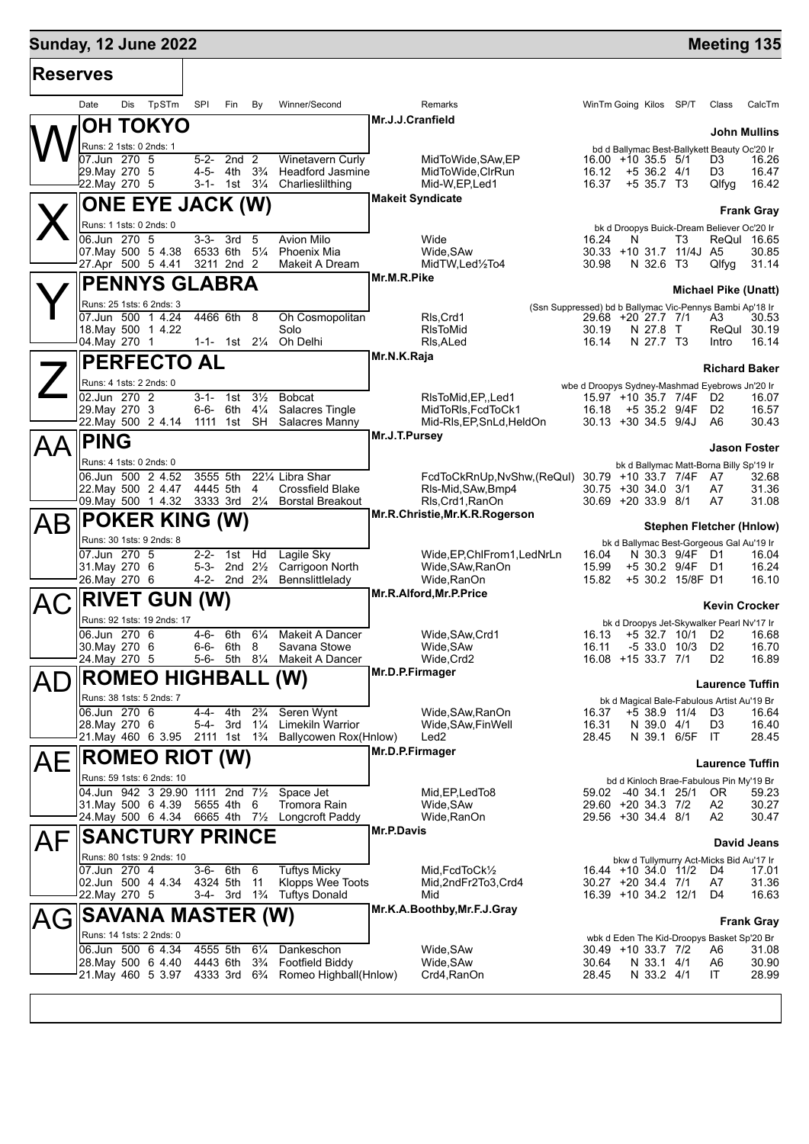### **Sunday, 12 June 2022 Meeting 135**

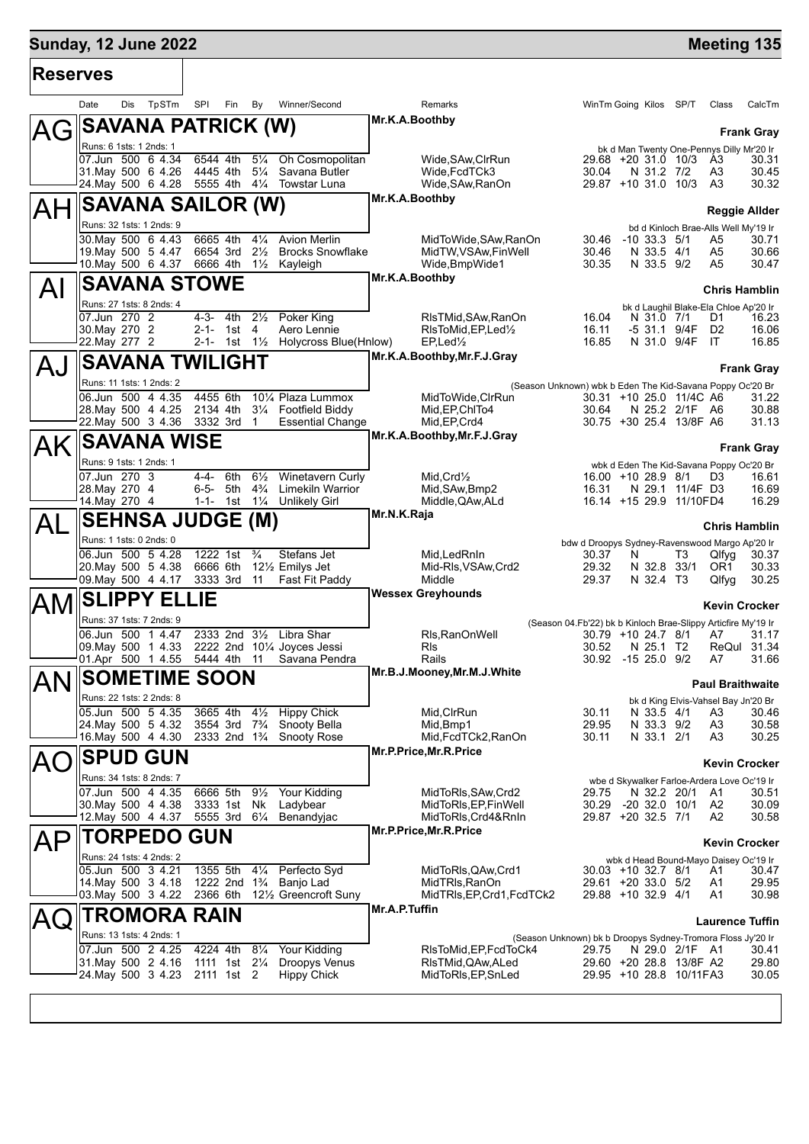## **Sunday, 12 June 2022 Meeting 135**

| <b>Reserves</b> |                                                     |     |       |            |                                         |                                  |                                                                   |                |                                                                           |                |                                                                               |    |                       |                         |
|-----------------|-----------------------------------------------------|-----|-------|------------|-----------------------------------------|----------------------------------|-------------------------------------------------------------------|----------------|---------------------------------------------------------------------------|----------------|-------------------------------------------------------------------------------|----|-----------------------|-------------------------|
|                 | Date                                                | Dis | TpSTm | SPI        | Fin                                     | By                               | Winner/Second                                                     |                | Remarks                                                                   |                | WinTm Going Kilos SP/T                                                        |    | Class                 | CalcTm                  |
|                 | <b>SAVANA PATRICK (W)</b>                           |     |       |            |                                         |                                  |                                                                   | Mr.K.A.Boothby |                                                                           |                |                                                                               |    |                       | <b>Frank Gray</b>       |
|                 | Runs: 6 1sts: 1 2nds: 1<br>07.Jun 500 6 4.34        |     |       |            | 6544 4th                                | $5\frac{1}{4}$                   | Oh Cosmopolitan                                                   |                | Wide, SAw, ClrRun                                                         |                | bk d Man Twenty One-Pennys Dilly Mr'20 Ir<br>29.68 +20 31.0 10/3 A3           |    |                       | 30.31                   |
|                 | 31. May 500 6 4.26                                  |     |       |            | 4445 4th                                | $5\frac{1}{4}$                   | Savana Butler                                                     |                | Wide, FcdTCk3                                                             | 30.04          | N 31.2 7/2                                                                    |    | A <sub>3</sub>        | 30.45                   |
|                 | 24. May 500 6 4.28                                  |     |       |            |                                         |                                  | 5555 4th 41/4 Towstar Luna                                        | Mr.K.A.Boothby | Wide, SAw, RanOn                                                          |                | 29.87 +10 31.0 10/3                                                           |    | A <sub>3</sub>        | 30.32                   |
|                 | <b>SAVANA SAILOR (W)</b>                            |     |       |            |                                         |                                  |                                                                   |                |                                                                           |                |                                                                               |    |                       | <b>Reggie Allder</b>    |
|                 | Runs: 32 1sts: 1 2nds: 9<br>30. May 500 6 4.43      |     |       | 6665 4th   |                                         | $4\frac{1}{4}$                   | <b>Avion Merlin</b>                                               |                | MidToWide, SAw, RanOn                                                     |                | bd d Kinloch Brae-Alls Well My'19 Ir<br>30.46 -10 33.3 5/1                    |    | A5                    | 30.71                   |
|                 | 19. May 500 5 4.47<br>10. May 500 6 4.37            |     |       |            | 6654 3rd<br>6666 4th                    | $2\frac{1}{2}$                   | <b>Brocks Snowflake</b><br>1 <sup>1</sup> / <sub>2</sub> Kayleigh |                | MidTW.VSAw.FinWell<br>Wide, BmpWide1                                      | 30.46<br>30.35 | N 33.5 4/1<br>N 33.5 9/2                                                      |    | A5<br>A5              | 30.66<br>30.47          |
|                 | <b>SAVANA STOWE</b>                                 |     |       |            |                                         |                                  |                                                                   | Mr.K.A.Boothby |                                                                           |                |                                                                               |    |                       |                         |
| Al              | Runs: 27 1sts: 8 2nds: 4                            |     |       |            |                                         |                                  |                                                                   |                |                                                                           |                |                                                                               |    |                       | <b>Chris Hamblin</b>    |
|                 | 07.Jun 270 2                                        |     |       |            | 4-3- 4th                                | $2\frac{1}{2}$                   | Poker King                                                        |                | RIsTMid, SAw, RanOn                                                       | 16.04          | bk d Laughil Blake-Ela Chloe Ap'20 Ir<br>N 31.0 7/1                           |    | D1                    | 16.23                   |
|                 | 30. May 270 2<br>22. May 277 2                      |     |       |            | 2-1- 1st<br>2-1- 1st $1\frac{1}{2}$     | 4                                | Aero Lennie<br>Holycross Blue(Hnlow)                              |                | RIsToMid, EP, Led <sup>1</sup> / <sub>2</sub><br>$EP$ , Led $\frac{1}{2}$ | 16.11<br>16.85 | -5 31.1 9/4F<br>N 31.0 9/4F                                                   |    | D <sub>2</sub><br>IT. | 16.06<br>16.85          |
|                 | <b>SAVANA TWILIGHT</b>                              |     |       |            |                                         |                                  |                                                                   |                | Mr.K.A.Boothby, Mr.F.J.Gray                                               |                |                                                                               |    |                       |                         |
| AJ              | Runs: 11 1sts: 1 2nds: 2                            |     |       |            |                                         |                                  |                                                                   |                |                                                                           |                | (Season Unknown) wbk b Eden The Kid-Savana Poppy Oc'20 Br                     |    |                       | <b>Frank Gray</b>       |
|                 | 06.Jun 500 4 4.35                                   |     |       | 4455 6th   |                                         |                                  | 101⁄4 Plaza Lummox                                                |                | MidToWide.CIrRun                                                          |                | 30.31 +10 25.0 11/4C A6                                                       |    |                       | 31.22                   |
|                 | 28. May 500 4 4.25<br>22. May 500 3 4.36 3332 3rd 1 |     |       |            |                                         |                                  | 2134 4th 31/4 Footfield Biddy<br><b>Essential Change</b>          |                | Mid, EP, ChITo4<br>Mid, EP, Crd4                                          | 30.64          | N 25.2 2/1F A6<br>30.75 +30 25.4 13/8F A6                                     |    |                       | 30.88<br>31.13          |
| AK              | <b>SAVANA WISE</b>                                  |     |       |            |                                         |                                  |                                                                   |                | Mr.K.A.Boothby, Mr.F.J.Gray                                               |                |                                                                               |    |                       |                         |
|                 | Runs: 9 1sts: 1 2nds: 1                             |     |       |            |                                         |                                  |                                                                   |                |                                                                           |                | wbk d Eden The Kid-Savana Poppy Oc'20 Br                                      |    |                       | <b>Frank Gray</b>       |
|                 | 07.Jun 270 3                                        |     |       |            | 4-4- 6th                                | $6\frac{1}{2}$                   | Winetavern Curly                                                  |                | $Mid.Crd\frac{1}{2}$                                                      |                | 16.00 +10 28.9 8/1                                                            |    | D <sub>3</sub>        | 16.61                   |
|                 | 28. May 270 4<br>14. May 270 4                      |     |       |            | 6-5- 5th<br>$1-1-1$ st                  | $4\frac{3}{4}$<br>$1\frac{1}{4}$ | <b>Limekiln Warrior</b><br><b>Unlikely Girl</b>                   |                | Mid, SAw, Bmp2<br>Middle, QAw, ALd                                        | 16.31          | N 29.1 11/4F D3<br>16.14 +15 29.9 11/10FD4                                    |    |                       | 16.69<br>16.29          |
| AL              | <b>SEHNSA JUDGE (M)</b>                             |     |       |            |                                         |                                  |                                                                   | Mr.N.K.Raja    |                                                                           |                |                                                                               |    |                       | <b>Chris Hamblin</b>    |
|                 | Runs: 1 1sts: 0 2nds: 0                             |     |       |            |                                         |                                  |                                                                   |                |                                                                           |                | bdw d Droopys Sydney-Ravenswood Margo Ap'20 Ir                                |    |                       |                         |
|                 | 06.Jun 500 5 4.28<br>20.May 500 5 4.38              |     |       |            | 1222 1st                                | $\frac{3}{4}$                    | Stefans Jet<br>6666 6th 121/2 Emilys Jet                          |                | Mid, Led Rn In<br>Mid-RIs, VSAw, Crd2                                     | 30.37<br>29.32 | N<br>N 32.8 33/1                                                              | T3 | Qlfyq<br>OR1          | 30.37<br>30.33          |
|                 | 09. May 500 4 4.17                                  |     |       |            | 3333 3rd                                | 11                               | Fast Fit Paddy                                                    |                | Middle                                                                    | 29.37          | N 32.4 T3                                                                     |    | Qlfyg                 | 30.25                   |
| AM              | <b>SLIPPY ELLIE</b>                                 |     |       |            |                                         |                                  |                                                                   |                | <b>Wessex Greyhounds</b>                                                  |                |                                                                               |    |                       | Kevin Crocker           |
|                 | Runs: 37 1sts: 7 2nds: 9                            |     |       |            |                                         |                                  |                                                                   |                |                                                                           |                | (Season 04.Fb'22) bk b Kinloch Brae-Slippy Articfire My'19 Ir                 |    |                       |                         |
|                 | 06.Jun 500 1 4.47<br>09.May 500 1 4.33              |     |       |            |                                         |                                  | 2333 2nd 31/2 Libra Shar<br>2222 2nd 101/4 Joyces Jessi           |                | Rls, RanOnWell<br>RIs                                                     | 30.52          | 30.79 +10 24.7 8/1<br>N 25.1 T2                                               |    | A7                    | 31.17<br>ReQul 31.34    |
|                 | 01.Apr 500 1 4.55                                   |     |       |            | 5444 4th                                | 11                               | Savana Pendra                                                     |                | Rails<br>Mr.B.J.Mooney, Mr.M.J.White                                      |                | 30.92 -15 25.0 9/2                                                            |    | A7                    | 31.66                   |
| AN              | <b>SOMETIME SOON</b>                                |     |       |            |                                         |                                  |                                                                   |                |                                                                           |                |                                                                               |    |                       | <b>Paul Braithwaite</b> |
|                 | Runs: 22 1sts: 2 2nds: 8<br>05.Jun 500 5 4.35       |     |       |            | 3665 4th                                | $4\frac{1}{2}$                   | <b>Hippy Chick</b>                                                |                | Mid, CIrRun                                                               | 30.11          | bk d King Elvis-Vahsel Bay Jn'20 Br<br>N 33.5 4/1                             |    | A3                    | 30.46                   |
|                 | 24. May 500 5 4.32                                  |     |       |            | 3554 3rd                                | $7\frac{3}{4}$                   | Snooty Bella                                                      |                | Mid, Bmp1                                                                 | 29.95          | N 33.3 9/2                                                                    |    | A <sub>3</sub>        | 30.58                   |
|                 | 16. May 500 4 4.30                                  |     |       |            | 2333 2nd 1 <sup>3</sup> / <sub>4</sub>  |                                  | Snooty Rose                                                       |                | Mid, FcdTCk2, RanOn<br>Mr.P.Price, Mr.R.Price                             | 30.11          | N 33.1 2/1                                                                    |    | A3                    | 30.25                   |
|                 | <b>SPUD GUN</b>                                     |     |       |            |                                         |                                  |                                                                   |                |                                                                           |                |                                                                               |    |                       | <b>Kevin Crocker</b>    |
|                 | Runs: 34 1sts: 8 2nds: 7<br>07.Jun 500 4 4.35       |     |       |            | 6666 5th                                | $9\frac{1}{2}$                   | Your Kidding                                                      |                | MidToRIs, SAw, Crd2                                                       | 29.75          | wbe d Skywalker Farloe-Ardera Love Oc'19 Ir<br>N 32.2 20/1                    |    | - A1                  | 30.51                   |
|                 | 30 May 500 4 4.38                                   |     |       |            | 3333 1st                                | Nk                               | Ladybear                                                          |                | MidToRIs, EP, FinWell                                                     | 30.29          | $-20$ 32.0 10/1                                                               |    | A2                    | 30.09                   |
|                 | 12. May 500 4 4.37                                  |     |       |            | 5555 3rd 61/4                           |                                  | Benandyjac                                                        |                | MidToRIs, Crd4&RnIn<br>Mr.P.Price, Mr.R.Price                             |                | 29.87 +20 32.5 7/1                                                            |    | A2                    | 30.58                   |
| AΡ              | <b>TORPEDO</b>                                      |     |       | <b>GUN</b> |                                         |                                  |                                                                   |                |                                                                           |                |                                                                               |    |                       | <b>Kevin Crocker</b>    |
|                 | Runs: 24 1sts: 4 2nds: 2<br>05.Jun 500 3 4.21       |     |       |            | 1355 5th                                | $4\frac{1}{4}$                   | Perfecto Syd                                                      |                | MidToRIs, QAw, Crd1                                                       |                | wbk d Head Bound-Mayo Daisey Oc'19 Ir<br>30.03 +10 32.7 8/1                   |    | A1                    | 30.47                   |
|                 | 14. May 500 3 4.18<br>03. May 500 3 4.22            |     |       | 2366 6th   | 1222 2nd 1 <sup>3</sup> / <sub>4</sub>  |                                  | Banjo Lad<br>121/ <sub>2</sub> Greencroft Suny                    |                | MidTRIs, RanOn<br>MidTRIs, EP, Crd1, FcdTCk2                              |                | 29.61 +20 33.0 5/2<br>29.88 +10 32.9 4/1                                      |    | A1<br>A1              | 29.95<br>30.98          |
|                 | TROMORA RAIN                                        |     |       |            |                                         |                                  |                                                                   | Mr.A.P.Tuffin  |                                                                           |                |                                                                               |    |                       |                         |
|                 | Runs: 13 1sts: 4 2nds: 1                            |     |       |            |                                         |                                  |                                                                   |                |                                                                           |                |                                                                               |    |                       | <b>Laurence Tuffin</b>  |
|                 | 07.Jun 500 2 4.25                                   |     |       |            | 4224 4th                                | $8\frac{1}{4}$                   | Your Kidding                                                      |                | RIsToMid, EP, FcdToCk4                                                    | 29.75          | (Season Unknown) bk b Droopys Sydney-Tromora Floss Jy'20 Ir<br>N 29.0 2/1F A1 |    |                       | 30.41                   |
|                 | 31 May 500 2 4.16<br>24. May 500 3 4.23             |     |       |            | 1111 1st 21/ <sub>4</sub><br>2111 1st 2 |                                  | Droopys Venus<br><b>Hippy Chick</b>                               |                | RIsTMid, QAw, ALed<br>MidToRIs, EP, SnLed                                 |                | 29.60 +20 28.8 13/8F A2<br>29.95 +10 28.8 10/11FA3                            |    |                       | 29.80<br>30.05          |
|                 |                                                     |     |       |            |                                         |                                  |                                                                   |                |                                                                           |                |                                                                               |    |                       |                         |